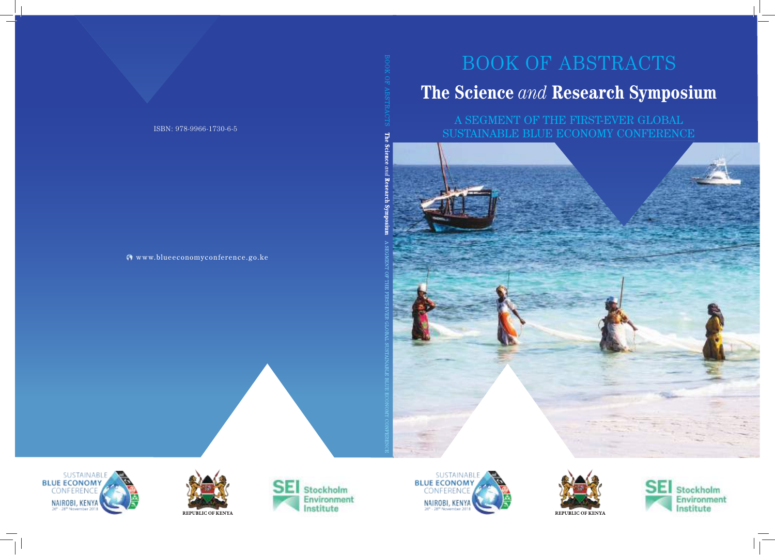#### ISBN: 978-9966-1730-6-5

#### www.blueeconomyconference.go.ke

# BOOK OF ABSTRACTS

# **The Science** *and* **Research Symposium**

A SEGMENT OF THE FIRST-EVER GLOBAL SUSTAINABLE BLUE ECONOMY CONFERENCE













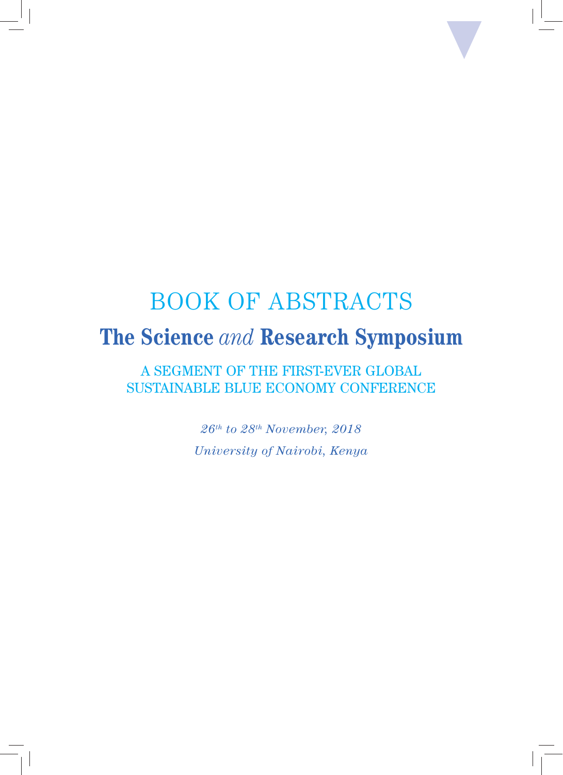# BOOK OF ABSTRACTS **The Science** *and* **Research Symposium**

A SEGMENT OF THE FIRST-EVER GLOBAL SUSTAINABLE BLUE ECONOMY CONFERENCE

> *26th to 28th November, 2018 University of Nairobi, Kenya*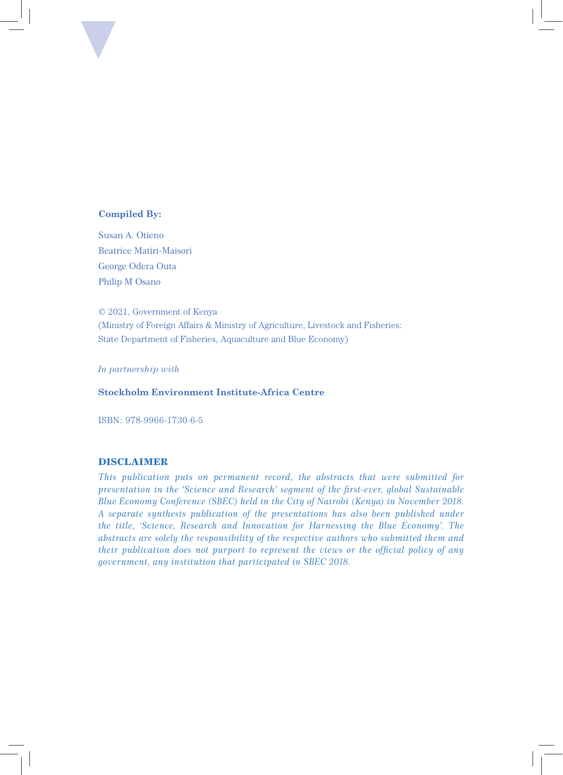#### **Compiled By:**

Susan A. Otieno Beatrice Matiri-Maisori George Odera Outa Philip M Osano

© 2021, Government of Kenya (Ministry of Foreign Affairs & Ministry of Agriculture, Livestock and Fisheries: State Department of Fisheries, Aquaculture and Blue Economy)

*In partnership with* 

#### **Stockholm Environment Institute-Africa Centre**

ISBN: 978-9966-1730-6-5

#### **DISCLAIMER**

*This publication puts on permanent record, the abstracts that were submitted for presentation in the 'Science and Research' segment of the first-ever, global Sustainable Blue Economy Conference (SBEC) held in the City of Nairobi (Kenya) in November 2018. A separate synthesis publication of the presentations has also been published under the title, 'Science, Research and Innovation for Harnessing the Blue Economy'. The abstracts are solely the responsibility of the respective authors who submitted them and their publication does not purport to represent the views or the official policy of any government, any institution that participated in SBEC 2018.*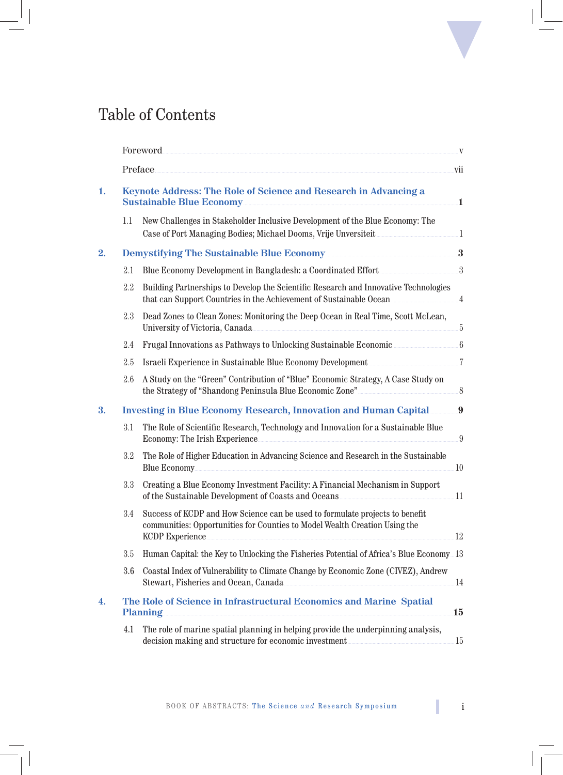## Table of Contents

|    | Foreword.<br>$\mathbf V$ |                                                                                                                                                                               |                         |  |
|----|--------------------------|-------------------------------------------------------------------------------------------------------------------------------------------------------------------------------|-------------------------|--|
|    |                          | Preface                                                                                                                                                                       | vii                     |  |
| 1. |                          | Keynote Address: The Role of Science and Research in Advancing a<br><b>Sustainable Blue Economy</b>                                                                           | 1                       |  |
|    | $1.1\,$                  | New Challenges in Stakeholder Inclusive Development of the Blue Economy: The<br>Case of Port Managing Bodies; Michael Dooms, Vrije Unversiteit                                | $\mathbf{1}$            |  |
| 2. |                          | <b>Demystifying The Sustainable Blue Economy</b>                                                                                                                              | $\overline{\mathbf{3}}$ |  |
|    | 2.1                      | Blue Economy Development in Bangladesh: a Coordinated Effort                                                                                                                  | 3                       |  |
|    | 2.2                      | Building Partnerships to Develop the Scientific Research and Innovative Technologies<br>that can Support Countries in the Achievement of Sustainable Ocean                    | $\overline{4}$          |  |
|    | 2.3                      | Dead Zones to Clean Zones: Monitoring the Deep Ocean in Real Time, Scott McLean,<br>University of Victoria, Canada                                                            | 5                       |  |
|    | 2.4                      | Frugal Innovations as Pathways to Unlocking Sustainable Economic                                                                                                              | $\overline{6}$          |  |
|    | 2.5                      | Israeli Experience in Sustainable Blue Economy Development.                                                                                                                   | $\overline{7}$          |  |
|    | 2.6                      | A Study on the "Green" Contribution of "Blue" Economic Strategy, A Case Study on<br>the Strategy of "Shandong Peninsula Blue Economic Zone"                                   | 8                       |  |
| 3. |                          | <b>Investing in Blue Economy Research, Innovation and Human Capital</b>                                                                                                       | $\boldsymbol{9}$        |  |
|    | 3.1                      | The Role of Scientific Research, Technology and Innovation for a Sustainable Blue<br>Economy: The Irish Experience                                                            | $\boldsymbol{9}$        |  |
|    | 3.2                      | The Role of Higher Education in Advancing Science and Research in the Sustainable<br><b>Blue Economy</b>                                                                      | $10\,$                  |  |
|    | 3.3                      | Creating a Blue Economy Investment Facility: A Financial Mechanism in Support<br>of the Sustainable Development of Coasts and Oceans                                          | 11                      |  |
|    | 3.4                      | Success of KCDP and How Science can be used to formulate projects to benefit<br>communities: Opportunities for Counties to Model Wealth Creation Using the<br>KCDP Experience | 12                      |  |
|    | 3.5                      | Human Capital: the Key to Unlocking the Fisheries Potential of Africa's Blue Economy13                                                                                        |                         |  |
|    | 3.6                      | Coastal Index of Vulnerability to Climate Change by Economic Zone (CIVEZ), Andrew<br>Stewart, Fisheries and Ocean, Canada.                                                    | 14                      |  |
| 4. |                          | The Role of Science in Infrastructural Economics and Marine Spatial<br><b>Planning</b>                                                                                        | 15                      |  |
|    | 4.1                      | The role of marine spatial planning in helping provide the underpinning analysis,<br>decision making and structure for economic investment                                    | 15                      |  |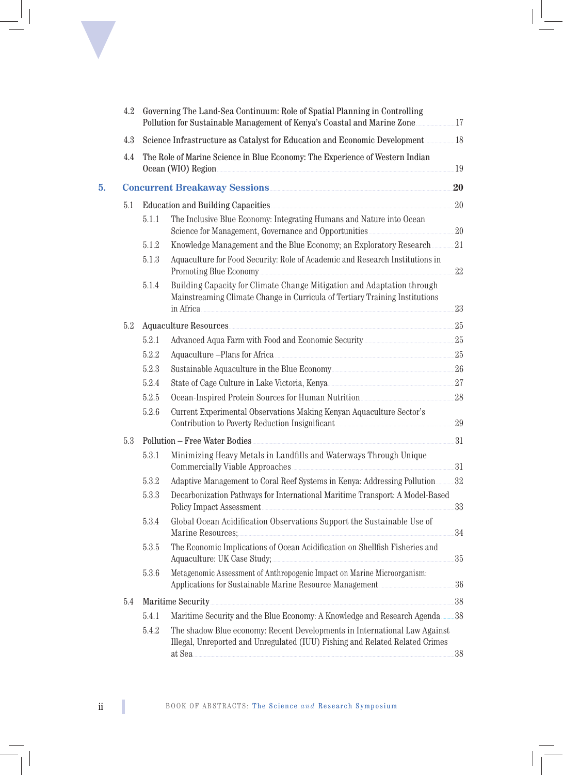|    | 4.2 |       | Governing The Land-Sea Continuum: Role of Spatial Planning in Controlling<br>Pollution for Sustainable Management of Kenya's Coastal and Marine Zone.               | 17  |
|----|-----|-------|---------------------------------------------------------------------------------------------------------------------------------------------------------------------|-----|
|    | 4.3 |       | Science Infrastructure as Catalyst for Education and Economic Development.                                                                                          | 18  |
|    | 4.4 |       | The Role of Marine Science in Blue Economy: The Experience of Western Indian<br>Ocean (WIO) Region                                                                  | 19  |
| 5. |     |       | <b>Concurrent Breakaway Sessions</b>                                                                                                                                | 20  |
|    | 5.1 |       | Education and Building Capacities                                                                                                                                   | 20  |
|    |     | 5.1.1 | The Inclusive Blue Economy: Integrating Humans and Nature into Ocean<br>Science for Management, Governance and Opportunities                                        | 20  |
|    |     | 5.1.2 | Knowledge Management and the Blue Economy; an Exploratory Research.                                                                                                 | 21  |
|    |     | 5.1.3 | Aquaculture for Food Security: Role of Academic and Research Institutions in<br>Promoting Blue Economy                                                              | 22  |
|    |     | 5.1.4 | Building Capacity for Climate Change Mitigation and Adaptation through<br>Mainstreaming Climate Change in Curricula of Tertiary Training Institutions<br>in Africa. | 23  |
|    | 5.2 |       | Aquaculture Resources.                                                                                                                                              | 25  |
|    |     | 5.2.1 |                                                                                                                                                                     | 25  |
|    |     | 5.2.2 | Aquaculture - Plans for Africa                                                                                                                                      | 25  |
|    |     | 5.2.3 |                                                                                                                                                                     | 26  |
|    |     | 5.2.4 |                                                                                                                                                                     | 27  |
|    |     | 5.2.5 |                                                                                                                                                                     | 28  |
|    |     | 5.2.6 | Current Experimental Observations Making Kenyan Aquaculture Sector's<br>Contribution to Poverty Reduction Insignificant                                             | 29  |
|    | 5.3 |       | Pollution – Free Water Bodies                                                                                                                                       | 31  |
|    |     | 5.3.1 | Minimizing Heavy Metals in Landfills and Waterways Through Unique<br>Commercially Viable Approaches                                                                 | 31  |
|    |     | 5.3.2 | Adaptive Management to Coral Reef Systems in Kenya: Addressing Pollution                                                                                            | 32  |
|    |     | 5.3.3 | Decarbonization Pathways for International Maritime Transport: A Model-Based<br>Policy Impact Assessment                                                            | 33  |
|    |     | 5.3.4 | Global Ocean Acidification Observations Support the Sustainable Use of<br>Marine Resources:                                                                         | 34  |
|    |     | 5.3.5 | The Economic Implications of Ocean Acidification on Shellfish Fisheries and<br>Aquaculture: UK Case Study;                                                          | 35  |
|    |     | 5.3.6 | Metagenomic Assessment of Anthropogenic Impact on Marine Microorganism:<br>Applications for Sustainable Marine Resource Management                                  | 36  |
|    | 5.4 |       | Maritime Security                                                                                                                                                   | 38  |
|    |     | 5.4.1 | Maritime Security and the Blue Economy: A Knowledge and Research Agenda                                                                                             | .38 |
|    |     | 5.4.2 | The shadow Blue economy: Recent Developments in International Law Against<br>Illegal, Unreported and Unregulated (IUU) Fishing and Related Related Crimes           |     |
|    |     |       | at Sea                                                                                                                                                              | 38  |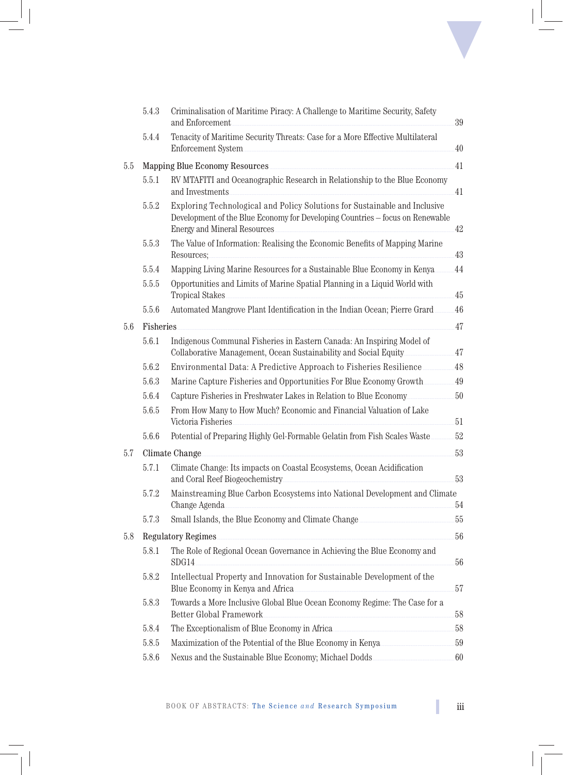|     | 5.4.3                          | Criminalisation of Maritime Piracy: A Challenge to Maritime Security, Safety<br>and Enforcement                                                                                                    | 39 |  |  |
|-----|--------------------------------|----------------------------------------------------------------------------------------------------------------------------------------------------------------------------------------------------|----|--|--|
|     | 5.4.4                          | Tenacity of Maritime Security Threats: Case for a More Effective Multilateral<br>Enforcement System                                                                                                | 40 |  |  |
| 5.5 | Mapping Blue Economy Resources |                                                                                                                                                                                                    |    |  |  |
|     | 5.5.1                          | RV MTAFITI and Oceanographic Research in Relationship to the Blue Economy<br>and Investments                                                                                                       | 41 |  |  |
|     | 5.5.2                          | Exploring Technological and Policy Solutions for Sustainable and Inclusive<br>Development of the Blue Economy for Developing Countries - focus on Renewable<br><b>Energy and Mineral Resources</b> | 42 |  |  |
|     | 5.5.3                          | The Value of Information: Realising the Economic Benefits of Mapping Marine<br>Resources;                                                                                                          | 43 |  |  |
|     | 5.5.4                          | Mapping Living Marine Resources for a Sustainable Blue Economy in Kenya.                                                                                                                           | 44 |  |  |
|     | 5.5.5                          | Opportunities and Limits of Marine Spatial Planning in a Liquid World with<br><b>Tropical Stakes</b>                                                                                               | 45 |  |  |
|     | 5.5.6                          | Automated Mangrove Plant Identification in the Indian Ocean; Pierre Grard                                                                                                                          | 46 |  |  |
| 5.6 | <b>Fisheries</b>               |                                                                                                                                                                                                    |    |  |  |
|     | 5.6.1                          | Indigenous Communal Fisheries in Eastern Canada: An Inspiring Model of<br>Collaborative Management, Ocean Sustainability and Social Equity.                                                        | 47 |  |  |
|     | 5.6.2                          | Environmental Data: A Predictive Approach to Fisheries Resilience                                                                                                                                  | 48 |  |  |
|     | 5.6.3                          | Marine Capture Fisheries and Opportunities For Blue Economy Growth.                                                                                                                                | 49 |  |  |
|     | 5.6.4                          | Capture Fisheries in Freshwater Lakes in Relation to Blue Economy                                                                                                                                  | 50 |  |  |
|     | 5.6.5                          | From How Many to How Much? Economic and Financial Valuation of Lake<br>Victoria Fisheries                                                                                                          | 51 |  |  |
|     | 5.6.6                          | Potential of Preparing Highly Gel-Formable Gelatin from Fish Scales Waste                                                                                                                          | 52 |  |  |
| 5.7 |                                | Climate Change                                                                                                                                                                                     | 53 |  |  |
|     | 5.7.1                          | Climate Change: Its impacts on Coastal Ecosystems, Ocean Acidification<br>and Coral Reef Biogeochemistry                                                                                           | 53 |  |  |
|     | 5.7.2                          | Mainstreaming Blue Carbon Ecosystems into National Development and Climate<br>Change Agenda                                                                                                        | 54 |  |  |
|     | 5.7.3                          | Small Islands, the Blue Economy and Climate Change                                                                                                                                                 | 55 |  |  |
| 5.8 | <b>Regulatory Regimes</b>      |                                                                                                                                                                                                    |    |  |  |
|     | 5.8.1                          | The Role of Regional Ocean Governance in Achieving the Blue Economy and<br>SDG14                                                                                                                   | 56 |  |  |
|     | 5.8.2                          | Intellectual Property and Innovation for Sustainable Development of the<br>Blue Economy in Kenya and Africa                                                                                        | 57 |  |  |
|     | 5.8.3                          | Towards a More Inclusive Global Blue Ocean Economy Regime: The Case for a<br>Better Global Framework                                                                                               | 58 |  |  |
|     | 5.8.4                          | The Exceptionalism of Blue Economy in Africa                                                                                                                                                       | 58 |  |  |
|     | 5.8.5                          | Maximization of the Potential of the Blue Economy in Kenya                                                                                                                                         | 59 |  |  |
|     | 5.8.6                          | Nexus and the Sustainable Blue Economy; Michael Dodds.                                                                                                                                             | 60 |  |  |

 $\mathbb{R}$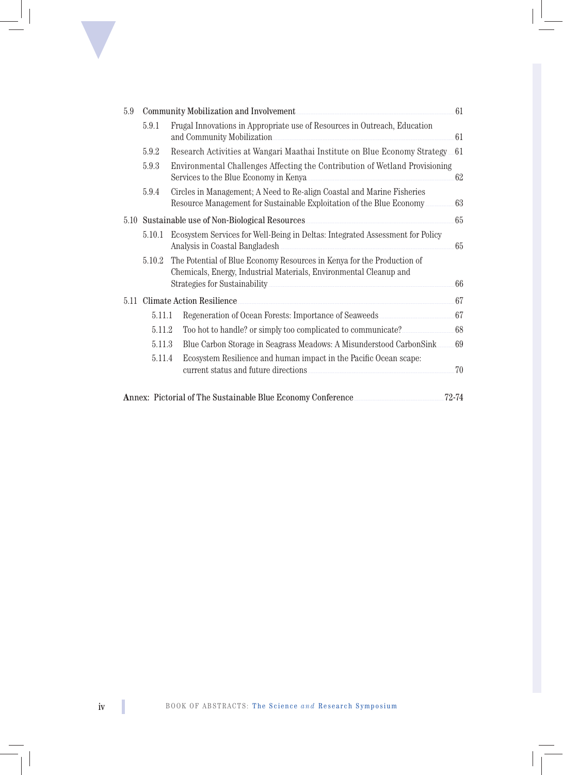| 5.9  | Community Mobilization and Involvement       |                                                                                                                                                                               |       |  |  |
|------|----------------------------------------------|-------------------------------------------------------------------------------------------------------------------------------------------------------------------------------|-------|--|--|
|      | 5.9.1                                        | Frugal Innovations in Appropriate use of Resources in Outreach, Education<br>and Community Mobilization.                                                                      | 61    |  |  |
|      | 5.9.2                                        | Research Activities at Wangari Maathai Institute on Blue Economy Strategy                                                                                                     | - 61  |  |  |
|      | 5.9.3                                        | Environmental Challenges Affecting the Contribution of Wetland Provisioning<br>Services to the Blue Economy in Kenya                                                          | 62    |  |  |
|      | 5.9.4                                        | Circles in Management; A Need to Re-align Coastal and Marine Fisheries<br>Resource Management for Sustainable Exploitation of the Blue Economy                                | 63    |  |  |
| 5.10 | Sustainable use of Non-Biological Resources. |                                                                                                                                                                               |       |  |  |
|      | 5.10.1                                       | Ecosystem Services for Well-Being in Deltas: Integrated Assessment for Policy<br>Analysis in Coastal Bangladesh                                                               | 65    |  |  |
|      | 5.10.2                                       | The Potential of Blue Economy Resources in Kenya for the Production of<br>Chemicals, Energy, Industrial Materials, Environmental Cleanup and<br>Strategies for Sustainability | 66    |  |  |
| 5.11 |                                              | <b>Climate Action Resilience</b>                                                                                                                                              | 67    |  |  |
|      | 5.11.1                                       | Regeneration of Ocean Forests: Importance of Seaweeds                                                                                                                         | 67    |  |  |
|      | 5.11.2                                       | Too hot to handle? or simply too complicated to communicate?                                                                                                                  | 68    |  |  |
|      | 5.11.3                                       | Blue Carbon Storage in Seagrass Meadows: A Misunderstood CarbonSink.                                                                                                          | 69    |  |  |
|      | 5.11.4                                       | Ecosystem Resilience and human impact in the Pacific Ocean scape:<br>current status and future directions                                                                     | 70    |  |  |
|      |                                              | Annex: Pictorial of The Sustainable Blue Economy Conference                                                                                                                   | 72-74 |  |  |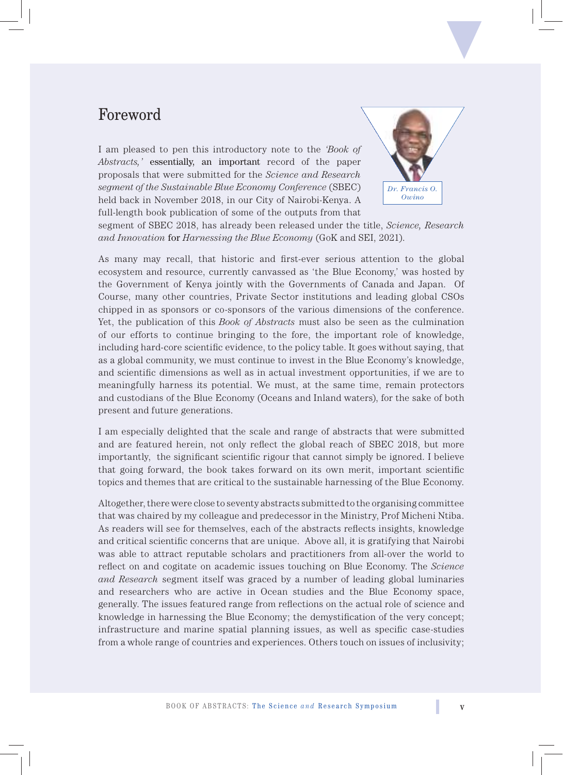## Foreword

I am pleased to pen this introductory note to the *'Book of Abstracts,'* essentially, an important record of the paper proposals that were submitted for the *Science and Research segment of the Sustainable Blue Economy Conference* (SBEC) held back in November 2018, in our City of Nairobi-Kenya. A full-length book publication of some of the outputs from that



segment of SBEC 2018, has already been released under the title, *Science, Research and Innovation* for *Harnessing the Blue Economy* (GoK and SEI, 2021).

As many may recall, that historic and first-ever serious attention to the global ecosystem and resource, currently canvassed as 'the Blue Economy,' was hosted by the Government of Kenya jointly with the Governments of Canada and Japan. Of Course, many other countries, Private Sector institutions and leading global CSOs chipped in as sponsors or co-sponsors of the various dimensions of the conference. Yet, the publication of this *Book of Abstracts* must also be seen as the culmination of our efforts to continue bringing to the fore, the important role of knowledge, including hard-core scientific evidence, to the policy table. It goes without saying, that as a global community, we must continue to invest in the Blue Economy's knowledge, and scientific dimensions as well as in actual investment opportunities, if we are to meaningfully harness its potential. We must, at the same time, remain protectors and custodians of the Blue Economy (Oceans and Inland waters), for the sake of both present and future generations.

I am especially delighted that the scale and range of abstracts that were submitted and are featured herein, not only reflect the global reach of SBEC 2018, but more importantly, the significant scientific rigour that cannot simply be ignored. I believe that going forward, the book takes forward on its own merit, important scientific topics and themes that are critical to the sustainable harnessing of the Blue Economy.

Altogether, there were close to seventy abstracts submitted to the organising committee that was chaired by my colleague and predecessor in the Ministry, Prof Micheni Ntiba. As readers will see for themselves, each of the abstracts reflects insights, knowledge and critical scientific concerns that are unique. Above all, it is gratifying that Nairobi was able to attract reputable scholars and practitioners from all-over the world to reflect on and cogitate on academic issues touching on Blue Economy. The *Science and Research* segment itself was graced by a number of leading global luminaries and researchers who are active in Ocean studies and the Blue Economy space, generally. The issues featured range from reflections on the actual role of science and knowledge in harnessing the Blue Economy; the demystification of the very concept; infrastructure and marine spatial planning issues, as well as specific case-studies from a whole range of countries and experiences. Others touch on issues of inclusivity;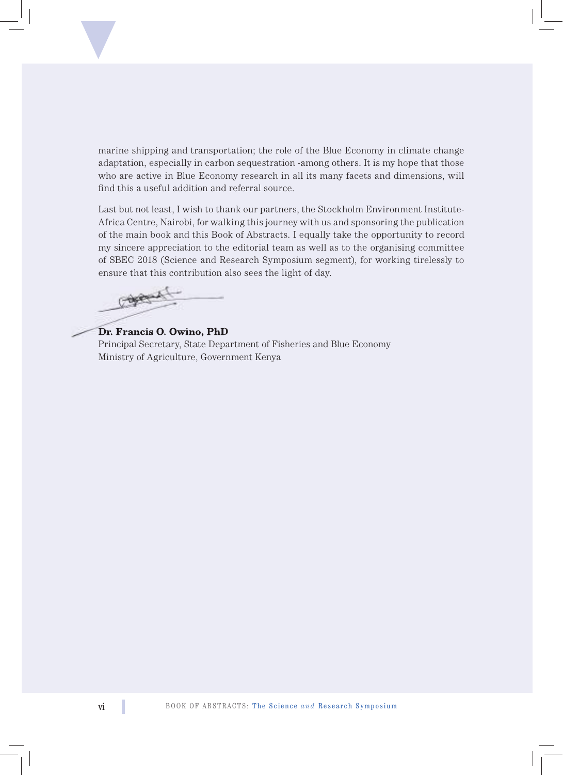

Last but not least, I wish to thank our partners, the Stockholm Environment Institute-Africa Centre, Nairobi, for walking this journey with us and sponsoring the publication of the main book and this Book of Abstracts. I equally take the opportunity to record my sincere appreciation to the editorial team as well as to the organising committee of SBEC 2018 (Science and Research Symposium segment), for working tirelessly to ensure that this contribution also sees the light of day.

### **Dr. Francis O. Owino, PhD**

Principal Secretary, State Department of Fisheries and Blue Economy Ministry of Agriculture, Government Kenya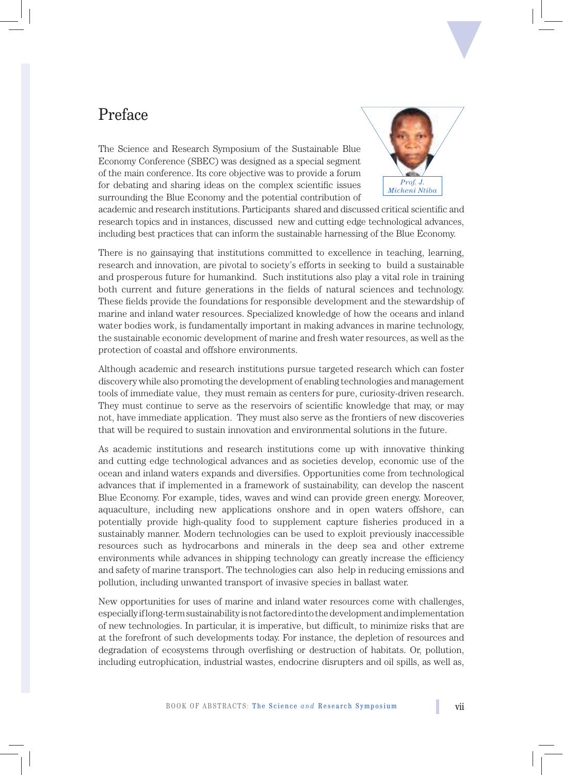## Preface

The Science and Research Symposium of the Sustainable Blue Economy Conference (SBEC) was designed as a special segment of the main conference. Its core objective was to provide a forum for debating and sharing ideas on the complex scientific issues surrounding the Blue Economy and the potential contribution of



academic and research institutions. Participants shared and discussed critical scientific and research topics and in instances, discussed new and cutting edge technological advances, including best practices that can inform the sustainable harnessing of the Blue Economy.

There is no gainsaying that institutions committed to excellence in teaching, learning, research and innovation, are pivotal to society's efforts in seeking to build a sustainable and prosperous future for humankind. Such institutions also play a vital role in training both current and future generations in the fields of natural sciences and technology. These fields provide the foundations for responsible development and the stewardship of marine and inland water resources. Specialized knowledge of how the oceans and inland water bodies work, is fundamentally important in making advances in marine technology, the sustainable economic development of marine and fresh water resources, as well as the protection of coastal and offshore environments.

Although academic and research institutions pursue targeted research which can foster discovery while also promoting the development of enabling technologies and management tools of immediate value, they must remain as centers for pure, curiosity-driven research. They must continue to serve as the reservoirs of scientific knowledge that may, or may not, have immediate application. They must also serve as the frontiers of new discoveries that will be required to sustain innovation and environmental solutions in the future.

As academic institutions and research institutions come up with innovative thinking and cutting edge technological advances and as societies develop, economic use of the ocean and inland waters expands and diversifies. Opportunities come from technological advances that if implemented in a framework of sustainability, can develop the nascent Blue Economy. For example, tides, waves and wind can provide green energy. Moreover, aquaculture, including new applications onshore and in open waters offshore, can potentially provide high-quality food to supplement capture fisheries produced in a sustainably manner. Modern technologies can be used to exploit previously inaccessible resources such as hydrocarbons and minerals in the deep sea and other extreme environments while advances in shipping technology can greatly increase the efficiency and safety of marine transport. The technologies can also help in reducing emissions and pollution, including unwanted transport of invasive species in ballast water.

New opportunities for uses of marine and inland water resources come with challenges, especially if long-term sustainability is not factored into the development and implementation of new technologies. In particular, it is imperative, but difficult, to minimize risks that are at the forefront of such developments today. For instance, the depletion of resources and degradation of ecosystems through overfishing or destruction of habitats. Or, pollution, including eutrophication, industrial wastes, endocrine disrupters and oil spills, as well as,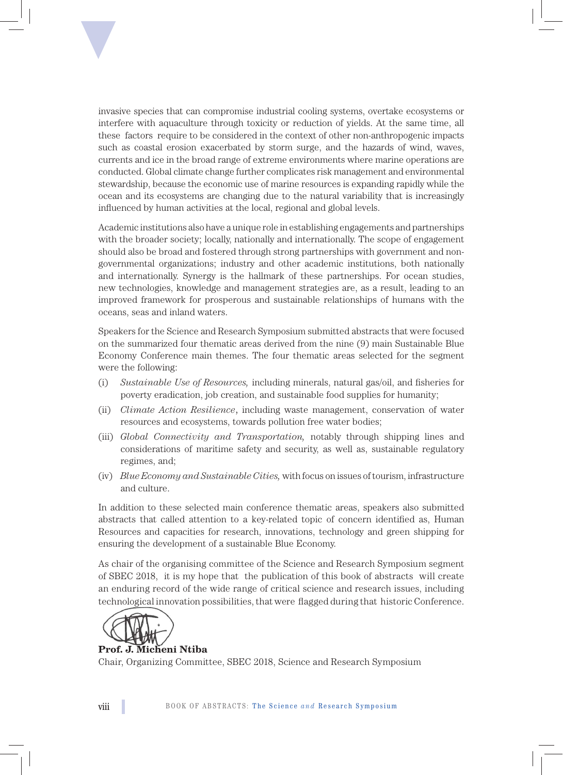

Academic institutions also have a unique role in establishing engagements and partnerships with the broader society; locally, nationally and internationally. The scope of engagement should also be broad and fostered through strong partnerships with government and nongovernmental organizations; industry and other academic institutions, both nationally and internationally. Synergy is the hallmark of these partnerships. For ocean studies, new technologies, knowledge and management strategies are, as a result, leading to an improved framework for prosperous and sustainable relationships of humans with the oceans, seas and inland waters.

Speakers for the Science and Research Symposium submitted abstracts that were focused on the summarized four thematic areas derived from the nine (9) main Sustainable Blue Economy Conference main themes. The four thematic areas selected for the segment were the following:

- (i) *Sustainable Use of Resources,* including minerals, natural gas/oil, and fisheries for poverty eradication, job creation, and sustainable food supplies for humanity;
- (ii) *Climate Action Resilience*, including waste management, conservation of water resources and ecosystems, towards pollution free water bodies;
- (iii) *Global Connectivity and Transportation,* notably through shipping lines and considerations of maritime safety and security, as well as, sustainable regulatory regimes, and;
- (iv) *Blue Economy and Sustainable Cities,* with focus on issues of tourism, infrastructure and culture.

In addition to these selected main conference thematic areas, speakers also submitted abstracts that called attention to a key-related topic of concern identified as, Human Resources and capacities for research, innovations, technology and green shipping for ensuring the development of a sustainable Blue Economy.

As chair of the organising committee of the Science and Research Symposium segment of SBEC 2018, it is my hope that the publication of this book of abstracts will create an enduring record of the wide range of critical science and research issues, including technological innovation possibilities, that were flagged during that historic Conference.

#### **Prof. J. Micheni Ntiba**

Chair, Organizing Committee, SBEC 2018, Science and Research Symposium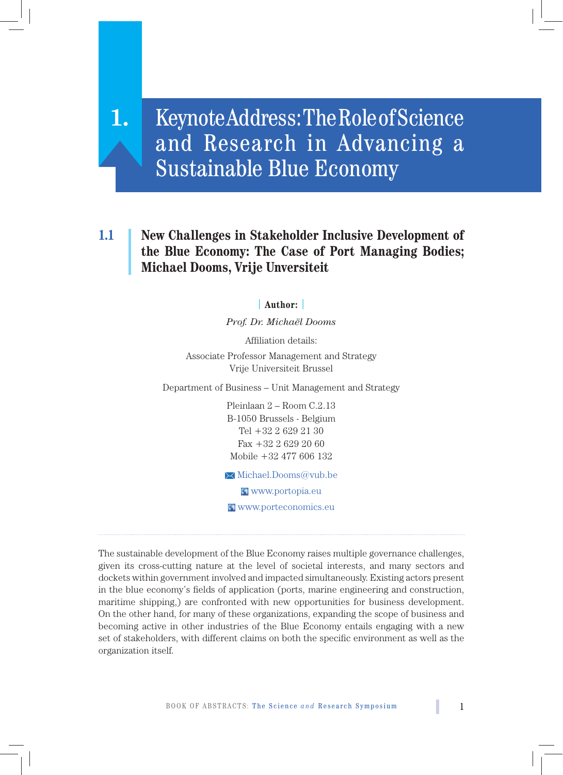## 1. Keynote Address: The Role of Science and Research in Advancing a Sustainable Blue Economy

## **1.1 New Challenges in Stakeholder Inclusive Development of the Blue Economy: The Case of Port Managing Bodies; Michael Dooms, Vrije Unversiteit**

#### | **Author:** |

*Prof. Dr. Michaël Dooms*

Affiliation details: Associate Professor Management and Strategy Vrije Universiteit Brussel

Department of Business – Unit Management and Strategy

Pleinlaan 2 – Room C.2.13 B-1050 Brussels - Belgium Tel +32 2 629 21 30 Fax +32 2 629 20 60 Mobile +32 477 606 132

 $\times$  Michael.Dooms@vub.be

www.portopia.eu

www.porteconomics.eu

The sustainable development of the Blue Economy raises multiple governance challenges, given its cross-cutting nature at the level of societal interests, and many sectors and dockets within government involved and impacted simultaneously. Existing actors present in the blue economy's fields of application (ports, marine engineering and construction, maritime shipping,) are confronted with new opportunities for business development. On the other hand, for many of these organizations, expanding the scope of business and becoming active in other industries of the Blue Economy entails engaging with a new set of stakeholders, with different claims on both the specific environment as well as the organization itself.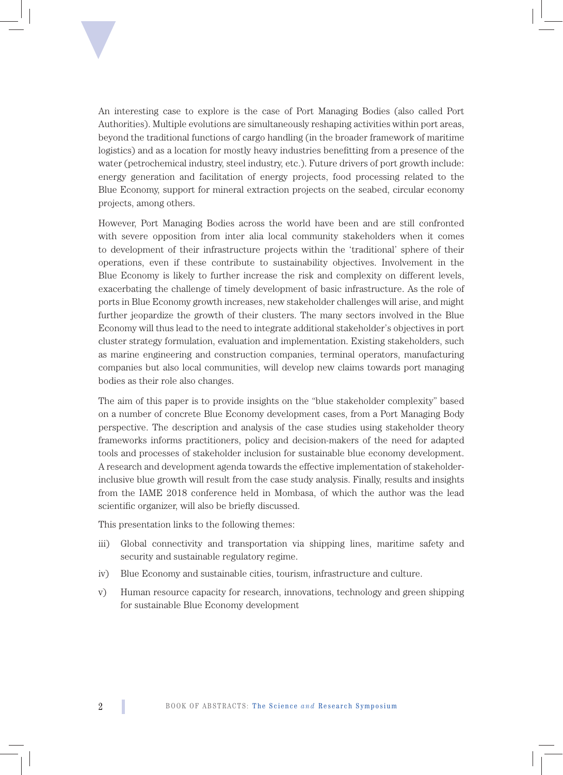

An interesting case to explore is the case of Port Managing Bodies (also called Port Authorities). Multiple evolutions are simultaneously reshaping activities within port areas, beyond the traditional functions of cargo handling (in the broader framework of maritime logistics) and as a location for mostly heavy industries benefitting from a presence of the water (petrochemical industry, steel industry, etc.). Future drivers of port growth include: energy generation and facilitation of energy projects, food processing related to the Blue Economy, support for mineral extraction projects on the seabed, circular economy projects, among others.

However, Port Managing Bodies across the world have been and are still confronted with severe opposition from inter alia local community stakeholders when it comes to development of their infrastructure projects within the 'traditional' sphere of their operations, even if these contribute to sustainability objectives. Involvement in the Blue Economy is likely to further increase the risk and complexity on different levels, exacerbating the challenge of timely development of basic infrastructure. As the role of ports in Blue Economy growth increases, new stakeholder challenges will arise, and might further jeopardize the growth of their clusters. The many sectors involved in the Blue Economy will thus lead to the need to integrate additional stakeholder's objectives in port cluster strategy formulation, evaluation and implementation. Existing stakeholders, such as marine engineering and construction companies, terminal operators, manufacturing companies but also local communities, will develop new claims towards port managing bodies as their role also changes.

The aim of this paper is to provide insights on the "blue stakeholder complexity" based on a number of concrete Blue Economy development cases, from a Port Managing Body perspective. The description and analysis of the case studies using stakeholder theory frameworks informs practitioners, policy and decision-makers of the need for adapted tools and processes of stakeholder inclusion for sustainable blue economy development. A research and development agenda towards the effective implementation of stakeholderinclusive blue growth will result from the case study analysis. Finally, results and insights from the IAME 2018 conference held in Mombasa, of which the author was the lead scientific organizer, will also be briefly discussed.

This presentation links to the following themes:

- iii) Global connectivity and transportation via shipping lines, maritime safety and security and sustainable regulatory regime.
- iv) Blue Economy and sustainable cities, tourism, infrastructure and culture.
- v) Human resource capacity for research, innovations, technology and green shipping for sustainable Blue Economy development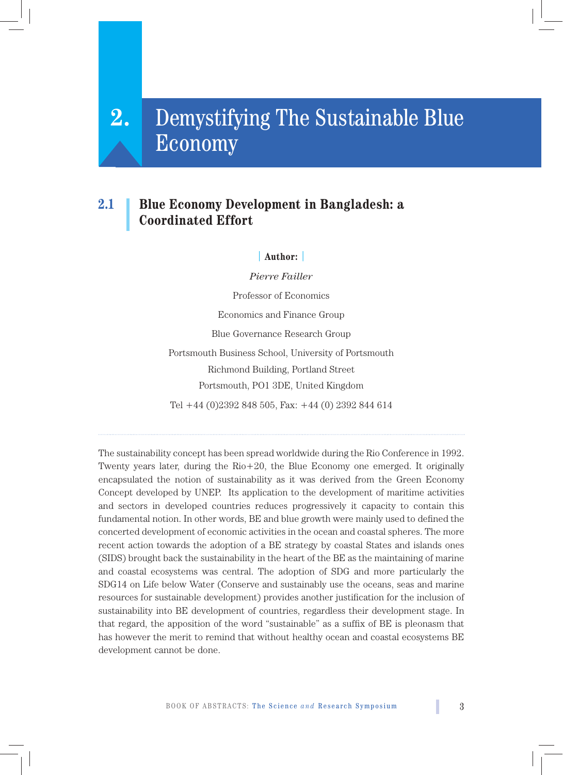## **2.** Demystifying The Sustainable Blue Economy

## **2.1 Blue Economy Development in Bangladesh: a Coordinated Effort**

| **Author:** |

*Pierre Failler* Professor of Economics Economics and Finance Group Blue Governance Research Group Portsmouth Business School, University of Portsmouth Richmond Building, Portland Street Portsmouth, PO1 3DE, United Kingdom Tel +44 (0)2392 848 505, Fax: +44 (0) 2392 844 614

The sustainability concept has been spread worldwide during the Rio Conference in 1992. Twenty years later, during the Rio+20, the Blue Economy one emerged. It originally encapsulated the notion of sustainability as it was derived from the Green Economy Concept developed by UNEP. Its application to the development of maritime activities and sectors in developed countries reduces progressively it capacity to contain this fundamental notion. In other words, BE and blue growth were mainly used to defined the concerted development of economic activities in the ocean and coastal spheres. The more recent action towards the adoption of a BE strategy by coastal States and islands ones (SIDS) brought back the sustainability in the heart of the BE as the maintaining of marine and coastal ecosystems was central. The adoption of SDG and more particularly the SDG14 on Life below Water (Conserve and sustainably use the oceans, seas and marine resources for sustainable development) provides another justification for the inclusion of sustainability into BE development of countries, regardless their development stage. In that regard, the apposition of the word "sustainable" as a suffix of BE is pleonasm that has however the merit to remind that without healthy ocean and coastal ecosystems BE development cannot be done.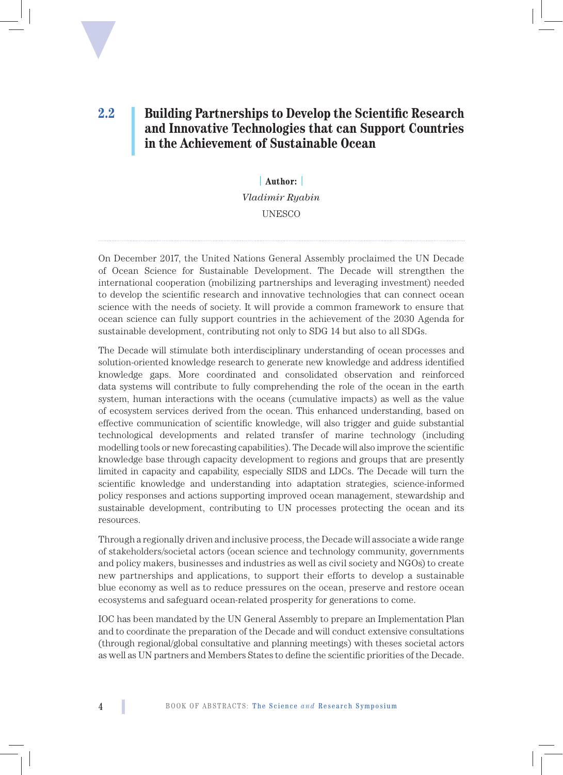### **2.2 Building Partnerships to Develop the Scientific Research and Innovative Technologies that can Support Countries in the Achievement of Sustainable Ocean**

| **Author:** | *Vladimir Ryabin* **UNESCO** 

On December 2017, the United Nations General Assembly proclaimed the UN Decade of Ocean Science for Sustainable Development. The Decade will strengthen the international cooperation (mobilizing partnerships and leveraging investment) needed to develop the scientific research and innovative technologies that can connect ocean science with the needs of society. It will provide a common framework to ensure that ocean science can fully support countries in the achievement of the 2030 Agenda for sustainable development, contributing not only to SDG 14 but also to all SDGs.

The Decade will stimulate both interdisciplinary understanding of ocean processes and solution-oriented knowledge research to generate new knowledge and address identified knowledge gaps. More coordinated and consolidated observation and reinforced data systems will contribute to fully comprehending the role of the ocean in the earth system, human interactions with the oceans (cumulative impacts) as well as the value of ecosystem services derived from the ocean. This enhanced understanding, based on effective communication of scientific knowledge, will also trigger and guide substantial technological developments and related transfer of marine technology (including modelling tools or new forecasting capabilities). The Decade will also improve the scientific knowledge base through capacity development to regions and groups that are presently limited in capacity and capability, especially SIDS and LDCs. The Decade will turn the scientific knowledge and understanding into adaptation strategies, science-informed policy responses and actions supporting improved ocean management, stewardship and sustainable development, contributing to UN processes protecting the ocean and its resources.

Through a regionally driven and inclusive process, the Decade will associate a wide range of stakeholders/societal actors (ocean science and technology community, governments and policy makers, businesses and industries as well as civil society and NGOs) to create new partnerships and applications, to support their efforts to develop a sustainable blue economy as well as to reduce pressures on the ocean, preserve and restore ocean ecosystems and safeguard ocean-related prosperity for generations to come.

IOC has been mandated by the UN General Assembly to prepare an Implementation Plan and to coordinate the preparation of the Decade and will conduct extensive consultations (through regional/global consultative and planning meetings) with theses societal actors as well as UN partners and Members States to define the scientific priorities of the Decade.

4 BOOK OF ABSTRACTS: The Science *and* Research Symposium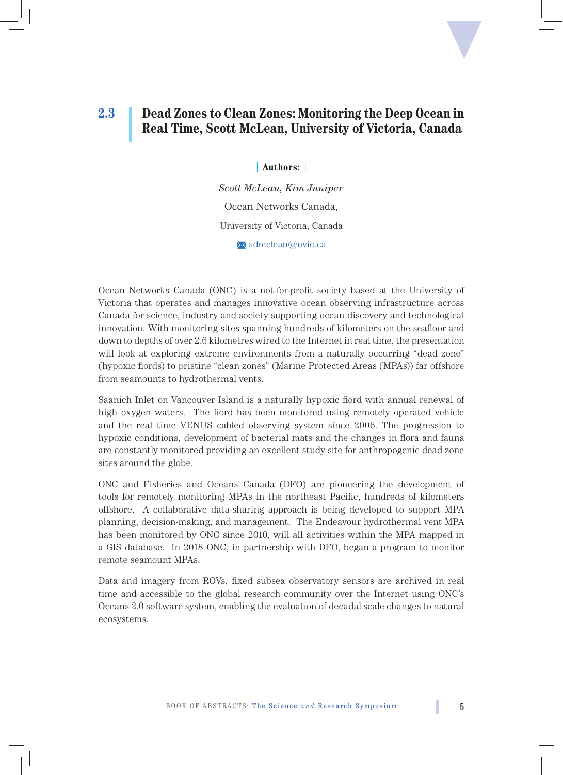## **2.3 Dead Zones to Clean Zones: Monitoring the Deep Ocean in Real Time, Scott McLean, University of Victoria, Canada**

| **Authors:** |

*Scott McLean, Kim Juniper* Ocean Networks Canada, University of Victoria, Canada  $\times$  sdmclean@uvic.ca

Ocean Networks Canada (ONC) is a not-for-profit society based at the University of Victoria that operates and manages innovative ocean observing infrastructure across Canada for science, industry and society supporting ocean discovery and technological innovation. With monitoring sites spanning hundreds of kilometers on the seafloor and down to depths of over 2.6 kilometres wired to the Internet in real time, the presentation will look at exploring extreme environments from a naturally occurring "dead zone" (hypoxic fiords) to pristine "clean zones" (Marine Protected Areas (MPAs)) far offshore from seamounts to hydrothermal vents.

Saanich Inlet on Vancouver Island is a naturally hypoxic fiord with annual renewal of high oxygen waters. The fiord has been monitored using remotely operated vehicle and the real time VENUS cabled observing system since 2006. The progression to hypoxic conditions, development of bacterial mats and the changes in flora and fauna are constantly monitored providing an excellent study site for anthropogenic dead zone sites around the globe.

ONC and Fisheries and Oceans Canada (DFO) are pioneering the development of tools for remotely monitoring MPAs in the northeast Pacific, hundreds of kilometers offshore. A collaborative data-sharing approach is being developed to support MPA planning, decision-making, and management. The Endeavour hydrothermal vent MPA has been monitored by ONC since 2010, will all activities within the MPA mapped in a GIS database. In 2018 ONC, in partnership with DFO, began a program to monitor remote seamount MPAs.

Data and imagery from ROVs, fixed subsea observatory sensors are archived in real time and accessible to the global research community over the Internet using ONC's Oceans 2.0 software system, enabling the evaluation of decadal scale changes to natural ecosystems.

BOOK OF ABSTRACTS: The Science *and* Research Symposium 5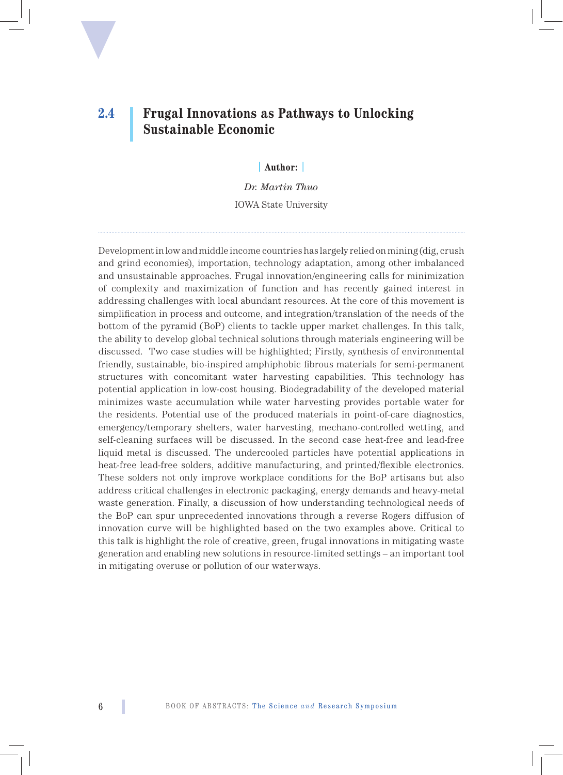## **2.4 Frugal Innovations as Pathways to Unlocking Sustainable Economic**

| **Author:** |

*Dr. Martin Thuo*

IOWA State University

Development in low and middle income countries has largely relied on mining (dig, crush and grind economies), importation, technology adaptation, among other imbalanced and unsustainable approaches. Frugal innovation/engineering calls for minimization of complexity and maximization of function and has recently gained interest in addressing challenges with local abundant resources. At the core of this movement is simplification in process and outcome, and integration/translation of the needs of the bottom of the pyramid (BoP) clients to tackle upper market challenges. In this talk, the ability to develop global technical solutions through materials engineering will be discussed. Two case studies will be highlighted; Firstly, synthesis of environmental friendly, sustainable, bio-inspired amphiphobic fibrous materials for semi-permanent structures with concomitant water harvesting capabilities. This technology has potential application in low-cost housing. Biodegradability of the developed material minimizes waste accumulation while water harvesting provides portable water for the residents. Potential use of the produced materials in point-of-care diagnostics, emergency/temporary shelters, water harvesting, mechano-controlled wetting, and self-cleaning surfaces will be discussed. In the second case heat-free and lead-free liquid metal is discussed. The undercooled particles have potential applications in heat-free lead-free solders, additive manufacturing, and printed/flexible electronics. These solders not only improve workplace conditions for the BoP artisans but also address critical challenges in electronic packaging, energy demands and heavy-metal waste generation. Finally, a discussion of how understanding technological needs of the BoP can spur unprecedented innovations through a reverse Rogers diffusion of innovation curve will be highlighted based on the two examples above. Critical to this talk is highlight the role of creative, green, frugal innovations in mitigating waste generation and enabling new solutions in resource-limited settings – an important tool in mitigating overuse or pollution of our waterways.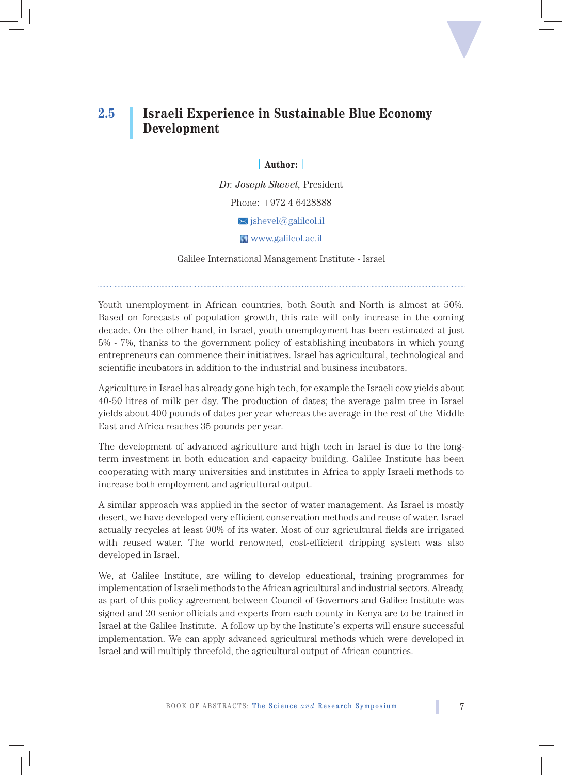## **2.5 Israeli Experience in Sustainable Blue Economy Development**

| **Author:** |

*Dr. Joseph Shevel,* President Phone: +972 4 6428888  $\times$  jshevel@galilcol.il www.galilcol.ac.il

Galilee International Management Institute - Israel

Youth unemployment in African countries, both South and North is almost at 50%. Based on forecasts of population growth, this rate will only increase in the coming decade. On the other hand, in Israel, youth unemployment has been estimated at just 5% - 7%, thanks to the government policy of establishing incubators in which young entrepreneurs can commence their initiatives. Israel has agricultural, technological and scientific incubators in addition to the industrial and business incubators.

Agriculture in Israel has already gone high tech, for example the Israeli cow yields about 40-50 litres of milk per day. The production of dates; the average palm tree in Israel yields about 400 pounds of dates per year whereas the average in the rest of the Middle East and Africa reaches 35 pounds per year.

The development of advanced agriculture and high tech in Israel is due to the longterm investment in both education and capacity building. Galilee Institute has been cooperating with many universities and institutes in Africa to apply Israeli methods to increase both employment and agricultural output.

A similar approach was applied in the sector of water management. As Israel is mostly desert, we have developed very efficient conservation methods and reuse of water. Israel actually recycles at least 90% of its water. Most of our agricultural fields are irrigated with reused water. The world renowned, cost-efficient dripping system was also developed in Israel.

We, at Galilee Institute, are willing to develop educational, training programmes for implementation of Israeli methods to the African agricultural and industrial sectors. Already, as part of this policy agreement between Council of Governors and Galilee Institute was signed and 20 senior officials and experts from each county in Kenya are to be trained in Israel at the Galilee Institute. A follow up by the Institute's experts will ensure successful implementation. We can apply advanced agricultural methods which were developed in Israel and will multiply threefold, the agricultural output of African countries.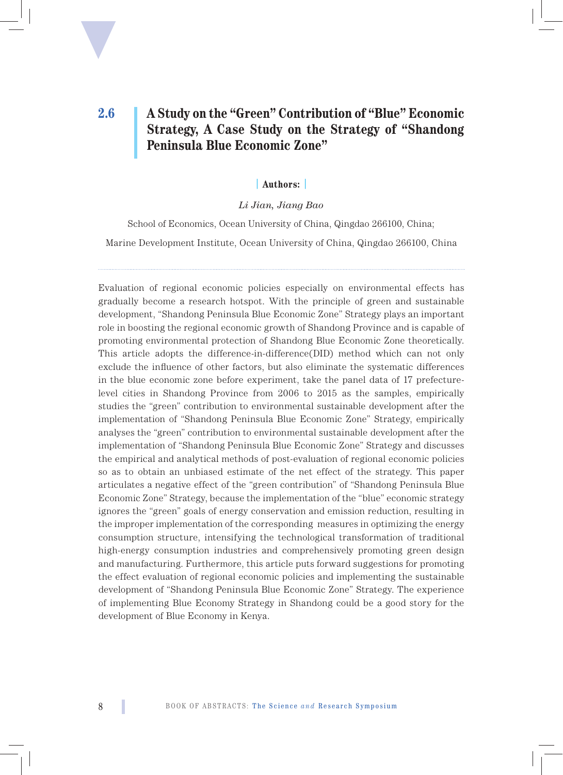## **2.6 A Study on the "Green" Contribution of "Blue" Economic Strategy, A Case Study on the Strategy of "Shandong Peninsula Blue Economic Zone"**

#### | **Authors:** |

#### *Li Jian, Jiang Bao*

School of Economics, Ocean University of China, Qingdao 266100, China; Marine Development Institute, Ocean University of China, Qingdao 266100, China

Evaluation of regional economic policies especially on environmental effects has gradually become a research hotspot. With the principle of green and sustainable development, "Shandong Peninsula Blue Economic Zone" Strategy plays an important role in boosting the regional economic growth of Shandong Province and is capable of promoting environmental protection of Shandong Blue Economic Zone theoretically. This article adopts the difference-in-difference(DID) method which can not only exclude the influence of other factors, but also eliminate the systematic differences in the blue economic zone before experiment, take the panel data of 17 prefecturelevel cities in Shandong Province from 2006 to 2015 as the samples, empirically studies the "green" contribution to environmental sustainable development after the implementation of "Shandong Peninsula Blue Economic Zone" Strategy, empirically analyses the "green" contribution to environmental sustainable development after the implementation of "Shandong Peninsula Blue Economic Zone" Strategy and discusses the empirical and analytical methods of post-evaluation of regional economic policies so as to obtain an unbiased estimate of the net effect of the strategy. This paper articulates a negative effect of the "green contribution" of "Shandong Peninsula Blue Economic Zone" Strategy, because the implementation of the "blue" economic strategy ignores the "green" goals of energy conservation and emission reduction, resulting in the improper implementation of the corresponding measures in optimizing the energy consumption structure, intensifying the technological transformation of traditional high-energy consumption industries and comprehensively promoting green design and manufacturing. Furthermore, this article puts forward suggestions for promoting the effect evaluation of regional economic policies and implementing the sustainable development of "Shandong Peninsula Blue Economic Zone" Strategy. The experience of implementing Blue Economy Strategy in Shandong could be a good story for the development of Blue Economy in Kenya.

8 BOOK OF ABSTRACTS: The Science *and* Research Symposium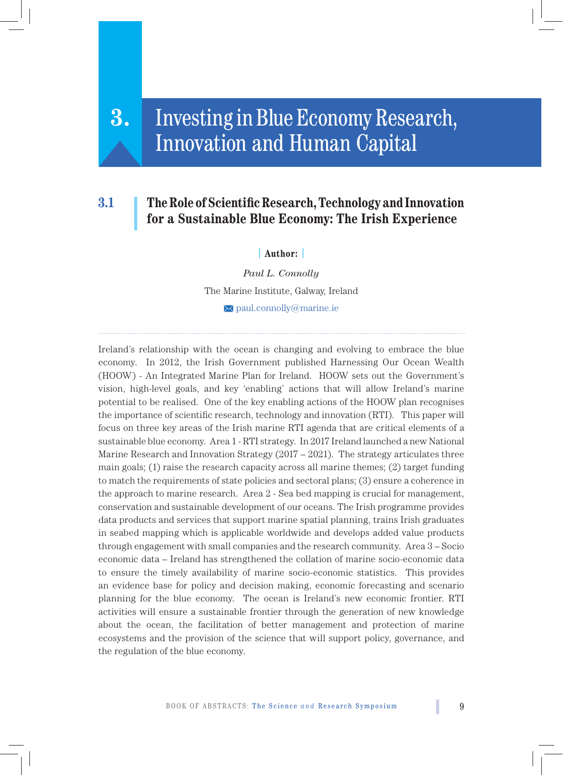## **3.** Investing in Blue Economy Research, Innovation and Human Capital

## **3.1 The Role of Scientific Research, Technology and Innovation for a Sustainable Blue Economy: The Irish Experience**

| **Author:** |

*Paul L. Connolly* The Marine Institute, Galway, Ireland  $\times$  paul.connolly@marine.ie

Ireland's relationship with the ocean is changing and evolving to embrace the blue economy. In 2012, the Irish Government published Harnessing Our Ocean Wealth (HOOW) - An Integrated Marine Plan for Ireland. HOOW sets out the Government's vision, high-level goals, and key 'enabling' actions that will allow Ireland's marine potential to be realised. One of the key enabling actions of the HOOW plan recognises the importance of scientific research, technology and innovation (RTI). This paper will focus on three key areas of the Irish marine RTI agenda that are critical elements of a sustainable blue economy. Area 1 - RTI strategy. In 2017 Ireland launched a new National Marine Research and Innovation Strategy (2017 – 2021). The strategy articulates three main goals; (1) raise the research capacity across all marine themes; (2) target funding to match the requirements of state policies and sectoral plans; (3) ensure a coherence in the approach to marine research. Area 2 - Sea bed mapping is crucial for management, conservation and sustainable development of our oceans. The Irish programme provides data products and services that support marine spatial planning, trains Irish graduates in seabed mapping which is applicable worldwide and develops added value products through engagement with small companies and the research community. Area 3 – Socio economic data – Ireland has strengthened the collation of marine socio-economic data to ensure the timely availability of marine socio-economic statistics. This provides an evidence base for policy and decision making, economic forecasting and scenario planning for the blue economy. The ocean is Ireland's new economic frontier. RTI activities will ensure a sustainable frontier through the generation of new knowledge about the ocean, the facilitation of better management and protection of marine ecosystems and the provision of the science that will support policy, governance, and the regulation of the blue economy.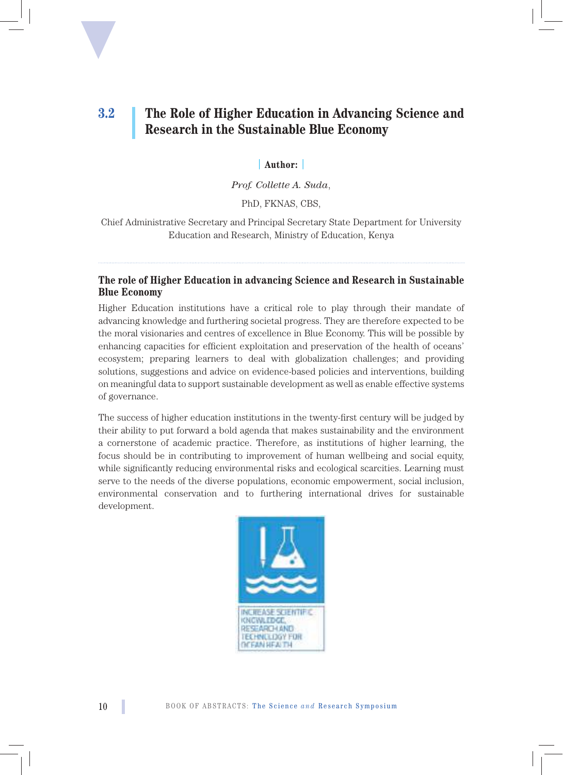## **3.2 The Role of Higher Education in Advancing Science and Research in the Sustainable Blue Economy**

#### | **Author:** |

*Prof. Collette A. Suda*,

PhD, FKNAS, CBS,

Chief Administrative Secretary and Principal Secretary State Department for University Education and Research, Ministry of Education, Kenya

#### **The role of Higher Education in advancing Science and Research in Sustainable Blue Economy**

Higher Education institutions have a critical role to play through their mandate of advancing knowledge and furthering societal progress. They are therefore expected to be the moral visionaries and centres of excellence in Blue Economy. This will be possible by enhancing capacities for efficient exploitation and preservation of the health of oceans' ecosystem; preparing learners to deal with globalization challenges; and providing solutions, suggestions and advice on evidence-based policies and interventions, building on meaningful data to support sustainable development as well as enable effective systems of governance.

The success of higher education institutions in the twenty-first century will be judged by their ability to put forward a bold agenda that makes sustainability and the environment a cornerstone of academic practice. Therefore, as institutions of higher learning, the focus should be in contributing to improvement of human wellbeing and social equity, while significantly reducing environmental risks and ecological scarcities. Learning must serve to the needs of the diverse populations, economic empowerment, social inclusion, environmental conservation and to furthering international drives for sustainable development.

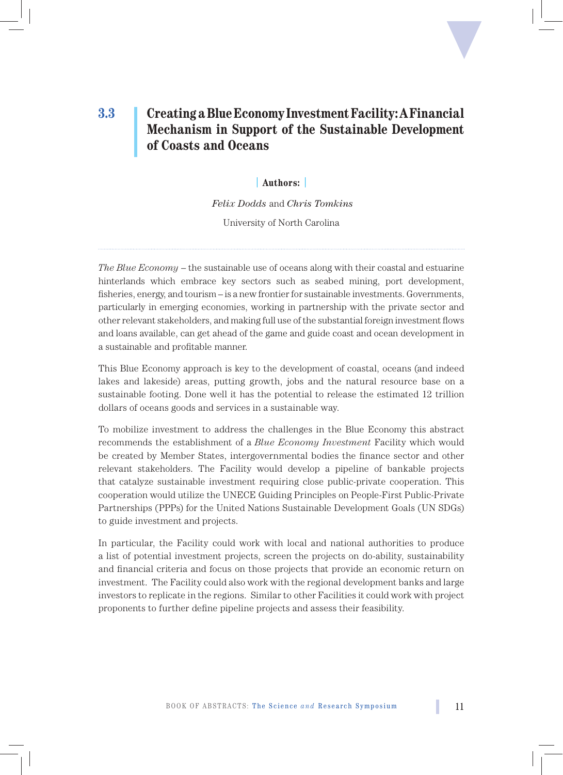## **3.3 Creating a Blue Economy Investment Facility: A Financial Mechanism in Support of the Sustainable Development of Coasts and Oceans**

#### | **Authors:** |

 *Felix Dodds* and *Chris Tomkins* University of North Carolina

*The Blue Economy* – the sustainable use of oceans along with their coastal and estuarine hinterlands which embrace key sectors such as seabed mining, port development, fisheries, energy, and tourism – is a new frontier for sustainable investments. Governments, particularly in emerging economies, working in partnership with the private sector and other relevant stakeholders, and making full use of the substantial foreign investment flows and loans available, can get ahead of the game and guide coast and ocean development in a sustainable and profitable manner.

This Blue Economy approach is key to the development of coastal, oceans (and indeed lakes and lakeside) areas, putting growth, jobs and the natural resource base on a sustainable footing. Done well it has the potential to release the estimated 12 trillion dollars of oceans goods and services in a sustainable way.

To mobilize investment to address the challenges in the Blue Economy this abstract recommends the establishment of a *Blue Economy Investment* Facility which would be created by Member States, intergovernmental bodies the finance sector and other relevant stakeholders. The Facility would develop a pipeline of bankable projects that catalyze sustainable investment requiring close public-private cooperation. This cooperation would utilize the UNECE Guiding Principles on People-First Public-Private Partnerships (PPPs) for the United Nations Sustainable Development Goals (UN SDGs) to guide investment and projects.

In particular, the Facility could work with local and national authorities to produce a list of potential investment projects, screen the projects on do-ability, sustainability and financial criteria and focus on those projects that provide an economic return on investment. The Facility could also work with the regional development banks and large investors to replicate in the regions. Similar to other Facilities it could work with project proponents to further define pipeline projects and assess their feasibility.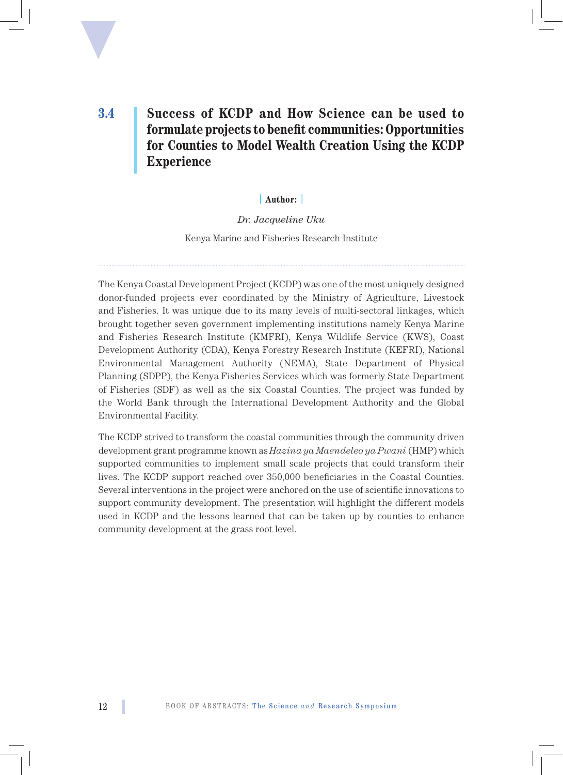## **3.4 Success of KCDP and How Science can be used to formulate projects to benefit communities: Opportunities for Counties to Model Wealth Creation Using the KCDP Experience**

#### | **Author:** |

*Dr. Jacqueline Uku*

Kenya Marine and Fisheries Research Institute

The Kenya Coastal Development Project (KCDP) was one of the most uniquely designed donor-funded projects ever coordinated by the Ministry of Agriculture, Livestock and Fisheries. It was unique due to its many levels of multi-sectoral linkages, which brought together seven government implementing institutions namely Kenya Marine and Fisheries Research Institute (KMFRI), Kenya Wildlife Service (KWS), Coast Development Authority (CDA), Kenya Forestry Research Institute (KEFRI), National Environmental Management Authority (NEMA), State Department of Physical Planning (SDPP), the Kenya Fisheries Services which was formerly State Department of Fisheries (SDF) as well as the six Coastal Counties. The project was funded by the World Bank through the International Development Authority and the Global Environmental Facility.

The KCDP strived to transform the coastal communities through the community driven development grant programme known as *Hazina ya Maendeleo ya Pwani* (HMP) which supported communities to implement small scale projects that could transform their lives. The KCDP support reached over 350,000 beneficiaries in the Coastal Counties. Several interventions in the project were anchored on the use of scientific innovations to support community development. The presentation will highlight the different models used in KCDP and the lessons learned that can be taken up by counties to enhance community development at the grass root level.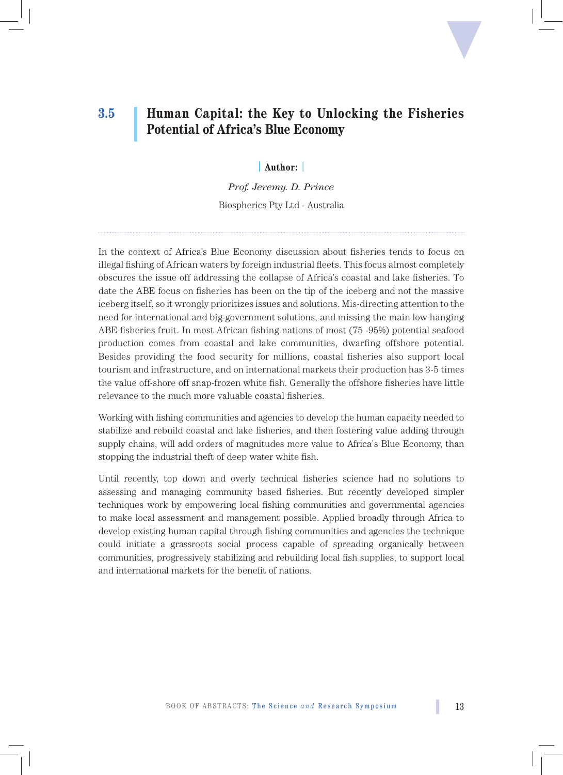## **3.5 Human Capital: the Key to Unlocking the Fisheries Potential of Africa's Blue Economy**

#### | **Author:** |

*Prof. Jeremy. D. Prince*

Biospherics Pty Ltd - Australia

In the context of Africa's Blue Economy discussion about fisheries tends to focus on illegal fishing of African waters by foreign industrial fleets. This focus almost completely obscures the issue off addressing the collapse of Africa's coastal and lake fisheries. To date the ABE focus on fisheries has been on the tip of the iceberg and not the massive iceberg itself, so it wrongly prioritizes issues and solutions. Mis-directing attention to the need for international and big-government solutions, and missing the main low hanging ABE fisheries fruit. In most African fishing nations of most (75 -95%) potential seafood production comes from coastal and lake communities, dwarfing offshore potential. Besides providing the food security for millions, coastal fisheries also support local tourism and infrastructure, and on international markets their production has 3-5 times the value off-shore off snap-frozen white fish. Generally the offshore fisheries have little relevance to the much more valuable coastal fisheries.

Working with fishing communities and agencies to develop the human capacity needed to stabilize and rebuild coastal and lake fisheries, and then fostering value adding through supply chains, will add orders of magnitudes more value to Africa's Blue Economy, than stopping the industrial theft of deep water white fish.

Until recently, top down and overly technical fisheries science had no solutions to assessing and managing community based fisheries. But recently developed simpler techniques work by empowering local fishing communities and governmental agencies to make local assessment and management possible. Applied broadly through Africa to develop existing human capital through fishing communities and agencies the technique could initiate a grassroots social process capable of spreading organically between communities, progressively stabilizing and rebuilding local fish supplies, to support local and international markets for the benefit of nations.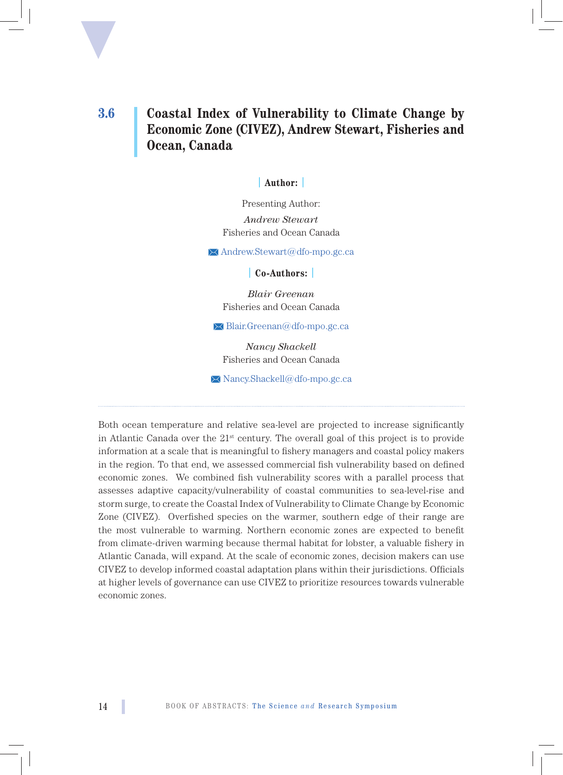## **3.6 Coastal Index of Vulnerability to Climate Change by Economic Zone (CIVEZ), Andrew Stewart, Fisheries and Ocean, Canada**

| **Author:** |

Presenting Author: *Andrew Stewart* Fisheries and Ocean Canada

Andrew.Stewart@dfo-mpo.gc.ca

| **Co-Authors:** |

*Blair Greenan* Fisheries and Ocean Canada

 $\times$ Blair.Greenan@dfo-mpo.gc.ca

*Nancy Shackell* Fisheries and Ocean Canada

 $\times$  Nancy.Shackell@dfo-mpo.gc.ca

Both ocean temperature and relative sea-level are projected to increase significantly in Atlantic Canada over the  $21<sup>st</sup>$  century. The overall goal of this project is to provide information at a scale that is meaningful to fishery managers and coastal policy makers in the region. To that end, we assessed commercial fish vulnerability based on defined economic zones. We combined fish vulnerability scores with a parallel process that assesses adaptive capacity/vulnerability of coastal communities to sea-level-rise and storm surge, to create the Coastal Index of Vulnerability to Climate Change by Economic Zone (CIVEZ). Overfished species on the warmer, southern edge of their range are the most vulnerable to warming. Northern economic zones are expected to benefit from climate-driven warming because thermal habitat for lobster, a valuable fishery in Atlantic Canada, will expand. At the scale of economic zones, decision makers can use CIVEZ to develop informed coastal adaptation plans within their jurisdictions. Officials at higher levels of governance can use CIVEZ to prioritize resources towards vulnerable economic zones.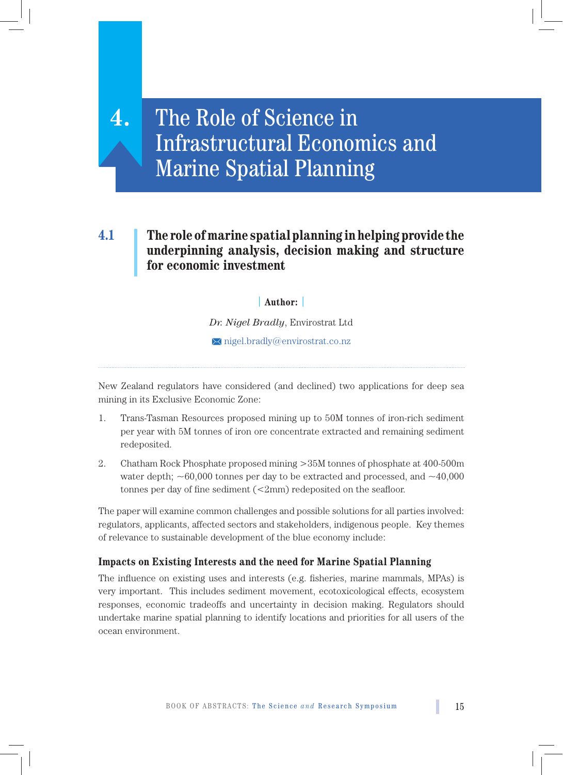## **4.** The Role of Science in Infrastructural Economics and Marine Spatial Planning

## **4.1 The role of marine spatial planning in helping provide the underpinning analysis, decision making and structure for economic investment**

#### | **Author:** |

*Dr. Nigel Bradly*, Envirostrat Ltd  $\times$  nigel.bradly@envirostrat.co.nz

New Zealand regulators have considered (and declined) two applications for deep sea mining in its Exclusive Economic Zone:

- 1. Trans-Tasman Resources proposed mining up to 50M tonnes of iron-rich sediment per year with 5M tonnes of iron ore concentrate extracted and remaining sediment redeposited.
- 2. Chatham Rock Phosphate proposed mining >35M tonnes of phosphate at 400-500m water depth;  $\sim 60,000$  tonnes per day to be extracted and processed, and  $\sim 40,000$ tonnes per day of fine sediment (<2mm) redeposited on the seafloor.

The paper will examine common challenges and possible solutions for all parties involved: regulators, applicants, affected sectors and stakeholders, indigenous people. Key themes of relevance to sustainable development of the blue economy include:

#### **Impacts on Existing Interests and the need for Marine Spatial Planning**

The influence on existing uses and interests (e.g. fisheries, marine mammals, MPAs) is very important. This includes sediment movement, ecotoxicological effects, ecosystem responses, economic tradeoffs and uncertainty in decision making. Regulators should undertake marine spatial planning to identify locations and priorities for all users of the ocean environment.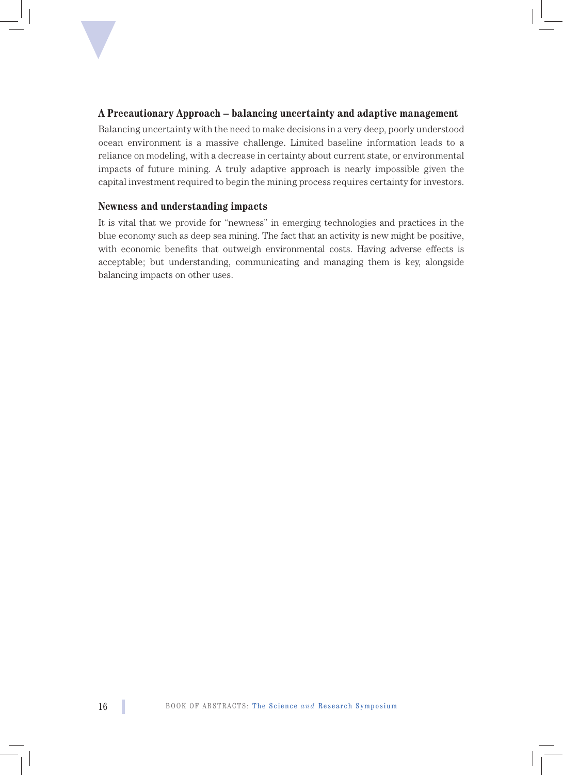#### **A Precautionary Approach – balancing uncertainty and adaptive management**

Balancing uncertainty with the need to make decisions in a very deep, poorly understood ocean environment is a massive challenge. Limited baseline information leads to a reliance on modeling, with a decrease in certainty about current state, or environmental impacts of future mining. A truly adaptive approach is nearly impossible given the capital investment required to begin the mining process requires certainty for investors.

#### **Newness and understanding impacts**

It is vital that we provide for "newness" in emerging technologies and practices in the blue economy such as deep sea mining. The fact that an activity is new might be positive, with economic benefits that outweigh environmental costs. Having adverse effects is acceptable; but understanding, communicating and managing them is key, alongside balancing impacts on other uses.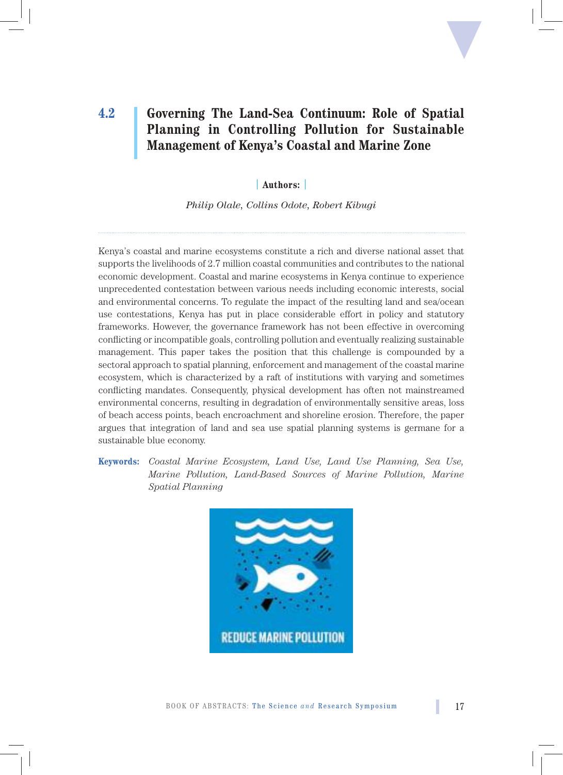## **4.2 Governing The Land-Sea Continuum: Role of Spatial Planning in Controlling Pollution for Sustainable Management of Kenya's Coastal and Marine Zone**

#### | **Authors:** |

*Philip Olale, Collins Odote, Robert Kibugi*

Kenya's coastal and marine ecosystems constitute a rich and diverse national asset that supports the livelihoods of 2.7 million coastal communities and contributes to the national economic development. Coastal and marine ecosystems in Kenya continue to experience unprecedented contestation between various needs including economic interests, social and environmental concerns. To regulate the impact of the resulting land and sea/ocean use contestations, Kenya has put in place considerable effort in policy and statutory frameworks. However, the governance framework has not been effective in overcoming conflicting or incompatible goals, controlling pollution and eventually realizing sustainable management. This paper takes the position that this challenge is compounded by a sectoral approach to spatial planning, enforcement and management of the coastal marine ecosystem, which is characterized by a raft of institutions with varying and sometimes conflicting mandates. Consequently, physical development has often not mainstreamed environmental concerns, resulting in degradation of environmentally sensitive areas, loss of beach access points, beach encroachment and shoreline erosion. Therefore, the paper argues that integration of land and sea use spatial planning systems is germane for a sustainable blue economy.

**Keywords:** *Coastal Marine Ecosystem, Land Use, Land Use Planning, Sea Use, Marine Pollution, Land-Based Sources of Marine Pollution, Marine Spatial Planning* 

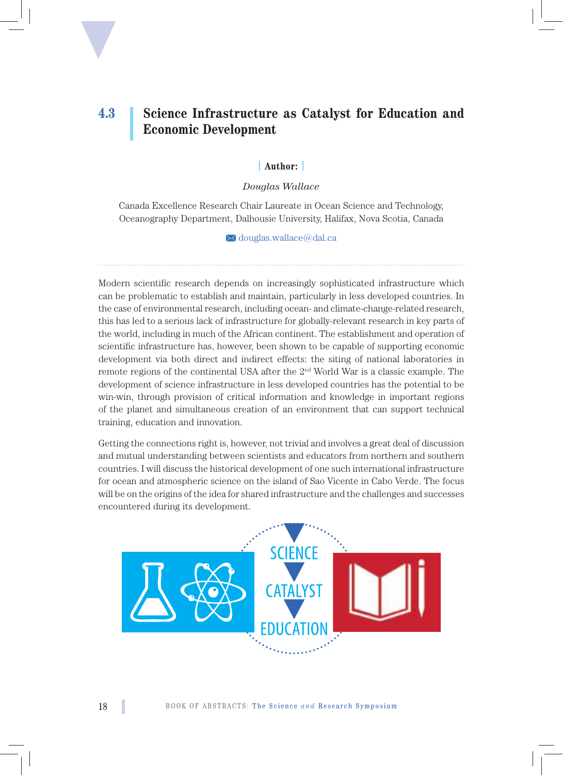## **4.3 Science Infrastructure as Catalyst for Education and Economic Development**

#### | **Author:** |

#### *Douglas Wallace*

Canada Excellence Research Chair Laureate in Ocean Science and Technology, Oceanography Department, Dalhousie University, Halifax, Nova Scotia, Canada

 $\times$  douglas.wallace@dal.ca

Modern scientific research depends on increasingly sophisticated infrastructure which can be problematic to establish and maintain, particularly in less developed countries. In the case of environmental research, including ocean- and climate-change-related research, this has led to a serious lack of infrastructure for globally-relevant research in key parts of the world, including in much of the African continent. The establishment and operation of scientific infrastructure has, however, been shown to be capable of supporting economic development via both direct and indirect effects: the siting of national laboratories in remote regions of the continental USA after the 2nd World War is a classic example. The development of science infrastructure in less developed countries has the potential to be win-win, through provision of critical information and knowledge in important regions of the planet and simultaneous creation of an environment that can support technical training, education and innovation.

Getting the connections right is, however, not trivial and involves a great deal of discussion and mutual understanding between scientists and educators from northern and southern countries. I will discuss the historical development of one such international infrastructure for ocean and atmospheric science on the island of Sao Vicente in Cabo Verde. The focus will be on the origins of the idea for shared infrastructure and the challenges and successes encountered during its development.



18 BOOK OF ABSTRACTS: The Science *and* Research Symposium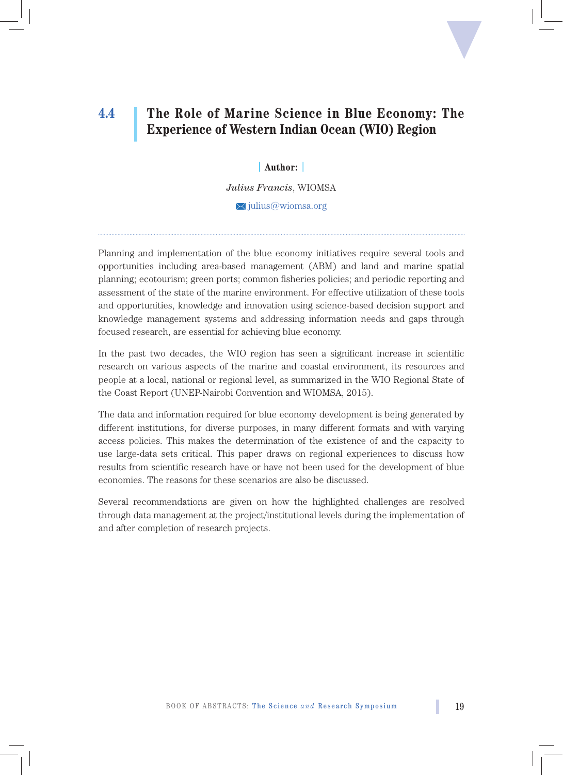## **4.4 The Role of Marine Science in Blue Economy: The Experience of Western Indian Ocean (WIO) Region**

| **Author:** |

*Julius Francis*, WIOMSA

 $\times$  julius@wiomsa.org

Planning and implementation of the blue economy initiatives require several tools and opportunities including area-based management (ABM) and land and marine spatial planning; ecotourism; green ports; common fisheries policies; and periodic reporting and assessment of the state of the marine environment. For effective utilization of these tools and opportunities, knowledge and innovation using science-based decision support and knowledge management systems and addressing information needs and gaps through focused research, are essential for achieving blue economy.

In the past two decades, the WIO region has seen a significant increase in scientific research on various aspects of the marine and coastal environment, its resources and people at a local, national or regional level, as summarized in the WIO Regional State of the Coast Report (UNEP-Nairobi Convention and WIOMSA, 2015).

The data and information required for blue economy development is being generated by different institutions, for diverse purposes, in many different formats and with varying access policies. This makes the determination of the existence of and the capacity to use large-data sets critical. This paper draws on regional experiences to discuss how results from scientific research have or have not been used for the development of blue economies. The reasons for these scenarios are also be discussed.

Several recommendations are given on how the highlighted challenges are resolved through data management at the project/institutional levels during the implementation of and after completion of research projects.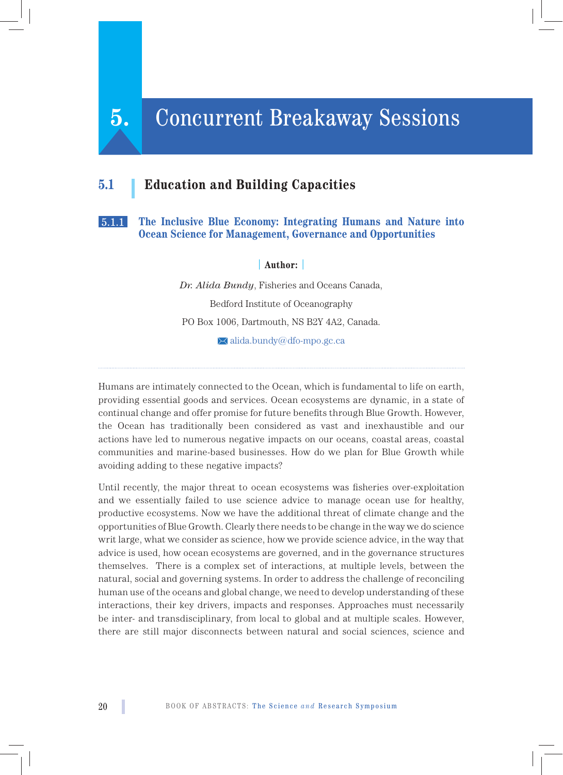## **5.** Concurrent Breakaway Sessions

### **5.1 Education and Building Capacities**

#### 5.1.1 **The Inclusive Blue Economy: Integrating Humans and Nature into Ocean Science for Management, Governance and Opportunities**

| **Author:** |

*Dr. Alida Bundy*, Fisheries and Oceans Canada, Bedford Institute of Oceanography PO Box 1006, Dartmouth, NS B2Y 4A2, Canada.  $\times$ alida.bundy@dfo-mpo.gc.ca

Humans are intimately connected to the Ocean, which is fundamental to life on earth, providing essential goods and services. Ocean ecosystems are dynamic, in a state of continual change and offer promise for future benefits through Blue Growth. However, the Ocean has traditionally been considered as vast and inexhaustible and our actions have led to numerous negative impacts on our oceans, coastal areas, coastal communities and marine-based businesses. How do we plan for Blue Growth while avoiding adding to these negative impacts?

Until recently, the major threat to ocean ecosystems was fisheries over-exploitation and we essentially failed to use science advice to manage ocean use for healthy, productive ecosystems. Now we have the additional threat of climate change and the opportunities of Blue Growth. Clearly there needs to be change in the way we do science writ large, what we consider as science, how we provide science advice, in the way that advice is used, how ocean ecosystems are governed, and in the governance structures themselves. There is a complex set of interactions, at multiple levels, between the natural, social and governing systems. In order to address the challenge of reconciling human use of the oceans and global change, we need to develop understanding of these interactions, their key drivers, impacts and responses. Approaches must necessarily be inter- and transdisciplinary, from local to global and at multiple scales. However, there are still major disconnects between natural and social sciences, science and

20 BOOK OF ABSTRACTS: The Science *and* Research Symposium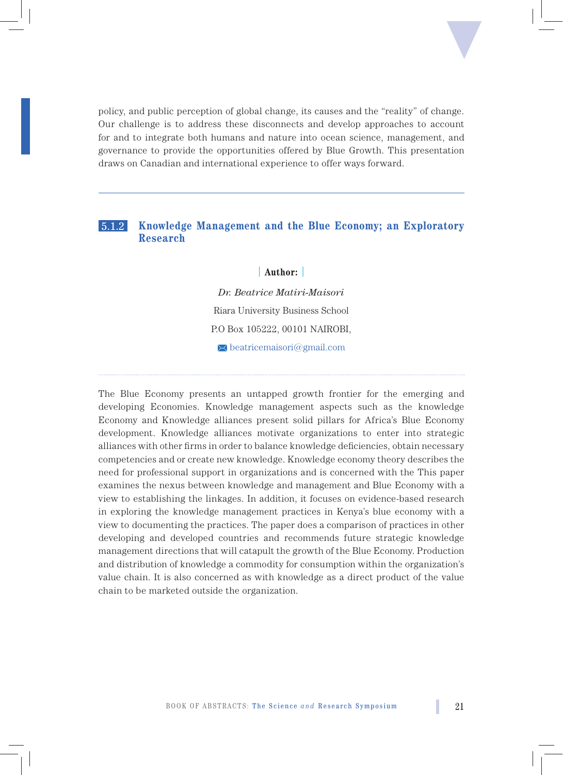policy, and public perception of global change, its causes and the "reality" of change. Our challenge is to address these disconnects and develop approaches to account for and to integrate both humans and nature into ocean science, management, and governance to provide the opportunities offered by Blue Growth. This presentation draws on Canadian and international experience to offer ways forward.

#### 5.1.2 **Knowledge Management and the Blue Economy; an Exploratory Research**

| **Author:** |

*Dr. Beatrice Matiri-Maisori* Riara University Business School P.O Box 105222, 00101 NAIROBI,  $\times$  beatricemaisori@gmail.com

The Blue Economy presents an untapped growth frontier for the emerging and developing Economies. Knowledge management aspects such as the knowledge Economy and Knowledge alliances present solid pillars for Africa's Blue Economy development. Knowledge alliances motivate organizations to enter into strategic alliances with other firms in order to balance knowledge deficiencies, obtain necessary competencies and or create new knowledge. Knowledge economy theory describes the need for professional support in organizations and is concerned with the This paper examines the nexus between knowledge and management and Blue Economy with a view to establishing the linkages. In addition, it focuses on evidence-based research in exploring the knowledge management practices in Kenya's blue economy with a view to documenting the practices. The paper does a comparison of practices in other developing and developed countries and recommends future strategic knowledge management directions that will catapult the growth of the Blue Economy. Production and distribution of knowledge a commodity for consumption within the organization's value chain. It is also concerned as with knowledge as a direct product of the value chain to be marketed outside the organization.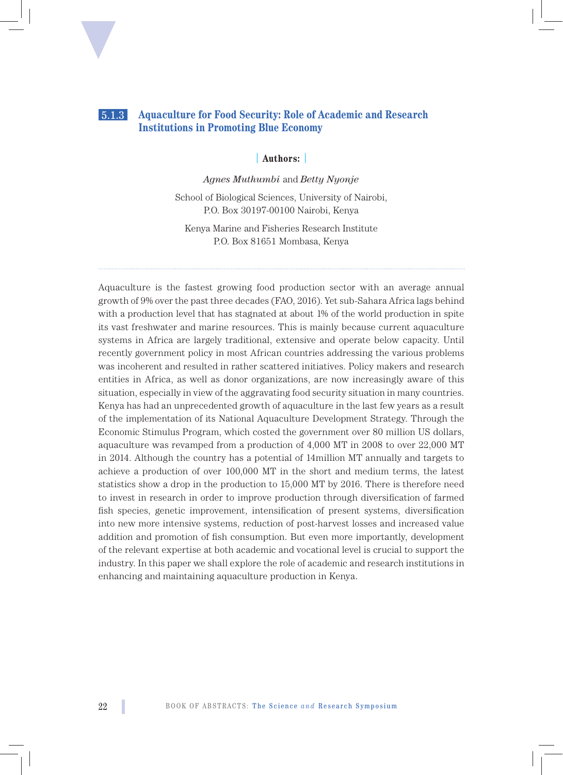#### 5.1.3 **Aquaculture for Food Security: Role of Academic and Research Institutions in Promoting Blue Economy**

#### | **Authors:** |

*Agnes Muthumbi* and *Betty Nyonje*

School of Biological Sciences, University of Nairobi, P.O. Box 30197-00100 Nairobi, Kenya

Kenya Marine and Fisheries Research Institute P.O. Box 81651 Mombasa, Kenya

Aquaculture is the fastest growing food production sector with an average annual growth of 9% over the past three decades (FAO, 2016). Yet sub-Sahara Africa lags behind with a production level that has stagnated at about 1% of the world production in spite its vast freshwater and marine resources. This is mainly because current aquaculture systems in Africa are largely traditional, extensive and operate below capacity. Until recently government policy in most African countries addressing the various problems was incoherent and resulted in rather scattered initiatives. Policy makers and research entities in Africa, as well as donor organizations, are now increasingly aware of this situation, especially in view of the aggravating food security situation in many countries. Kenya has had an unprecedented growth of aquaculture in the last few years as a result of the implementation of its National Aquaculture Development Strategy. Through the Economic Stimulus Program, which costed the government over 80 million US dollars, aquaculture was revamped from a production of 4,000 MT in 2008 to over 22,000 MT in 2014. Although the country has a potential of 14million MT annually and targets to achieve a production of over 100,000 MT in the short and medium terms, the latest statistics show a drop in the production to 15,000 MT by 2016. There is therefore need to invest in research in order to improve production through diversification of farmed fish species, genetic improvement, intensification of present systems, diversification into new more intensive systems, reduction of post-harvest losses and increased value addition and promotion of fish consumption. But even more importantly, development of the relevant expertise at both academic and vocational level is crucial to support the industry. In this paper we shall explore the role of academic and research institutions in enhancing and maintaining aquaculture production in Kenya.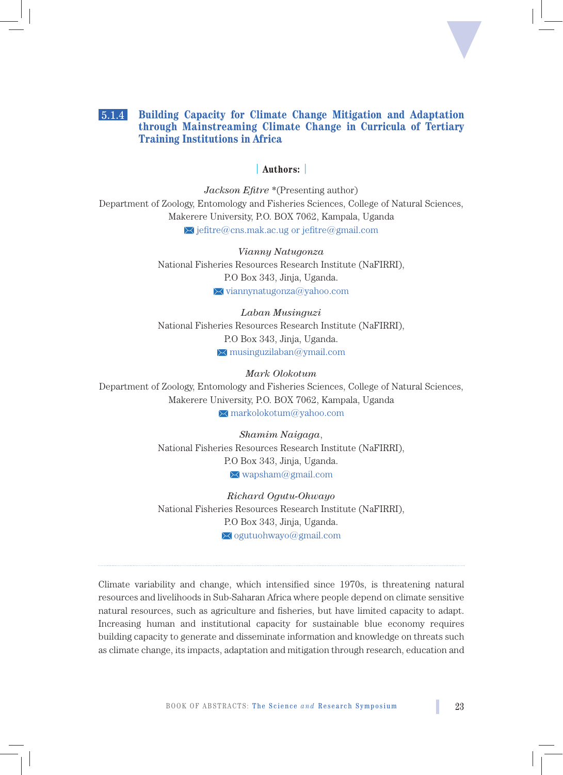#### 5.1.4 **Building Capacity for Climate Change Mitigation and Adaptation through Mainstreaming Climate Change in Curricula of Tertiary Training Institutions in Africa**

#### | **Authors:** |

*Jackson Efitre* \*(Presenting author) Department of Zoology, Entomology and Fisheries Sciences, College of Natural Sciences, Makerere University, P.O. BOX 7062, Kampala, Uganda  $\bowtie$  jefitre@cns.mak.ac.ug or jefitre@gmail.com

> *Vianny Natugonza* National Fisheries Resources Research Institute (NaFIRRI), P.O Box 343, Jinja, Uganda.  $\times$  viannynatugonza $@$ yahoo.com

> *Laban Musinguzi* National Fisheries Resources Research Institute (NaFIRRI), P.O Box 343, Jinja, Uganda.  $\times$  musinguzilaban@ymail.com

*Mark Olokotum* Department of Zoology, Entomology and Fisheries Sciences, College of Natural Sciences, Makerere University, P.O. BOX 7062, Kampala, Uganda markolokotum@yahoo.com

> *Shamim Naigaga*, National Fisheries Resources Research Institute (NaFIRRI), P.O Box 343, Jinja, Uganda.  $\times$  wapsham@gmail.com

> *Richard Ogutu-Ohwayo* National Fisheries Resources Research Institute (NaFIRRI), P.O Box 343, Jinja, Uganda. ogutuohwayo@gmail.com

Climate variability and change, which intensified since 1970s, is threatening natural resources and livelihoods in Sub-Saharan Africa where people depend on climate sensitive natural resources, such as agriculture and fisheries, but have limited capacity to adapt. Increasing human and institutional capacity for sustainable blue economy requires building capacity to generate and disseminate information and knowledge on threats such as climate change, its impacts, adaptation and mitigation through research, education and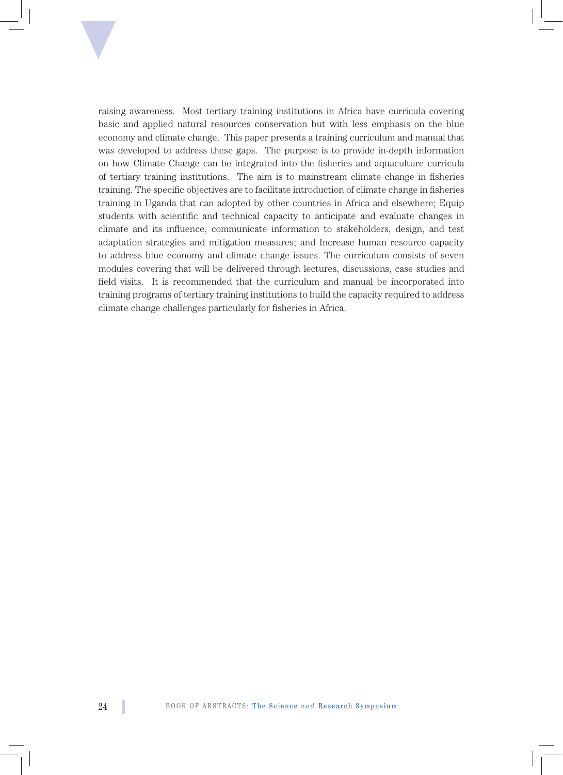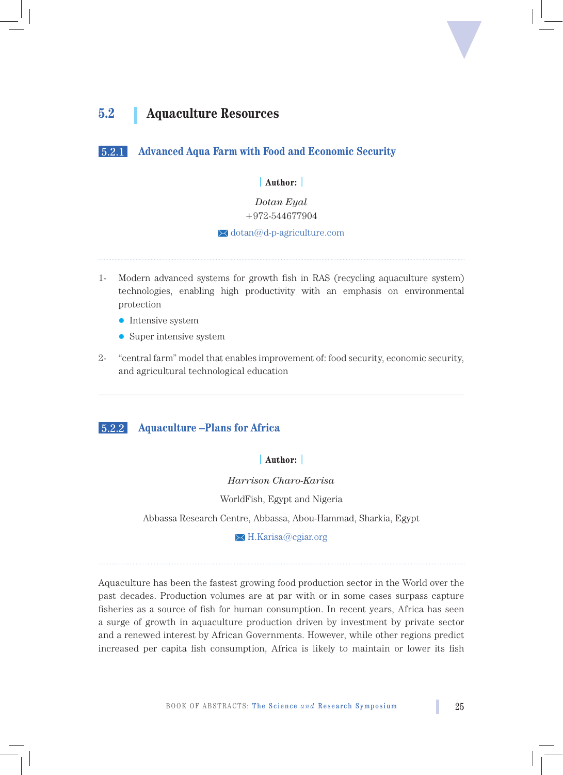## **5.2 Aquaculture Resources**

#### 5.2.1 **Advanced Aqua Farm with Food and Economic Security**

#### | **Author:** |

#### *Dotan Eyal* +972-544677904

dotan@d-p-agriculture.com

- 1- Modern advanced systems for growth fish in RAS (recycling aquaculture system) technologies, enabling high productivity with an emphasis on environmental protection
	- **•** Intensive system
	- Super intensive system
- 2- "central farm" model that enables improvement of: food security, economic security, and agricultural technological education

#### 5.2.2 **Aquaculture –Plans for Africa**

#### | **Author:** |

#### *Harrison Charo-Karisa*

WorldFish, Egypt and Nigeria

Abbassa Research Centre, Abbassa, Abou-Hammad, Sharkia, Egypt

#### $\times$  H.Karisa@cgiar.org

Aquaculture has been the fastest growing food production sector in the World over the past decades. Production volumes are at par with or in some cases surpass capture fisheries as a source of fish for human consumption. In recent years, Africa has seen a surge of growth in aquaculture production driven by investment by private sector and a renewed interest by African Governments. However, while other regions predict increased per capita fish consumption, Africa is likely to maintain or lower its fish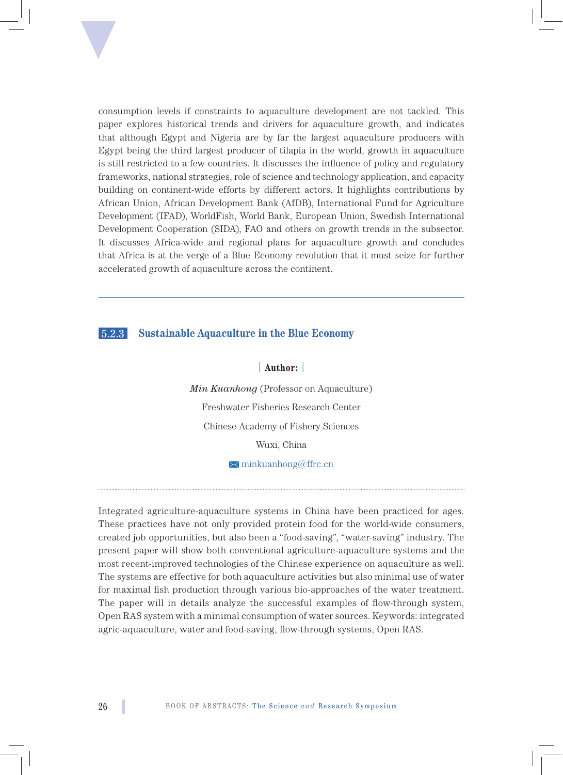

consumption levels if constraints to aquaculture development are not tackled. This paper explores historical trends and drivers for aquaculture growth, and indicates that although Egypt and Nigeria are by far the largest aquaculture producers with Egypt being the third largest producer of tilapia in the world, growth in aquaculture is still restricted to a few countries. It discusses the influence of policy and regulatory frameworks, national strategies, role of science and technology application, and capacity building on continent-wide efforts by different actors. It highlights contributions by African Union, African Development Bank (AfDB), International Fund for Agriculture Development (IFAD), WorldFish, World Bank, European Union, Swedish International Development Cooperation (SIDA), FAO and others on growth trends in the subsector. It discusses Africa-wide and regional plans for aquaculture growth and concludes that Africa is at the verge of a Blue Economy revolution that it must seize for further accelerated growth of aquaculture across the continent.

## 5.2.3 **Sustainable Aquaculture in the Blue Economy**

### | **Author:** |

*Min Kuanhong* (Professor on Aquaculture) Freshwater Fisheries Research Center Chinese Academy of Fishery Sciences Wuxi, China  $\times$  minkuanhong@ffrc.cn

Integrated agriculture-aquaculture systems in China have been practiced for ages. These practices have not only provided protein food for the world-wide consumers, created job opportunities, but also been a "food-saving", "water-saving" industry. The present paper will show both conventional agriculture-aquaculture systems and the most recent-improved technologies of the Chinese experience on aquaculture as well. The systems are effective for both aquaculture activities but also minimal use of water for maximal fish production through various bio-approaches of the water treatment. The paper will in details analyze the successful examples of flow-through system, Open RAS system with a minimal consumption of water sources. Keywords: integrated

agric-aquaculture, water and food-saving, flow-through systems, Open RAS.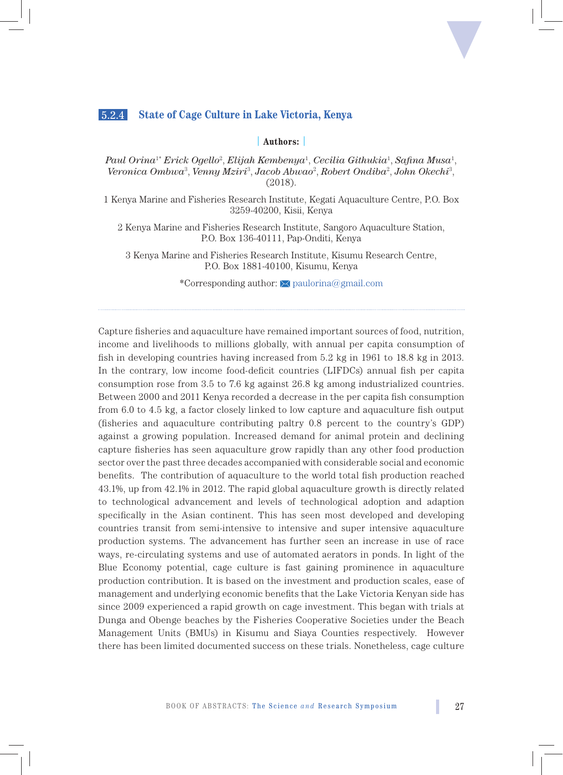### 5.2.4 **State of Cage Culture in Lake Victoria, Kenya**

#### | **Authors:** |

*Paul Orina*1\* *Erick Ogello*<sup>2</sup> , *Elijah Kembenya*<sup>1</sup> , *Cecilia Githukia*<sup>1</sup> , *Safina Musa*<sup>1</sup> , *Veronica Ombwa*<sup>3</sup> , *Venny Mziri*<sup>3</sup> , *Jacob Abwao*<sup>2</sup> , *Robert Ondiba*<sup>2</sup> , *John Okechi*<sup>3</sup> , (2018).

1 Kenya Marine and Fisheries Research Institute, Kegati Aquaculture Centre, P.O. Box 3259-40200, Kisii, Kenya

2 Kenya Marine and Fisheries Research Institute, Sangoro Aquaculture Station, P.O. Box 136-40111, Pap-Onditi, Kenya

3 Kenya Marine and Fisheries Research Institute, Kisumu Research Centre, P.O. Box 1881-40100, Kisumu, Kenya

\*Corresponding author:  $\times$  paulorina@gmail.com

Capture fisheries and aquaculture have remained important sources of food, nutrition, income and livelihoods to millions globally, with annual per capita consumption of fish in developing countries having increased from 5.2 kg in 1961 to 18.8 kg in 2013. In the contrary, low income food-deficit countries (LIFDCs) annual fish per capita consumption rose from 3.5 to 7.6 kg against 26.8 kg among industrialized countries. Between 2000 and 2011 Kenya recorded a decrease in the per capita fish consumption from 6.0 to 4.5 kg, a factor closely linked to low capture and aquaculture fish output (fisheries and aquaculture contributing paltry 0.8 percent to the country's GDP) against a growing population. Increased demand for animal protein and declining capture fisheries has seen aquaculture grow rapidly than any other food production sector over the past three decades accompanied with considerable social and economic benefits. The contribution of aquaculture to the world total fish production reached 43.1%, up from 42.1% in 2012. The rapid global aquaculture growth is directly related to technological advancement and levels of technological adoption and adaption specifically in the Asian continent. This has seen most developed and developing countries transit from semi-intensive to intensive and super intensive aquaculture production systems. The advancement has further seen an increase in use of race ways, re-circulating systems and use of automated aerators in ponds. In light of the Blue Economy potential, cage culture is fast gaining prominence in aquaculture production contribution. It is based on the investment and production scales, ease of management and underlying economic benefits that the Lake Victoria Kenyan side has since 2009 experienced a rapid growth on cage investment. This began with trials at Dunga and Obenge beaches by the Fisheries Cooperative Societies under the Beach Management Units (BMUs) in Kisumu and Siaya Counties respectively. However there has been limited documented success on these trials. Nonetheless, cage culture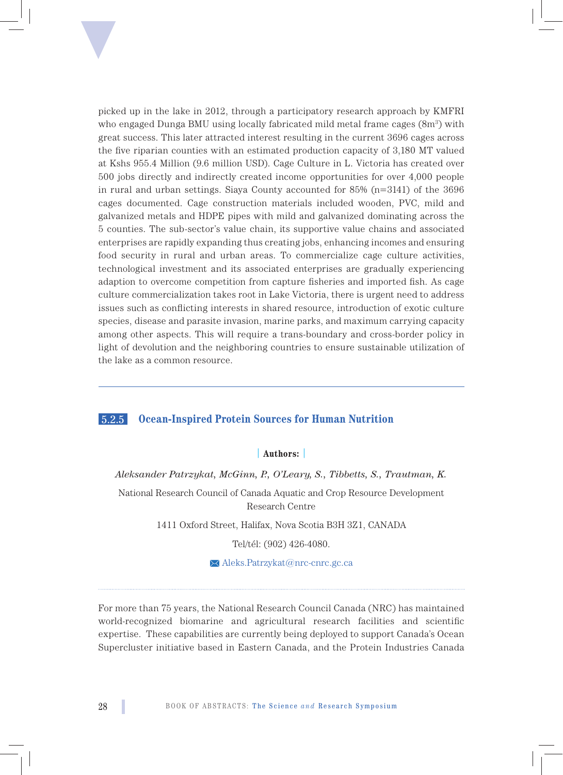picked up in the lake in 2012, through a participatory research approach by KMFRI who engaged Dunga BMU using locally fabricated mild metal frame cages  $(8\mathrm{m}^3)$  with great success. This later attracted interest resulting in the current 3696 cages across the five riparian counties with an estimated production capacity of 3,180 MT valued at Kshs 955.4 Million (9.6 million USD). Cage Culture in L. Victoria has created over 500 jobs directly and indirectly created income opportunities for over 4,000 people in rural and urban settings. Siaya County accounted for 85% (n=3141) of the 3696 cages documented. Cage construction materials included wooden, PVC, mild and galvanized metals and HDPE pipes with mild and galvanized dominating across the 5 counties. The sub-sector's value chain, its supportive value chains and associated enterprises are rapidly expanding thus creating jobs, enhancing incomes and ensuring food security in rural and urban areas. To commercialize cage culture activities, technological investment and its associated enterprises are gradually experiencing adaption to overcome competition from capture fisheries and imported fish. As cage culture commercialization takes root in Lake Victoria, there is urgent need to address issues such as conflicting interests in shared resource, introduction of exotic culture species, disease and parasite invasion, marine parks, and maximum carrying capacity among other aspects. This will require a trans-boundary and cross-border policy in light of devolution and the neighboring countries to ensure sustainable utilization of the lake as a common resource.

### 5.2.5 **Ocean-Inspired Protein Sources for Human Nutrition**

## | **Authors:** |

*Aleksander Patrzykat, McGinn, P., O'Leary, S., Tibbetts, S., Trautman, K.*

National Research Council of Canada Aquatic and Crop Resource Development Research Centre

1411 Oxford Street, Halifax, Nova Scotia B3H 3Z1, CANADA

Tel/tél: (902) 426-4080.

Aleks.Patrzykat@nrc-cnrc.gc.ca

For more than 75 years, the National Research Council Canada (NRC) has maintained world-recognized biomarine and agricultural research facilities and scientific expertise. These capabilities are currently being deployed to support Canada's Ocean Supercluster initiative based in Eastern Canada, and the Protein Industries Canada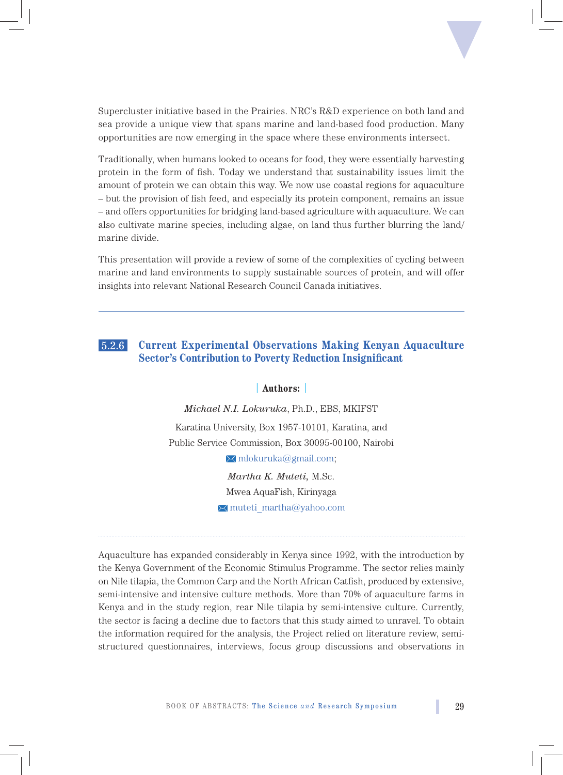Supercluster initiative based in the Prairies. NRC's R&D experience on both land and sea provide a unique view that spans marine and land-based food production. Many opportunities are now emerging in the space where these environments intersect.

Traditionally, when humans looked to oceans for food, they were essentially harvesting protein in the form of fish. Today we understand that sustainability issues limit the amount of protein we can obtain this way. We now use coastal regions for aquaculture – but the provision of fish feed, and especially its protein component, remains an issue – and offers opportunities for bridging land-based agriculture with aquaculture. We can also cultivate marine species, including algae, on land thus further blurring the land/ marine divide.

This presentation will provide a review of some of the complexities of cycling between marine and land environments to supply sustainable sources of protein, and will offer insights into relevant National Research Council Canada initiatives.

## 5.2.6 **Current Experimental Observations Making Kenyan Aquaculture Sector's Contribution to Poverty Reduction Insignificant**

#### | **Authors:** |

*Michael N.I. Lokuruka*, Ph.D., EBS, MKIFST Karatina University, Box 1957-10101, Karatina, and Public Service Commission, Box 30095-00100, Nairobi  $\times$  mlokuruka@gmail.com; *Martha K. Muteti,* M.Sc. Mwea AquaFish, Kirinyaga

 $\times$  muteti martha@yahoo.com

Aquaculture has expanded considerably in Kenya since 1992, with the introduction by the Kenya Government of the Economic Stimulus Programme. The sector relies mainly on Nile tilapia, the Common Carp and the North African Catfish, produced by extensive, semi-intensive and intensive culture methods. More than 70% of aquaculture farms in Kenya and in the study region, rear Nile tilapia by semi-intensive culture. Currently, the sector is facing a decline due to factors that this study aimed to unravel. To obtain the information required for the analysis, the Project relied on literature review, semistructured questionnaires, interviews, focus group discussions and observations in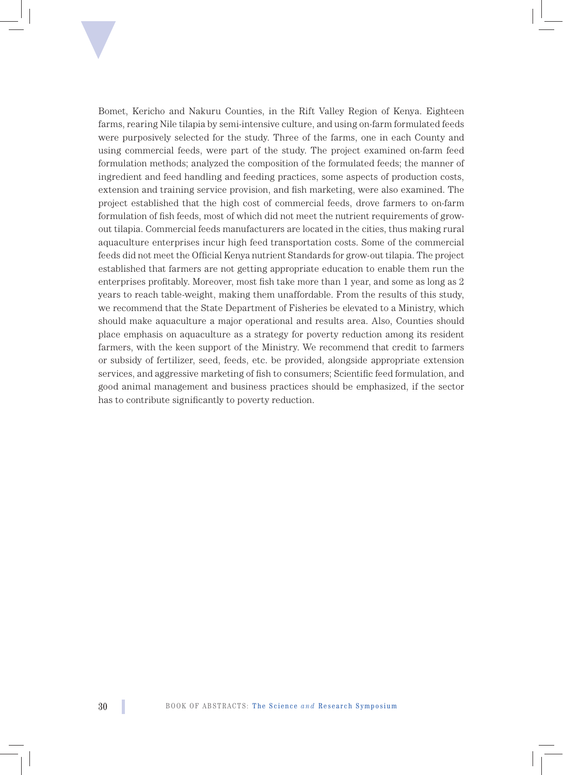Bomet, Kericho and Nakuru Counties, in the Rift Valley Region of Kenya. Eighteen farms, rearing Nile tilapia by semi-intensive culture, and using on-farm formulated feeds were purposively selected for the study. Three of the farms, one in each County and using commercial feeds, were part of the study. The project examined on-farm feed formulation methods; analyzed the composition of the formulated feeds; the manner of ingredient and feed handling and feeding practices, some aspects of production costs, extension and training service provision, and fish marketing, were also examined. The project established that the high cost of commercial feeds, drove farmers to on-farm formulation of fish feeds, most of which did not meet the nutrient requirements of growout tilapia. Commercial feeds manufacturers are located in the cities, thus making rural aquaculture enterprises incur high feed transportation costs. Some of the commercial feeds did not meet the Official Kenya nutrient Standards for grow-out tilapia. The project established that farmers are not getting appropriate education to enable them run the enterprises profitably. Moreover, most fish take more than 1 year, and some as long as 2 years to reach table-weight, making them unaffordable. From the results of this study, we recommend that the State Department of Fisheries be elevated to a Ministry, which should make aquaculture a major operational and results area. Also, Counties should place emphasis on aquaculture as a strategy for poverty reduction among its resident farmers, with the keen support of the Ministry. We recommend that credit to farmers or subsidy of fertilizer, seed, feeds, etc. be provided, alongside appropriate extension services, and aggressive marketing of fish to consumers; Scientific feed formulation, and good animal management and business practices should be emphasized, if the sector has to contribute significantly to poverty reduction.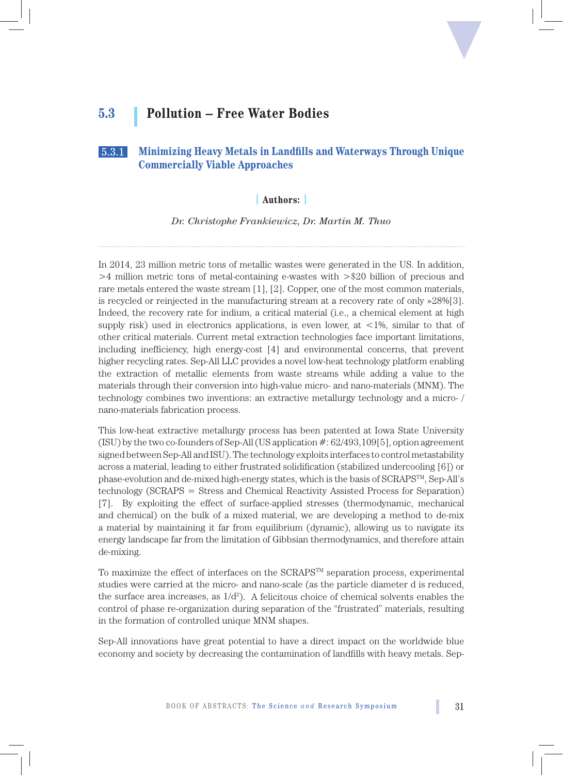# **5.3 Pollution – Free Water Bodies**

## 5.3.1 **Minimizing Heavy Metals in Landfills and Waterways Through Unique Commercially Viable Approaches**

### | **Authors:** |

*Dr. Christophe Frankiewicz, Dr. Martin M. Thuo*

In 2014, 23 million metric tons of metallic wastes were generated in the US. In addition, >4 million metric tons of metal-containing e-wastes with >\$20 billion of precious and rare metals entered the waste stream [1], [2]. Copper, one of the most common materials, is recycled or reinjected in the manufacturing stream at a recovery rate of only »28%[3]. Indeed, the recovery rate for indium, a critical material (i.e., a chemical element at high supply risk) used in electronics applications, is even lower, at <1%, similar to that of other critical materials. Current metal extraction technologies face important limitations, including inefficiency, high energy-cost [4] and environmental concerns, that prevent higher recycling rates. Sep-All LLC provides a novel low-heat technology platform enabling the extraction of metallic elements from waste streams while adding a value to the materials through their conversion into high-value micro- and nano-materials (MNM). The technology combines two inventions: an extractive metallurgy technology and a micro- / nano-materials fabrication process.

This low-heat extractive metallurgy process has been patented at Iowa State University (ISU) by the two co-founders of Sep-All (US application #: 62/493,109[5], option agreement signed between Sep-All and ISU). The technology exploits interfaces to control metastability across a material, leading to either frustrated solidification (stabilized undercooling [6]) or phase-evolution and de-mixed high-energy states, which is the basis of SCRAPSTM, Sep-All's technology (SCRAPS = Stress and Chemical Reactivity Assisted Process for Separation) [7]. By exploiting the effect of surface-applied stresses (thermodynamic, mechanical and chemical) on the bulk of a mixed material, we are developing a method to de-mix a material by maintaining it far from equilibrium (dynamic), allowing us to navigate its energy landscape far from the limitation of Gibbsian thermodynamics, and therefore attain de-mixing.

To maximize the effect of interfaces on the SCRAPSTM separation process, experimental studies were carried at the micro- and nano-scale (as the particle diameter d is reduced, the surface area increases, as  $1/d^2$ ). A felicitous choice of chemical solvents enables the control of phase re-organization during separation of the "frustrated" materials, resulting in the formation of controlled unique MNM shapes.

Sep-All innovations have great potential to have a direct impact on the worldwide blue economy and society by decreasing the contamination of landfills with heavy metals. Sep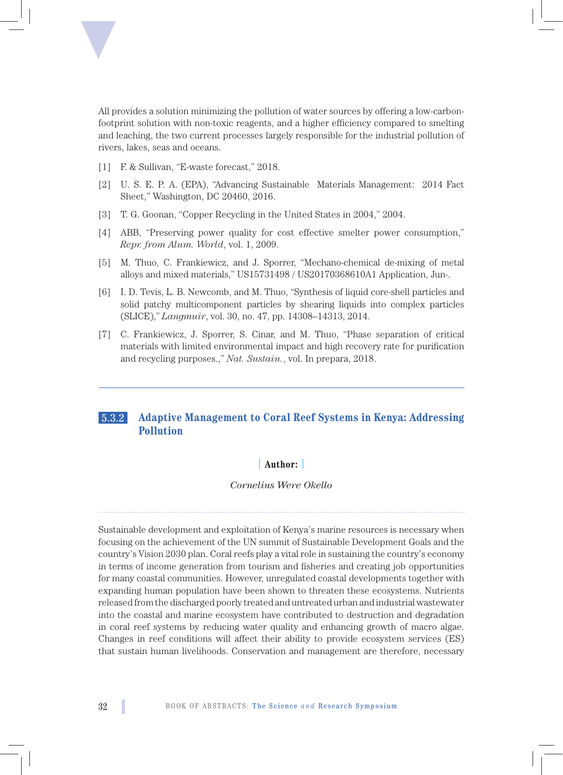All provides a solution minimizing the pollution of water sources by offering a low-carbonfootprint solution with non-toxic reagents, and a higher efficiency compared to smelting and leaching, the two current processes largely responsible for the industrial pollution of rivers, lakes, seas and oceans.

- [1] F. & Sullivan, "E-waste forecast," 2018.
- [2] U. S. E. P. A. (EPA), "Advancing Sustainable Materials Management: 2014 Fact Sheet," Washington, DC 20460, 2016.
- [3] T. G. Goonan, "Copper Recycling in the United States in 2004," 2004.
- [4] ABB, "Preserving power quality for cost effective smelter power consumption," *Repr. from Alum. World*, vol. 1, 2009.
- [5] M. Thuo, C. Frankiewicz, and J. Sporrer, "Mechano-chemical de-mixing of metal alloys and mixed materials," US15731498 / US20170368610A1 Application, Jun-.
- [6] I. D. Tevis, L. B. Newcomb, and M. Thuo, "Synthesis of liquid core-shell particles and solid patchy multicomponent particles by shearing liquids into complex particles (SLICE)," *Langmuir*, vol. 30, no. 47, pp. 14308–14313, 2014.
- [7] C. Frankiewicz, J. Sporrer, S. Cinar, and M. Thuo, "Phase separation of critical materials with limited environmental impact and high recovery rate for purification and recycling purposes.," *Nat. Sustain.*, vol. In prepara, 2018.

## 5.3.2 **Adaptive Management to Coral Reef Systems in Kenya: Addressing Pollution**

#### | **Author:** |

#### *Cornelius Were Okello*

Sustainable development and exploitation of Kenya's marine resources is necessary when focusing on the achievement of the UN summit of Sustainable Development Goals and the country's Vision 2030 plan. Coral reefs play a vital role in sustaining the country's economy in terms of income generation from tourism and fisheries and creating job opportunities for many coastal communities. However, unregulated coastal developments together with expanding human population have been shown to threaten these ecosystems. Nutrients released from the discharged poorly treated and untreated urban and industrial wastewater into the coastal and marine ecosystem have contributed to destruction and degradation in coral reef systems by reducing water quality and enhancing growth of macro algae. Changes in reef conditions will affect their ability to provide ecosystem services (ES) that sustain human livelihoods. Conservation and management are therefore, necessary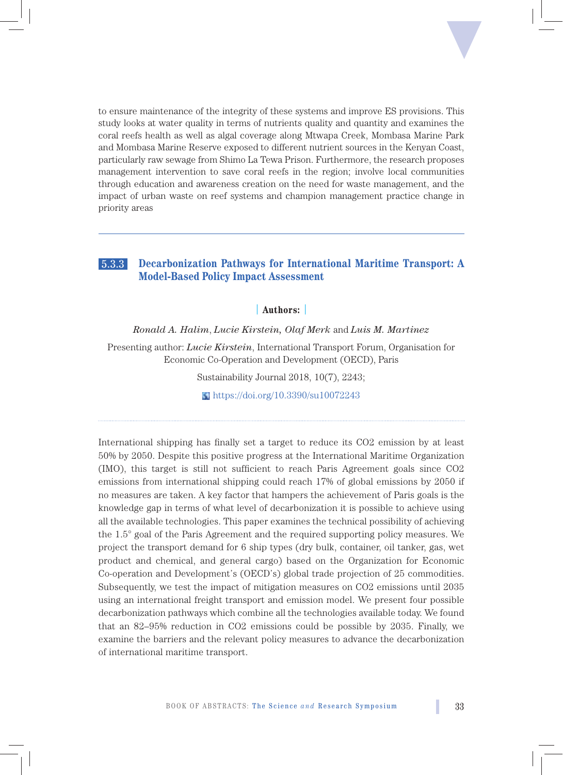to ensure maintenance of the integrity of these systems and improve ES provisions. This study looks at water quality in terms of nutrients quality and quantity and examines the coral reefs health as well as algal coverage along Mtwapa Creek, Mombasa Marine Park and Mombasa Marine Reserve exposed to different nutrient sources in the Kenyan Coast, particularly raw sewage from Shimo La Tewa Prison. Furthermore, the research proposes management intervention to save coral reefs in the region; involve local communities through education and awareness creation on the need for waste management, and the impact of urban waste on reef systems and champion management practice change in priority areas

## 5.3.3 **Decarbonization Pathways for International Maritime Transport: A Model-Based Policy Impact Assessment**

#### | **Authors:** |

#### *Ronald A. Halim*, *Lucie Kirstein, Olaf Merk* and *Luis M. Martinez*

Presenting author: *Lucie Kirstein*, International Transport Forum, Organisation for Economic Co-Operation and Development (OECD), Paris

Sustainability Journal 2018, 10(7), 2243;

https://doi.org/10.3390/su10072243

International shipping has finally set a target to reduce its CO2 emission by at least 50% by 2050. Despite this positive progress at the International Maritime Organization (IMO), this target is still not sufficient to reach Paris Agreement goals since CO2 emissions from international shipping could reach 17% of global emissions by 2050 if no measures are taken. A key factor that hampers the achievement of Paris goals is the knowledge gap in terms of what level of decarbonization it is possible to achieve using all the available technologies. This paper examines the technical possibility of achieving the 1.5° goal of the Paris Agreement and the required supporting policy measures. We project the transport demand for 6 ship types (dry bulk, container, oil tanker, gas, wet product and chemical, and general cargo) based on the Organization for Economic Co-operation and Development's (OECD's) global trade projection of 25 commodities. Subsequently, we test the impact of mitigation measures on CO2 emissions until 2035 using an international freight transport and emission model. We present four possible decarbonization pathways which combine all the technologies available today. We found that an 82–95% reduction in CO2 emissions could be possible by 2035. Finally, we examine the barriers and the relevant policy measures to advance the decarbonization of international maritime transport.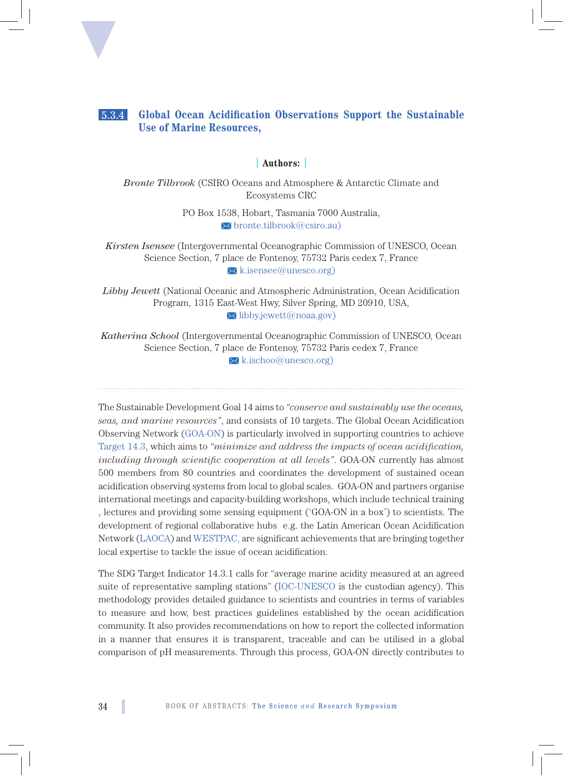## 5.3.4 **Global Ocean Acidification Observations Support the Sustainable Use of Marine Resources,**

#### | **Authors:** |

*Bronte Tilbrook* (CSIRO Oceans and Atmosphere & Antarctic Climate and Ecosystems CRC

> PO Box 1538, Hobart, Tasmania 7000 Australia,  $\times$  bronte.tilbrook@csiro.au)

*Kirsten Isensee* (Intergovernmental Oceanographic Commission of UNESCO, Ocean Science Section, 7 place de Fontenoy, 75732 Paris cedex 7, France  $\times$ k.isensee@unesco.org)

*Libby Jewett* (National Oceanic and Atmospheric Administration, Ocean Acidification Program, 1315 East-West Hwy, Silver Spring, MD 20910, USA,  $\times$ libby.jewett@noaa.gov)

*Katherina School* (Intergovernmental Oceanographic Commission of UNESCO, Ocean Science Section, 7 place de Fontenoy, 75732 Paris cedex 7, France  $\times$ k.ischoo@unesco.org)

The Sustainable Development Goal 14 aims to *"conserve and sustainably use the oceans, seas, and marine resources"*, and consists of 10 targets. The Global Ocean Acidification Observing Network (GOA-ON) is particularly involved in supporting countries to achieve Target 14.3, which aims to *"minimize and address the impacts of ocean acidification, including through scientific cooperation at all levels"*. GOA-ON currently has almost 500 members from 80 countries and coordinates the development of sustained ocean acidification observing systems from local to global scales. GOA-ON and partners organise international meetings and capacity-building workshops, which include technical training , lectures and providing some sensing equipment ('GOA-ON in a box') to scientists. The development of regional collaborative hubs e.g. the Latin American Ocean Acidification Network (LAOCA) and WESTPAC, are significant achievements that are bringing together local expertise to tackle the issue of ocean acidification.

The SDG Target Indicator 14.3.1 calls for "average marine acidity measured at an agreed suite of representative sampling stations" (IOC-UNESCO is the custodian agency). This methodology provides detailed guidance to scientists and countries in terms of variables to measure and how, best practices guidelines established by the ocean acidification community. It also provides recommendations on how to report the collected information in a manner that ensures it is transparent, traceable and can be utilised in a global comparison of pH measurements. Through this process, GOA-ON directly contributes to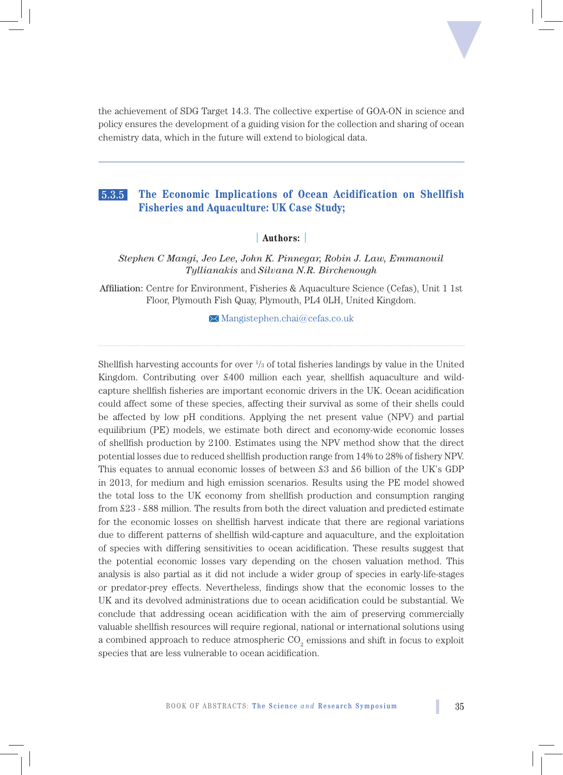the achievement of SDG Target 14.3. The collective expertise of GOA-ON in science and policy ensures the development of a guiding vision for the collection and sharing of ocean chemistry data, which in the future will extend to biological data.

## 5.3.5 **The Economic Implications of Ocean Acidification on Shellfish Fisheries and Aquaculture: UK Case Study;**

| **Authors:** |

*Stephen C Mangi, Jeo Lee, John K. Pinnegar, Robin J. Law, Emmanouil Tyllianakis* and *Silvana N.R. Birchenough*

Affiliation: Centre for Environment, Fisheries & Aquaculture Science (Cefas), Unit 1 1st Floor, Plymouth Fish Quay, Plymouth, PL4 0LH, United Kingdom.

 $\times$  Mangistephen.chai@cefas.co.uk

Shellfish harvesting accounts for over  $\frac{1}{3}$  of total fisheries landings by value in the United Kingdom. Contributing over £400 million each year, shellfish aquaculture and wildcapture shellfish fisheries are important economic drivers in the UK. Ocean acidification could affect some of these species, affecting their survival as some of their shells could be affected by low pH conditions. Applying the net present value (NPV) and partial equilibrium (PE) models, we estimate both direct and economy-wide economic losses of shellfish production by 2100. Estimates using the NPV method show that the direct potential losses due to reduced shellfish production range from 14% to 28% of fishery NPV. This equates to annual economic losses of between £3 and £6 billion of the UK's GDP in 2013, for medium and high emission scenarios. Results using the PE model showed the total loss to the UK economy from shellfish production and consumption ranging from £23 - £88 million. The results from both the direct valuation and predicted estimate for the economic losses on shellfish harvest indicate that there are regional variations due to different patterns of shellfish wild-capture and aquaculture, and the exploitation of species with differing sensitivities to ocean acidification. These results suggest that the potential economic losses vary depending on the chosen valuation method. This analysis is also partial as it did not include a wider group of species in early-life-stages or predator-prey effects. Nevertheless, findings show that the economic losses to the UK and its devolved administrations due to ocean acidification could be substantial. We conclude that addressing ocean acidification with the aim of preserving commercially valuable shellfish resources will require regional, national or international solutions using a combined approach to reduce atmospheric  $\mathrm{CO}_2$  emissions and shift in focus to exploit species that are less vulnerable to ocean acidification.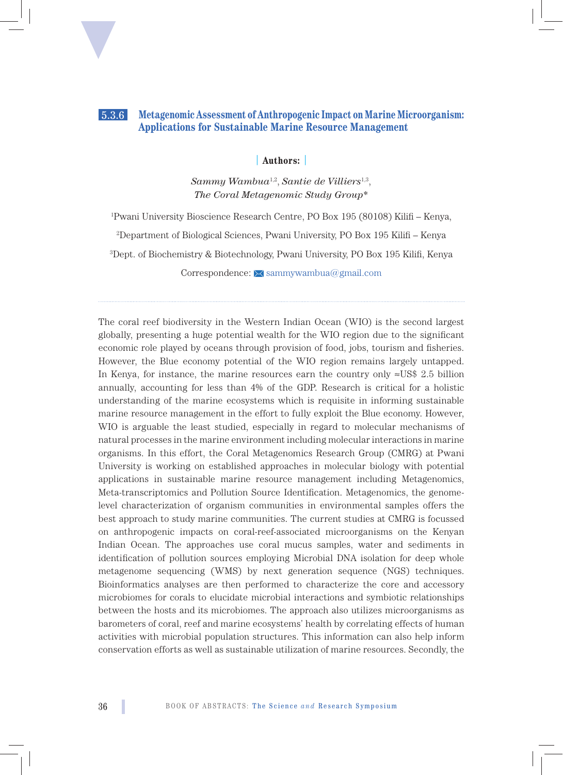## 5.3.6 **Metagenomic Assessment of Anthropogenic Impact on Marine Microorganism: Applications for Sustainable Marine Resource Management**

| **Authors:** |

*Sammy Wambua*1,2, *Santie de Villiers*1,3, *The Coral Metagenomic Study Group*\*

1 Pwani University Bioscience Research Centre, PO Box 195 (80108) Kilifi – Kenya,

2 Department of Biological Sciences, Pwani University, PO Box 195 Kilifi – Kenya

3 Dept. of Biochemistry & Biotechnology, Pwani University, PO Box 195 Kilifi, Kenya

Correspondence:  $\ltimes$  sammywambua@gmail.com

The coral reef biodiversity in the Western Indian Ocean (WIO) is the second largest globally, presenting a huge potential wealth for the WIO region due to the significant economic role played by oceans through provision of food, jobs, tourism and fisheries. However, the Blue economy potential of the WIO region remains largely untapped. In Kenya, for instance, the marine resources earn the country only  $\approx$ US\$ 2.5 billion annually, accounting for less than 4% of the GDP. Research is critical for a holistic understanding of the marine ecosystems which is requisite in informing sustainable marine resource management in the effort to fully exploit the Blue economy. However, WIO is arguable the least studied, especially in regard to molecular mechanisms of natural processes in the marine environment including molecular interactions in marine organisms. In this effort, the Coral Metagenomics Research Group (CMRG) at Pwani University is working on established approaches in molecular biology with potential applications in sustainable marine resource management including Metagenomics, Meta-transcriptomics and Pollution Source Identification. Metagenomics, the genomelevel characterization of organism communities in environmental samples offers the best approach to study marine communities. The current studies at CMRG is focussed on anthropogenic impacts on coral-reef-associated microorganisms on the Kenyan Indian Ocean. The approaches use coral mucus samples, water and sediments in identification of pollution sources employing Microbial DNA isolation for deep whole metagenome sequencing (WMS) by next generation sequence (NGS) techniques. Bioinformatics analyses are then performed to characterize the core and accessory microbiomes for corals to elucidate microbial interactions and symbiotic relationships between the hosts and its microbiomes. The approach also utilizes microorganisms as barometers of coral, reef and marine ecosystems' health by correlating effects of human activities with microbial population structures. This information can also help inform conservation efforts as well as sustainable utilization of marine resources. Secondly, the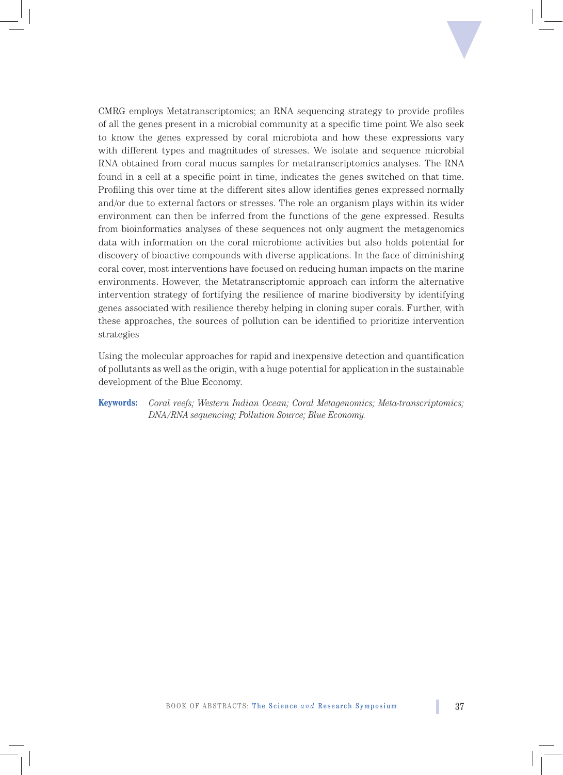CMRG employs Metatranscriptomics; an RNA sequencing strategy to provide profiles of all the genes present in a microbial community at a specific time point We also seek to know the genes expressed by coral microbiota and how these expressions vary with different types and magnitudes of stresses. We isolate and sequence microbial RNA obtained from coral mucus samples for metatranscriptomics analyses. The RNA found in a cell at a specific point in time, indicates the genes switched on that time. Profiling this over time at the different sites allow identifies genes expressed normally and/or due to external factors or stresses. The role an organism plays within its wider environment can then be inferred from the functions of the gene expressed. Results from bioinformatics analyses of these sequences not only augment the metagenomics data with information on the coral microbiome activities but also holds potential for discovery of bioactive compounds with diverse applications. In the face of diminishing coral cover, most interventions have focused on reducing human impacts on the marine environments. However, the Metatranscriptomic approach can inform the alternative intervention strategy of fortifying the resilience of marine biodiversity by identifying genes associated with resilience thereby helping in cloning super corals. Further, with these approaches, the sources of pollution can be identified to prioritize intervention strategies

Using the molecular approaches for rapid and inexpensive detection and quantification of pollutants as well as the origin, with a huge potential for application in the sustainable development of the Blue Economy.

### **Keywords:** *Coral reefs; Western Indian Ocean; Coral Metagenomics; Meta-transcriptomics; DNA/RNA sequencing; Pollution Source; Blue Economy.*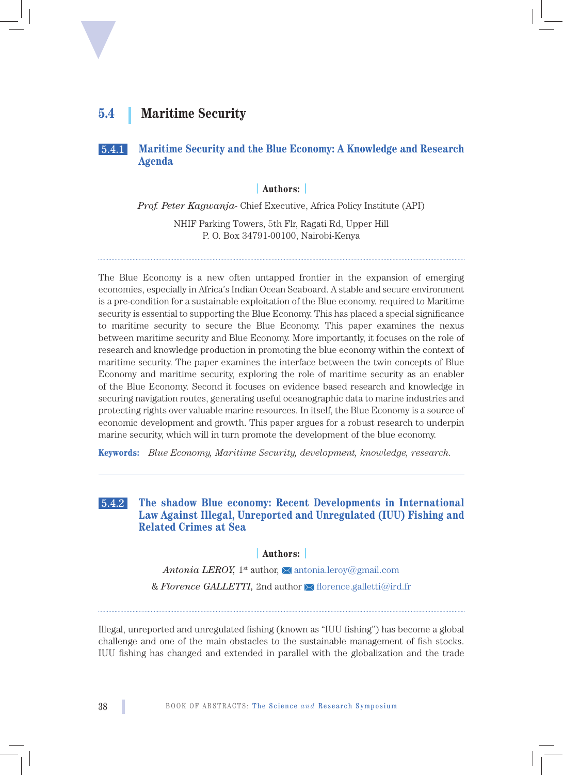# **5.4 Maritime Security**

## 5.4.1 **Maritime Security and the Blue Economy: A Knowledge and Research Agenda**

#### | **Authors:** |

*Prof. Peter Kagwanja*- Chief Executive, Africa Policy Institute (API)

NHIF Parking Towers, 5th Flr, Ragati Rd, Upper Hill P. O. Box 34791-00100, Nairobi-Kenya

The Blue Economy is a new often untapped frontier in the expansion of emerging economies, especially in Africa's Indian Ocean Seaboard. A stable and secure environment is a pre-condition for a sustainable exploitation of the Blue economy. required to Maritime security is essential to supporting the Blue Economy. This has placed a special significance to maritime security to secure the Blue Economy. This paper examines the nexus between maritime security and Blue Economy. More importantly, it focuses on the role of research and knowledge production in promoting the blue economy within the context of maritime security. The paper examines the interface between the twin concepts of Blue Economy and maritime security, exploring the role of maritime security as an enabler of the Blue Economy. Second it focuses on evidence based research and knowledge in securing navigation routes, generating useful oceanographic data to marine industries and protecting rights over valuable marine resources. In itself, the Blue Economy is a source of economic development and growth. This paper argues for a robust research to underpin marine security, which will in turn promote the development of the blue economy.

**Keywords:** *Blue Economy, Maritime Security, development, knowledge, research.* 

## 5.4.2 **The shadow Blue economy: Recent Developments in International Law Against Illegal, Unreported and Unregulated (IUU) Fishing and Related Crimes at Sea**

### | **Authors:** |

*Antonia LEROY,* 1<sup>st</sup> author,  $\times$  antonia.leroy@gmail.com & Florence GALLETTI, 2nd author M florence.galletti@ird.fr

Illegal, unreported and unregulated fishing (known as "IUU fishing") has become a global challenge and one of the main obstacles to the sustainable management of fish stocks. IUU fishing has changed and extended in parallel with the globalization and the trade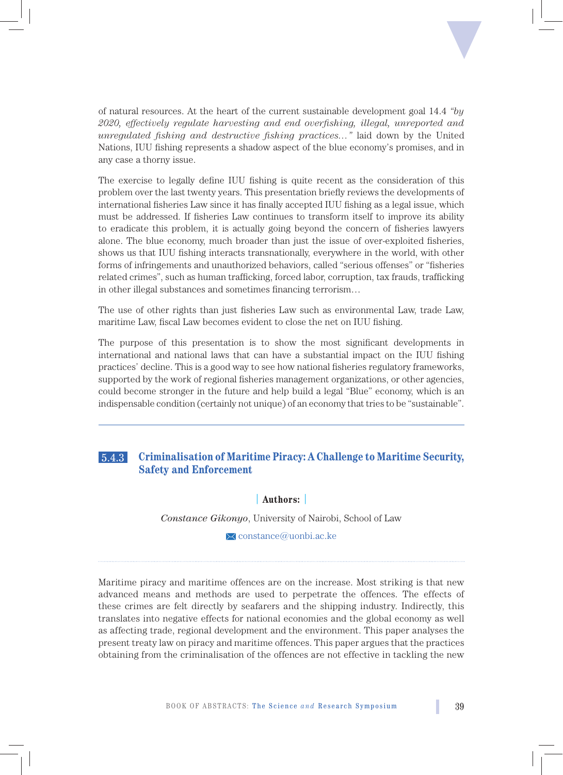of natural resources. At the heart of the current sustainable development goal 14.4 *"by 2020, effectively regulate harvesting and end overfishing, illegal, unreported and unregulated fishing and destructive fishing practices…"* laid down by the United Nations, IUU fishing represents a shadow aspect of the blue economy's promises, and in any case a thorny issue.

The exercise to legally define IUU fishing is quite recent as the consideration of this problem over the last twenty years. This presentation briefly reviews the developments of international fisheries Law since it has finally accepted IUU fishing as a legal issue, which must be addressed. If fisheries Law continues to transform itself to improve its ability to eradicate this problem, it is actually going beyond the concern of fisheries lawyers alone. The blue economy, much broader than just the issue of over-exploited fisheries, shows us that IUU fishing interacts transnationally, everywhere in the world, with other forms of infringements and unauthorized behaviors, called "serious offenses" or "fisheries related crimes", such as human trafficking, forced labor, corruption, tax frauds, trafficking in other illegal substances and sometimes financing terrorism…

The use of other rights than just fisheries Law such as environmental Law, trade Law, maritime Law, fiscal Law becomes evident to close the net on IUU fishing.

The purpose of this presentation is to show the most significant developments in international and national laws that can have a substantial impact on the IUU fishing practices' decline. This is a good way to see how national fisheries regulatory frameworks, supported by the work of regional fisheries management organizations, or other agencies, could become stronger in the future and help build a legal "Blue" economy, which is an indispensable condition (certainly not unique) of an economy that tries to be "sustainable".

## 5.4.3 **Criminalisation of Maritime Piracy: A Challenge to Maritime Security, Safety and Enforcement**

| **Authors:** |

*Constance Gikonyo*, University of Nairobi, School of Law

 $\times$  constance@uonbi.ac.ke

Maritime piracy and maritime offences are on the increase. Most striking is that new advanced means and methods are used to perpetrate the offences. The effects of these crimes are felt directly by seafarers and the shipping industry. Indirectly, this translates into negative effects for national economies and the global economy as well as affecting trade, regional development and the environment. This paper analyses the present treaty law on piracy and maritime offences. This paper argues that the practices obtaining from the criminalisation of the offences are not effective in tackling the new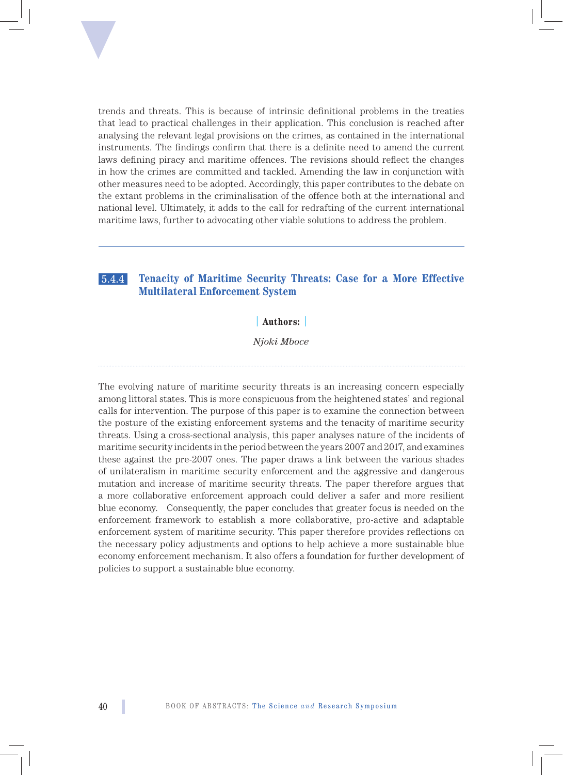trends and threats. This is because of intrinsic definitional problems in the treaties that lead to practical challenges in their application. This conclusion is reached after analysing the relevant legal provisions on the crimes, as contained in the international instruments. The findings confirm that there is a definite need to amend the current laws defining piracy and maritime offences. The revisions should reflect the changes in how the crimes are committed and tackled. Amending the law in conjunction with other measures need to be adopted. Accordingly, this paper contributes to the debate on the extant problems in the criminalisation of the offence both at the international and national level. Ultimately, it adds to the call for redrafting of the current international maritime laws, further to advocating other viable solutions to address the problem.

## 5.4.4 **Tenacity of Maritime Security Threats: Case for a More Effective Multilateral Enforcement System**

### | **Authors:** |

*Njoki Mboce*

The evolving nature of maritime security threats is an increasing concern especially among littoral states. This is more conspicuous from the heightened states' and regional calls for intervention. The purpose of this paper is to examine the connection between the posture of the existing enforcement systems and the tenacity of maritime security threats. Using a cross-sectional analysis, this paper analyses nature of the incidents of maritime security incidents in the period between the years 2007 and 2017, and examines these against the pre-2007 ones. The paper draws a link between the various shades of unilateralism in maritime security enforcement and the aggressive and dangerous mutation and increase of maritime security threats. The paper therefore argues that a more collaborative enforcement approach could deliver a safer and more resilient blue economy. Consequently, the paper concludes that greater focus is needed on the enforcement framework to establish a more collaborative, pro-active and adaptable enforcement system of maritime security. This paper therefore provides reflections on the necessary policy adjustments and options to help achieve a more sustainable blue economy enforcement mechanism. It also offers a foundation for further development of policies to support a sustainable blue economy.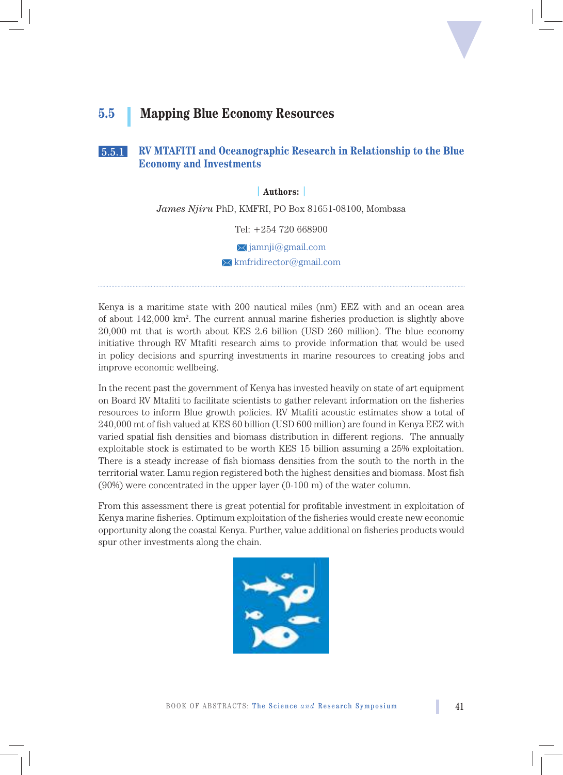# **5.5 Mapping Blue Economy Resources**

## 5.5.1 **RV MTAFITI and Oceanographic Research in Relationship to the Blue Economy and Investments**

### | **Authors:** |

*James Njiru* PhD, KMFRI, PO Box 81651-08100, Mombasa

Tel: +254 720 668900

 $\boxtimes$  jamnji $@$ gmail.com

 $\times$  kmfridirector@gmail.com

Kenya is a maritime state with 200 nautical miles (nm) EEZ with and an ocean area of about  $142,000 \text{ km}^2$ . The current annual marine fisheries production is slightly above 20,000 mt that is worth about KES 2.6 billion (USD 260 million). The blue economy initiative through RV Mtafiti research aims to provide information that would be used in policy decisions and spurring investments in marine resources to creating jobs and improve economic wellbeing.

In the recent past the government of Kenya has invested heavily on state of art equipment on Board RV Mtafiti to facilitate scientists to gather relevant information on the fisheries resources to inform Blue growth policies. RV Mtafiti acoustic estimates show a total of 240,000 mt of fish valued at KES 60 billion (USD 600 million) are found in Kenya EEZ with varied spatial fish densities and biomass distribution in different regions. The annually exploitable stock is estimated to be worth KES 15 billion assuming a 25% exploitation. There is a steady increase of fish biomass densities from the south to the north in the territorial water. Lamu region registered both the highest densities and biomass. Most fish (90%) were concentrated in the upper layer (0-100 m) of the water column.

From this assessment there is great potential for profitable investment in exploitation of Kenya marine fisheries. Optimum exploitation of the fisheries would create new economic opportunity along the coastal Kenya. Further, value additional on fisheries products would spur other investments along the chain.

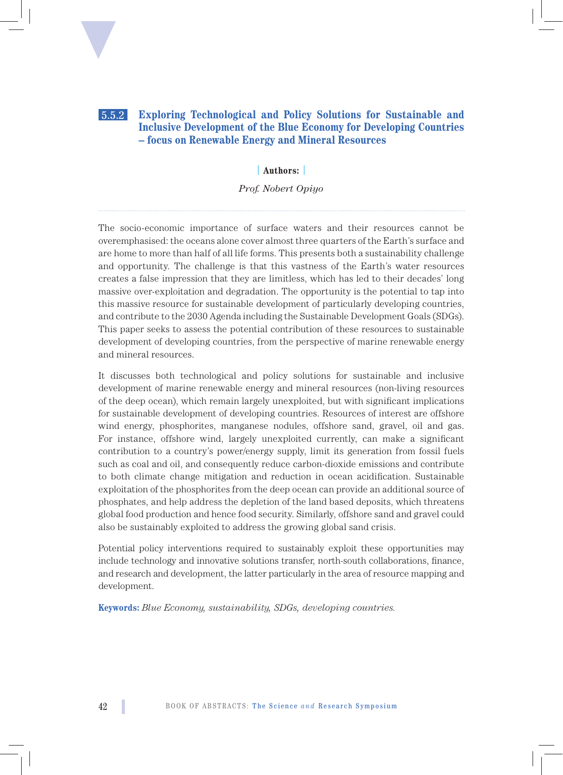## 5.5.2 **Exploring Technological and Policy Solutions for Sustainable and Inclusive Development of the Blue Economy for Developing Countries – focus on Renewable Energy and Mineral Resources**

### | **Authors:** |

#### *Prof. Nobert Opiyo*

The socio-economic importance of surface waters and their resources cannot be overemphasised: the oceans alone cover almost three quarters of the Earth's surface and are home to more than half of all life forms. This presents both a sustainability challenge and opportunity. The challenge is that this vastness of the Earth's water resources creates a false impression that they are limitless, which has led to their decades' long massive over-exploitation and degradation. The opportunity is the potential to tap into this massive resource for sustainable development of particularly developing countries, and contribute to the 2030 Agenda including the Sustainable Development Goals (SDGs). This paper seeks to assess the potential contribution of these resources to sustainable development of developing countries, from the perspective of marine renewable energy and mineral resources.

It discusses both technological and policy solutions for sustainable and inclusive development of marine renewable energy and mineral resources (non-living resources of the deep ocean), which remain largely unexploited, but with significant implications for sustainable development of developing countries. Resources of interest are offshore wind energy, phosphorites, manganese nodules, offshore sand, gravel, oil and gas. For instance, offshore wind, largely unexploited currently, can make a significant contribution to a country's power/energy supply, limit its generation from fossil fuels such as coal and oil, and consequently reduce carbon-dioxide emissions and contribute to both climate change mitigation and reduction in ocean acidification. Sustainable exploitation of the phosphorites from the deep ocean can provide an additional source of phosphates, and help address the depletion of the land based deposits, which threatens global food production and hence food security. Similarly, offshore sand and gravel could also be sustainably exploited to address the growing global sand crisis.

Potential policy interventions required to sustainably exploit these opportunities may include technology and innovative solutions transfer, north-south collaborations, finance, and research and development, the latter particularly in the area of resource mapping and development.

**Keywords:** *Blue Economy, sustainability, SDGs, developing countries.*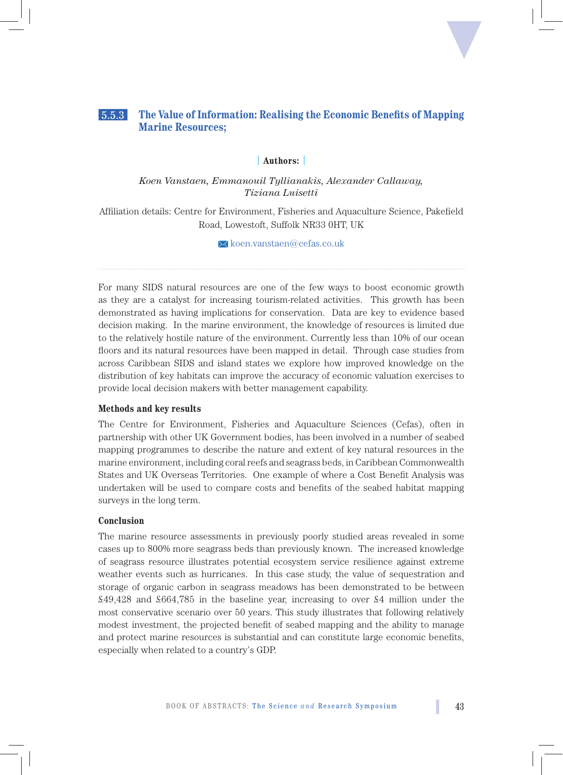## 5.5.3 **The Value of Information: Realising the Economic Benefits of Mapping Marine Resources;**

## | **Authors:** |

### *Koen Vanstaen, Emmanouil Tyllianakis, Alexander Callaway, Tiziana Luisetti*

Affiliation details: Centre for Environment, Fisheries and Aquaculture Science, Pakefield Road, Lowestoft, Suffolk NR33 0HT, UK

 $\times$ koen.vanstaen@cefas.co.uk

For many SIDS natural resources are one of the few ways to boost economic growth as they are a catalyst for increasing tourism-related activities. This growth has been demonstrated as having implications for conservation. Data are key to evidence based decision making. In the marine environment, the knowledge of resources is limited due to the relatively hostile nature of the environment. Currently less than 10% of our ocean floors and its natural resources have been mapped in detail. Through case studies from across Caribbean SIDS and island states we explore how improved knowledge on the distribution of key habitats can improve the accuracy of economic valuation exercises to provide local decision makers with better management capability.

#### **Methods and key results**

The Centre for Environment, Fisheries and Aquaculture Sciences (Cefas), often in partnership with other UK Government bodies, has been involved in a number of seabed mapping programmes to describe the nature and extent of key natural resources in the marine environment, including coral reefs and seagrass beds, in Caribbean Commonwealth States and UK Overseas Territories. One example of where a Cost Benefit Analysis was undertaken will be used to compare costs and benefits of the seabed habitat mapping surveys in the long term.

#### **Conclusion**

The marine resource assessments in previously poorly studied areas revealed in some cases up to 800% more seagrass beds than previously known. The increased knowledge of seagrass resource illustrates potential ecosystem service resilience against extreme weather events such as hurricanes. In this case study, the value of sequestration and storage of organic carbon in seagrass meadows has been demonstrated to be between £49,428 and £664,785 in the baseline year, increasing to over £4 million under the most conservative scenario over 50 years. This study illustrates that following relatively modest investment, the projected benefit of seabed mapping and the ability to manage and protect marine resources is substantial and can constitute large economic benefits, especially when related to a country's GDP.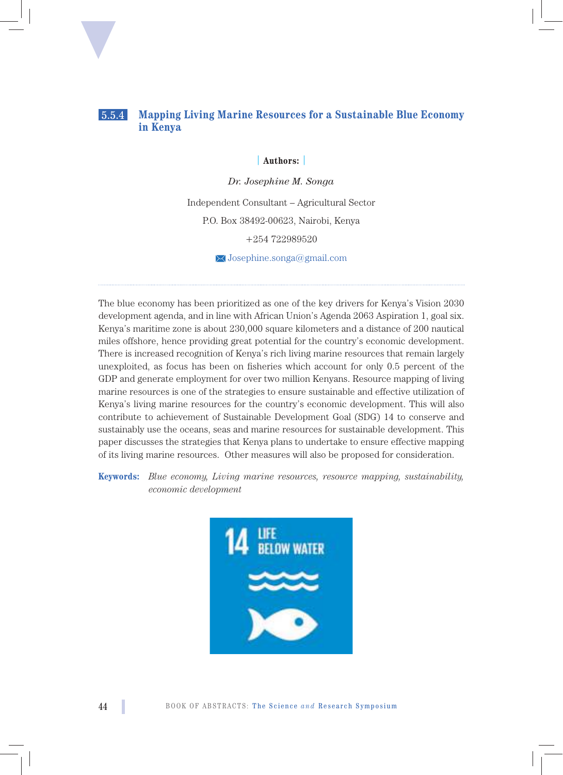## 5.5.4 **Mapping Living Marine Resources for a Sustainable Blue Economy in Kenya**

### | **Authors:** |

*Dr. Josephine M. Songa* Independent Consultant – Agricultural Sector P.O. Box 38492-00623, Nairobi, Kenya +254 722989520

 $\bowtie$  Josephine.songa@gmail.com

The blue economy has been prioritized as one of the key drivers for Kenya's Vision 2030 development agenda, and in line with African Union's Agenda 2063 Aspiration 1, goal six. Kenya's maritime zone is about 230,000 square kilometers and a distance of 200 nautical miles offshore, hence providing great potential for the country's economic development. There is increased recognition of Kenya's rich living marine resources that remain largely unexploited, as focus has been on fisheries which account for only 0.5 percent of the GDP and generate employment for over two million Kenyans. Resource mapping of living marine resources is one of the strategies to ensure sustainable and effective utilization of Kenya's living marine resources for the country's economic development. This will also contribute to achievement of Sustainable Development Goal (SDG) 14 to conserve and sustainably use the oceans, seas and marine resources for sustainable development. This paper discusses the strategies that Kenya plans to undertake to ensure effective mapping of its living marine resources. Other measures will also be proposed for consideration.

**Keywords:** *Blue economy, Living marine resources, resource mapping, sustainability, economic development*

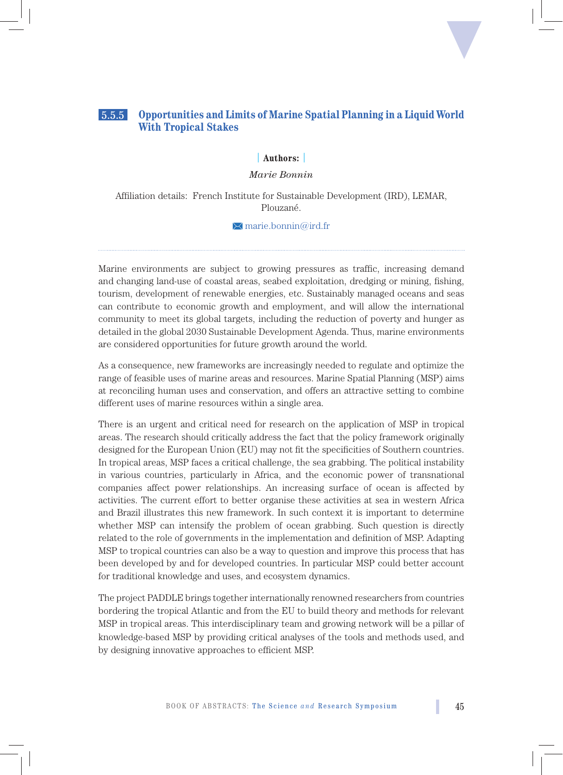## 5.5.5 **Opportunities and Limits of Marine Spatial Planning in a Liquid World With Tropical Stakes**

#### | **Authors:** |

### *Marie Bonnin*

Affiliation details: French Institute for Sustainable Development (IRD), LEMAR, Plouzané.

#### $\times$  marie.bonnin@ird.fr

Marine environments are subject to growing pressures as traffic, increasing demand and changing land-use of coastal areas, seabed exploitation, dredging or mining, fishing, tourism, development of renewable energies, etc. Sustainably managed oceans and seas can contribute to economic growth and employment, and will allow the international community to meet its global targets, including the reduction of poverty and hunger as detailed in the global 2030 Sustainable Development Agenda. Thus, marine environments are considered opportunities for future growth around the world.

As a consequence, new frameworks are increasingly needed to regulate and optimize the range of feasible uses of marine areas and resources. Marine Spatial Planning (MSP) aims at reconciling human uses and conservation, and offers an attractive setting to combine different uses of marine resources within a single area.

There is an urgent and critical need for research on the application of MSP in tropical areas. The research should critically address the fact that the policy framework originally designed for the European Union (EU) may not fit the specificities of Southern countries. In tropical areas, MSP faces a critical challenge, the sea grabbing. The political instability in various countries, particularly in Africa, and the economic power of transnational companies affect power relationships. An increasing surface of ocean is affected by activities. The current effort to better organise these activities at sea in western Africa and Brazil illustrates this new framework. In such context it is important to determine whether MSP can intensify the problem of ocean grabbing. Such question is directly related to the role of governments in the implementation and definition of MSP. Adapting MSP to tropical countries can also be a way to question and improve this process that has been developed by and for developed countries. In particular MSP could better account for traditional knowledge and uses, and ecosystem dynamics.

The project PADDLE brings together internationally renowned researchers from countries bordering the tropical Atlantic and from the EU to build theory and methods for relevant MSP in tropical areas. This interdisciplinary team and growing network will be a pillar of knowledge-based MSP by providing critical analyses of the tools and methods used, and by designing innovative approaches to efficient MSP.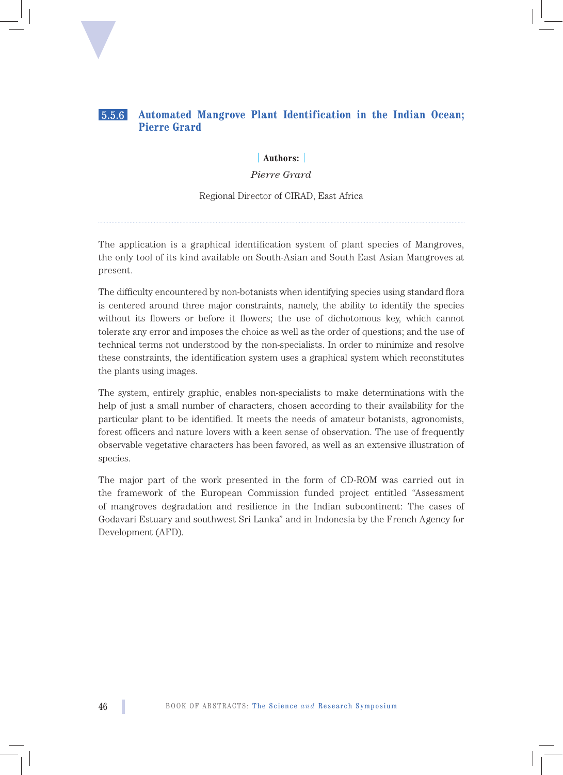## 5.5.6 **Automated Mangrove Plant Identification in the Indian Ocean; Pierre Grard**

#### | **Authors:** |

### *Pierre Grard*

Regional Director of CIRAD, East Africa

The application is a graphical identification system of plant species of Mangroves, the only tool of its kind available on South-Asian and South East Asian Mangroves at present.

The difficulty encountered by non-botanists when identifying species using standard flora is centered around three major constraints, namely, the ability to identify the species without its flowers or before it flowers; the use of dichotomous key, which cannot tolerate any error and imposes the choice as well as the order of questions; and the use of technical terms not understood by the non-specialists. In order to minimize and resolve these constraints, the identification system uses a graphical system which reconstitutes the plants using images.

The system, entirely graphic, enables non-specialists to make determinations with the help of just a small number of characters, chosen according to their availability for the particular plant to be identified. It meets the needs of amateur botanists, agronomists, forest officers and nature lovers with a keen sense of observation. The use of frequently observable vegetative characters has been favored, as well as an extensive illustration of species.

The major part of the work presented in the form of CD-ROM was carried out in the framework of the European Commission funded project entitled "Assessment of mangroves degradation and resilience in the Indian subcontinent: The cases of Godavari Estuary and southwest Sri Lanka" and in Indonesia by the French Agency for Development (AFD).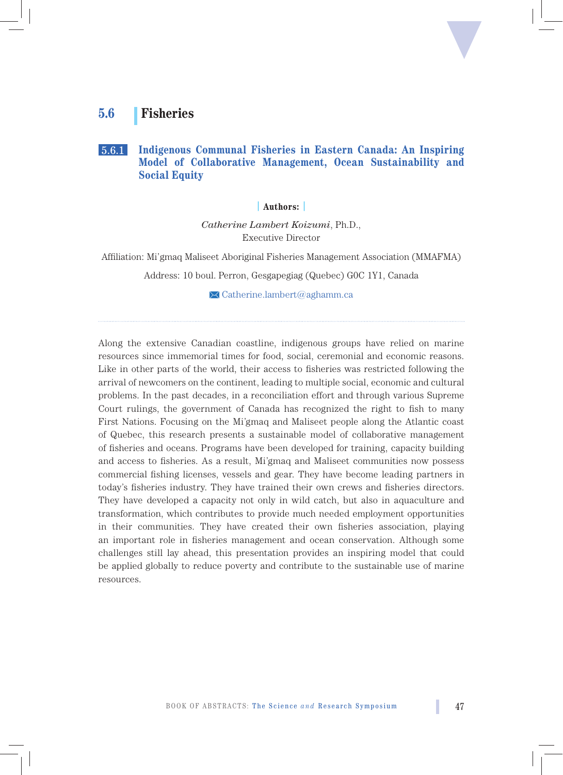# **5.6 Fisheries**

## 5.6.1 **Indigenous Communal Fisheries in Eastern Canada: An Inspiring Model of Collaborative Management, Ocean Sustainability and Social Equity**

### | **Authors:** |

*Catherine Lambert Koizumi*, Ph.D., Executive Director

Affiliation: Mi'gmaq Maliseet Aboriginal Fisheries Management Association (MMAFMA)

Address: 10 boul. Perron, Gesgapegiag (Quebec) G0C 1Y1, Canada

 $\times$  Catherine.lambert@aghamm.ca

Along the extensive Canadian coastline, indigenous groups have relied on marine resources since immemorial times for food, social, ceremonial and economic reasons. Like in other parts of the world, their access to fisheries was restricted following the arrival of newcomers on the continent, leading to multiple social, economic and cultural problems. In the past decades, in a reconciliation effort and through various Supreme Court rulings, the government of Canada has recognized the right to fish to many First Nations. Focusing on the Mi'gmaq and Maliseet people along the Atlantic coast of Quebec, this research presents a sustainable model of collaborative management of fisheries and oceans. Programs have been developed for training, capacity building and access to fisheries. As a result, Mi'gmaq and Maliseet communities now possess commercial fishing licenses, vessels and gear. They have become leading partners in today's fisheries industry. They have trained their own crews and fisheries directors. They have developed a capacity not only in wild catch, but also in aquaculture and transformation, which contributes to provide much needed employment opportunities in their communities. They have created their own fisheries association, playing an important role in fisheries management and ocean conservation. Although some challenges still lay ahead, this presentation provides an inspiring model that could be applied globally to reduce poverty and contribute to the sustainable use of marine resources.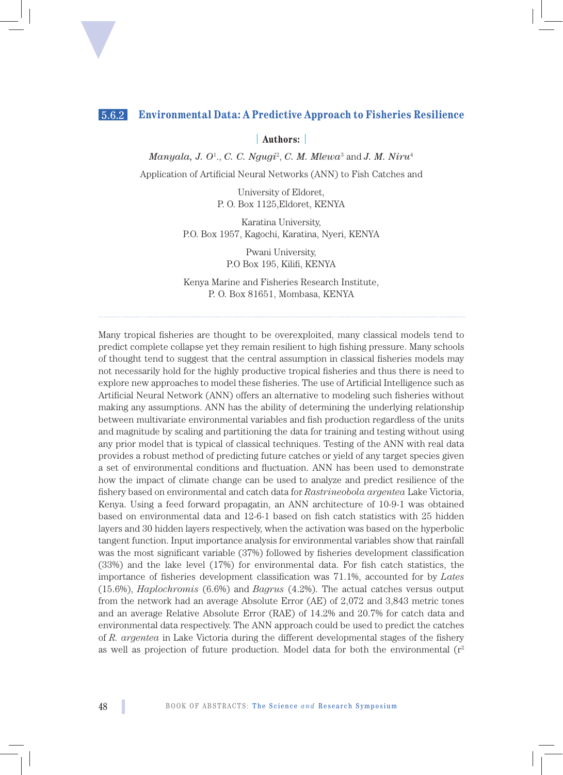### 5.6.2 **Environmental Data: A Predictive Approach to Fisheries Resilience**

| **Authors:** |

*Manyala, J. O*<sup>1</sup> ., *C. C. Ngugi*<sup>2</sup> , *C. M. Mlewa*<sup>3</sup> and *J. M. Niru*<sup>4</sup>

Application of Artificial Neural Networks (ANN) to Fish Catches and

University of Eldoret, P. O. Box 1125,Eldoret, KENYA

Karatina University, P.O. Box 1957, Kagochi, Karatina, Nyeri, KENYA

> Pwani University, P.O Box 195, Kilifi, KENYA

Kenya Marine and Fisheries Research Institute, P. O. Box 81651, Mombasa, KENYA

Many tropical fisheries are thought to be overexploited, many classical models tend to predict complete collapse yet they remain resilient to high fishing pressure. Many schools of thought tend to suggest that the central assumption in classical fisheries models may not necessarily hold for the highly productive tropical fisheries and thus there is need to explore new approaches to model these fisheries. The use of Artificial Intelligence such as Artificial Neural Network (ANN) offers an alternative to modeling such fisheries without making any assumptions. ANN has the ability of determining the underlying relationship between multivariate environmental variables and fish production regardless of the units and magnitude by scaling and partitioning the data for training and testing without using any prior model that is typical of classical techniques. Testing of the ANN with real data provides a robust method of predicting future catches or yield of any target species given a set of environmental conditions and fluctuation. ANN has been used to demonstrate how the impact of climate change can be used to analyze and predict resilience of the fishery based on environmental and catch data for *Rastrineobola argentea* Lake Victoria, Kenya. Using a feed forward propagatin, an ANN architecture of 10-9-1 was obtained based on environmental data and 12-6-1 based on fish catch statistics with 25 hidden layers and 30 hidden layers respectively, when the activation was based on the hyperbolic tangent function. Input importance analysis for environmental variables show that rainfall was the most significant variable (37%) followed by fisheries development classification (33%) and the lake level (17%) for environmental data. For fish catch statistics, the importance of fisheries development classification was 71.1%, accounted for by *Lates* (15.6%), *Haplochromis* (6.6%) and *Bagrus* (4.2%). The actual catches versus output from the network had an average Absolute Error (AE) of 2,072 and 3,843 metric tones and an average Relative Absolute Error (RAE) of 14.2% and 20.7% for catch data and environmental data respectively. The ANN approach could be used to predict the catches of *R. argentea* in Lake Victoria during the different developmental stages of the fishery as well as projection of future production. Model data for both the environmental  $(r^2)$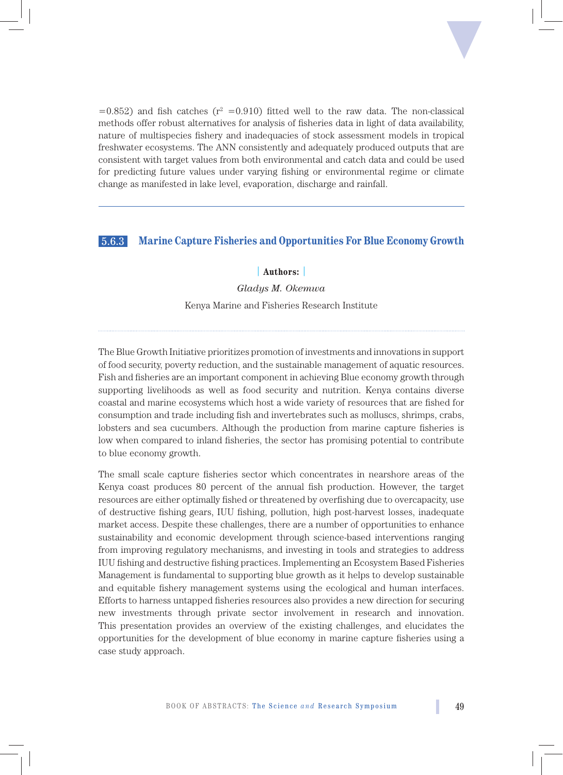$(1, 20, 652)$  and fish catches ( $r^2 = 0.910$ ) fitted well to the raw data. The non-classical methods offer robust alternatives for analysis of fisheries data in light of data availability, nature of multispecies fishery and inadequacies of stock assessment models in tropical freshwater ecosystems. The ANN consistently and adequately produced outputs that are consistent with target values from both environmental and catch data and could be used for predicting future values under varying fishing or environmental regime or climate change as manifested in lake level, evaporation, discharge and rainfall.

### 5.6.3 **Marine Capture Fisheries and Opportunities For Blue Economy Growth**

#### | **Authors:** |

*Gladys M. Okemwa* Kenya Marine and Fisheries Research Institute

The Blue Growth Initiative prioritizes promotion of investments and innovations in support of food security, poverty reduction, and the sustainable management of aquatic resources. Fish and fisheries are an important component in achieving Blue economy growth through supporting livelihoods as well as food security and nutrition. Kenya contains diverse coastal and marine ecosystems which host a wide variety of resources that are fished for consumption and trade including fish and invertebrates such as molluscs, shrimps, crabs, lobsters and sea cucumbers. Although the production from marine capture fisheries is low when compared to inland fisheries, the sector has promising potential to contribute to blue economy growth.

The small scale capture fisheries sector which concentrates in nearshore areas of the Kenya coast produces 80 percent of the annual fish production. However, the target resources are either optimally fished or threatened by overfishing due to overcapacity, use of destructive fishing gears, IUU fishing, pollution, high post-harvest losses, inadequate market access. Despite these challenges, there are a number of opportunities to enhance sustainability and economic development through science-based interventions ranging from improving regulatory mechanisms, and investing in tools and strategies to address IUU fishing and destructive fishing practices. Implementing an Ecosystem Based Fisheries Management is fundamental to supporting blue growth as it helps to develop sustainable and equitable fishery management systems using the ecological and human interfaces. Efforts to harness untapped fisheries resources also provides a new direction for securing new investments through private sector involvement in research and innovation. This presentation provides an overview of the existing challenges, and elucidates the opportunities for the development of blue economy in marine capture fisheries using a case study approach.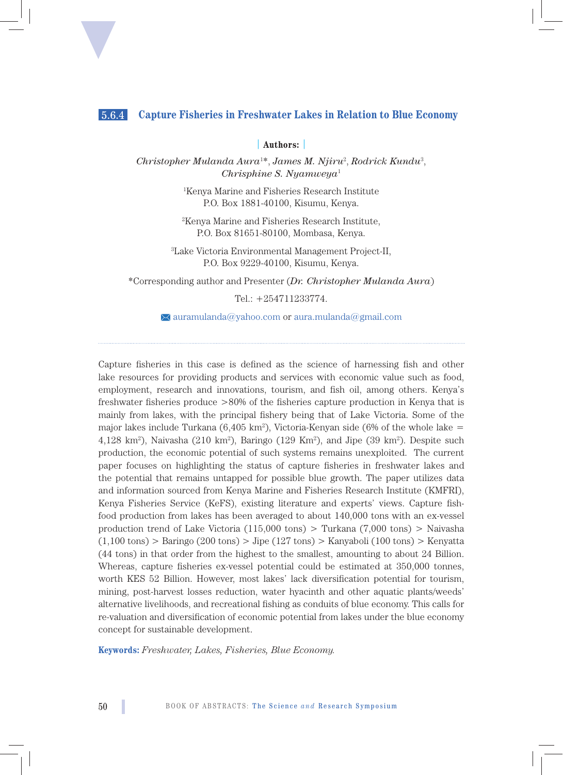### 5.6.4 **Capture Fisheries in Freshwater Lakes in Relation to Blue Economy**

| **Authors:** |

*Christopher Mulanda Aura*<sup>1</sup> \*, *James M. Njiru*<sup>2</sup> , *Rodrick Kundu*<sup>3</sup> , *Chrisphine S. Nyamweya*<sup>1</sup>

> 1 Kenya Marine and Fisheries Research Institute P.O. Box 1881-40100, Kisumu, Kenya.

2 Kenya Marine and Fisheries Research Institute, P.O. Box 81651-80100, Mombasa, Kenya.

3 Lake Victoria Environmental Management Project-II, P.O. Box 9229-40100, Kisumu, Kenya.

\*Corresponding author and Presenter (*Dr. Christopher Mulanda Aura*)

Tel.: +254711233774.

 $\times$  auramulanda@yahoo.com or aura.mulanda@gmail.com

Capture fisheries in this case is defined as the science of harnessing fish and other lake resources for providing products and services with economic value such as food, employment, research and innovations, tourism, and fish oil, among others. Kenya's freshwater fisheries produce >80% of the fisheries capture production in Kenya that is mainly from lakes, with the principal fishery being that of Lake Victoria. Some of the major lakes include Turkana (6,405 km<sup>2</sup>), Victoria-Kenyan side (6% of the whole lake  $=$  $(4,128 \text{ km}^2)$ , Naivasha  $(210 \text{ km}^2)$ , Baringo  $(129 \text{ km}^2)$ , and Jipe  $(39 \text{ km}^2)$ . Despite such production, the economic potential of such systems remains unexploited. The current paper focuses on highlighting the status of capture fisheries in freshwater lakes and the potential that remains untapped for possible blue growth. The paper utilizes data and information sourced from Kenya Marine and Fisheries Research Institute (KMFRI), Kenya Fisheries Service (KeFS), existing literature and experts' views. Capture fishfood production from lakes has been averaged to about 140,000 tons with an ex-vessel production trend of Lake Victoria (115,000 tons)  $>$  Turkana (7,000 tons)  $>$  Naivasha  $(1,100 \text{ tons})$  > Baringo  $(200 \text{ tons})$  > Jipe  $(127 \text{ tons})$  > Kanyaboli  $(100 \text{ tons})$  > Kenyatta (44 tons) in that order from the highest to the smallest, amounting to about 24 Billion. Whereas, capture fisheries ex-vessel potential could be estimated at 350,000 tonnes, worth KES 52 Billion. However, most lakes' lack diversification potential for tourism, mining, post-harvest losses reduction, water hyacinth and other aquatic plants/weeds' alternative livelihoods, and recreational fishing as conduits of blue economy. This calls for re-valuation and diversification of economic potential from lakes under the blue economy concept for sustainable development.

**Keywords:** *Freshwater, Lakes, Fisheries, Blue Economy.*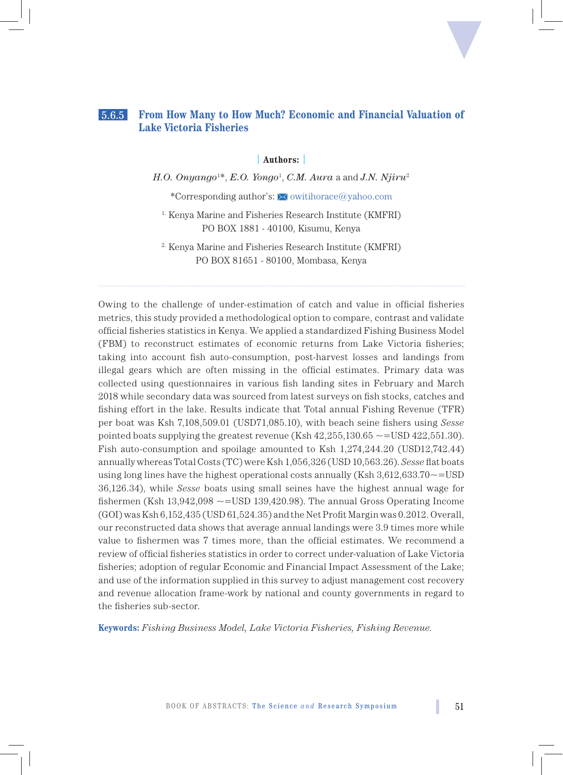## 5.6.5 **From How Many to How Much? Economic and Financial Valuation of Lake Victoria Fisheries**

#### | **Authors:** |

*H.O. Onyango*<sup>1</sup> \*, *E.O. Yongo*<sup>1</sup> , *C.M. Aura* a and *J.N. Njiru*<sup>2</sup>

\*Corresponding author's:  $\times$  owitihorace@yahoo.com

1. Kenya Marine and Fisheries Research Institute (KMFRI) PO BOX 1881 - 40100, Kisumu, Kenya

2. Kenya Marine and Fisheries Research Institute (KMFRI) PO BOX 81651 - 80100, Mombasa, Kenya

Owing to the challenge of under-estimation of catch and value in official fisheries metrics, this study provided a methodological option to compare, contrast and validate official fisheries statistics in Kenya. We applied a standardized Fishing Business Model (FBM) to reconstruct estimates of economic returns from Lake Victoria fisheries; taking into account fish auto-consumption, post-harvest losses and landings from illegal gears which are often missing in the official estimates. Primary data was collected using questionnaires in various fish landing sites in February and March 2018 while secondary data was sourced from latest surveys on fish stocks, catches and fishing effort in the lake. Results indicate that Total annual Fishing Revenue (TFR) per boat was Ksh 7,108,509.01 (USD71,085.10), with beach seine fishers using *Sesse* pointed boats supplying the greatest revenue (Ksh  $42,255,130.65 \sim EUBD$  422,551.30). Fish auto-consumption and spoilage amounted to Ksh 1,274,244.20 (USD12,742.44) annually whereas Total Costs (TC) were Ksh 1,056,326 (USD 10,563.26). *Sesse* flat boats using long lines have the highest operational costs annually (Ksh  $3,612,633.70 \sim =$ USD 36,126.34), while *Sesse* boats using small seines have the highest annual wage for fishermen (Ksh  $13,942,098 \sim$ =USD 139,420.98). The annual Gross Operating Income (GOI) was Ksh 6,152,435 (USD 61,524.35) and the Net Profit Margin was 0.2012. Overall, our reconstructed data shows that average annual landings were 3.9 times more while value to fishermen was 7 times more, than the official estimates. We recommend a review of official fisheries statistics in order to correct under-valuation of Lake Victoria fisheries; adoption of regular Economic and Financial Impact Assessment of the Lake; and use of the information supplied in this survey to adjust management cost recovery and revenue allocation frame-work by national and county governments in regard to the fisheries sub-sector.

**Keywords:** *Fishing Business Model, Lake Victoria Fisheries, Fishing Revenue.*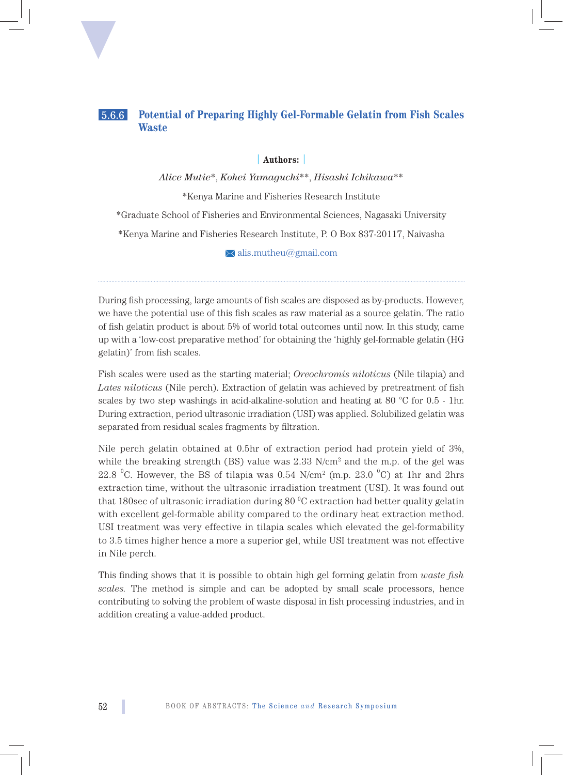## 5.6.6 **Potential of Preparing Highly Gel-Formable Gelatin from Fish Scales Waste**

#### | **Authors:** |

*Alice Mutie*\*, *Kohei Yamaguchi*\*\*, *Hisashi Ichikawa*\*\* \*Kenya Marine and Fisheries Research Institute \*Graduate School of Fisheries and Environmental Sciences, Nagasaki University \*Kenya Marine and Fisheries Research Institute, P. O Box 837-20117, Naivasha  $\times$ alis.mutheu@gmail.com

During fish processing, large amounts of fish scales are disposed as by-products. However, we have the potential use of this fish scales as raw material as a source gelatin. The ratio of fish gelatin product is about 5% of world total outcomes until now. In this study, came up with a 'low-cost preparative method' for obtaining the 'highly gel-formable gelatin (HG gelatin)' from fish scales.

Fish scales were used as the starting material; *Oreochromis niloticus* (Nile tilapia) and *Lates niloticus* (Nile perch). Extraction of gelatin was achieved by pretreatment of fish scales by two step washings in acid-alkaline-solution and heating at 80 °C for 0.5 - 1hr. During extraction, period ultrasonic irradiation (USI) was applied. Solubilized gelatin was separated from residual scales fragments by filtration.

Nile perch gelatin obtained at 0.5hr of extraction period had protein yield of 3%, while the breaking strength (BS) value was  $2.33 \text{ N/cm}^2$  and the m.p. of the gel was  $22.8\text{ °C}$ . However, the BS of tilapia was 0.54 N/cm<sup>2</sup> (m.p.  $23.0\text{ °C}$ ) at 1hr and 2hrs extraction time, without the ultrasonic irradiation treatment (USI). It was found out that 180sec of ultrasonic irradiation during 80 0C extraction had better quality gelatin with excellent gel-formable ability compared to the ordinary heat extraction method. USI treatment was very effective in tilapia scales which elevated the gel-formability to 3.5 times higher hence a more a superior gel, while USI treatment was not effective in Nile perch.

This finding shows that it is possible to obtain high gel forming gelatin from *waste fish scales.* The method is simple and can be adopted by small scale processors, hence contributing to solving the problem of waste disposal in fish processing industries, and in addition creating a value-added product.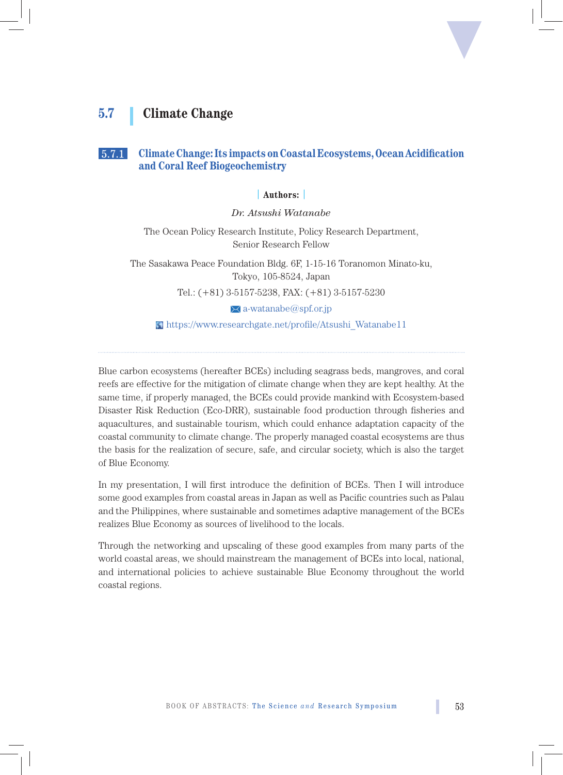# **5.7 Climate Change**

## 5.7.1 **Climate Change: Its impacts on Coastal Ecosystems, Ocean Acidification and Coral Reef Biogeochemistry**

## | **Authors:** |

*Dr. Atsushi Watanabe*

The Ocean Policy Research Institute, Policy Research Department, Senior Research Fellow

The Sasakawa Peace Foundation Bldg. 6F, 1-15-16 Toranomon Minato-ku, Tokyo, 105-8524, Japan

Tel.: (+81) 3-5157-5238, FAX: (+81) 3-5157-5230

 $\times$  a-watanabe@spf.or.jp

**https://www.researchgate.net/profile/Atsushi\_Watanabe11** 

Blue carbon ecosystems (hereafter BCEs) including seagrass beds, mangroves, and coral reefs are effective for the mitigation of climate change when they are kept healthy. At the same time, if properly managed, the BCEs could provide mankind with Ecosystem-based Disaster Risk Reduction (Eco-DRR), sustainable food production through fisheries and aquacultures, and sustainable tourism, which could enhance adaptation capacity of the coastal community to climate change. The properly managed coastal ecosystems are thus the basis for the realization of secure, safe, and circular society, which is also the target of Blue Economy.

In my presentation, I will first introduce the definition of BCEs. Then I will introduce some good examples from coastal areas in Japan as well as Pacific countries such as Palau and the Philippines, where sustainable and sometimes adaptive management of the BCEs realizes Blue Economy as sources of livelihood to the locals.

Through the networking and upscaling of these good examples from many parts of the world coastal areas, we should mainstream the management of BCEs into local, national, and international policies to achieve sustainable Blue Economy throughout the world coastal regions.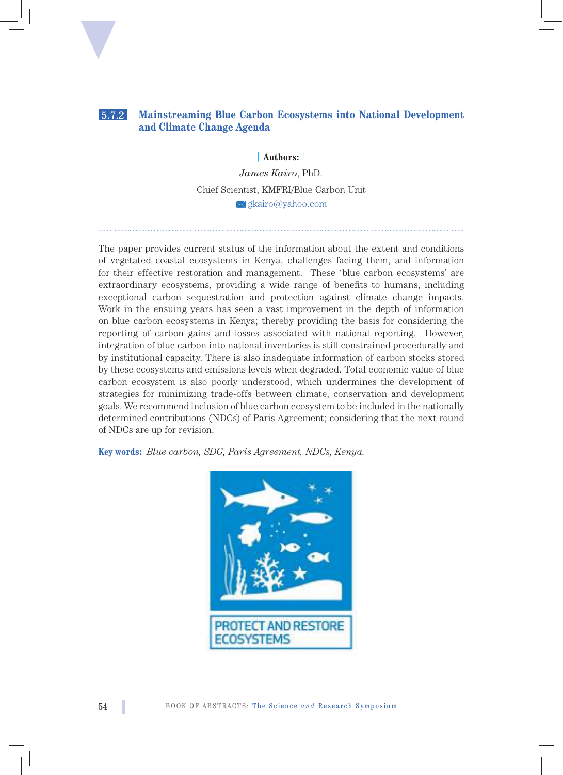## 5.7.2 **Mainstreaming Blue Carbon Ecosystems into National Development and Climate Change Agenda**

#### | **Authors:** |

*James Kairo*, PhD. Chief Scientist, KMFRI/Blue Carbon Unit  $\times$  gkairo@yahoo.com

The paper provides current status of the information about the extent and conditions of vegetated coastal ecosystems in Kenya, challenges facing them, and information for their effective restoration and management. These 'blue carbon ecosystems' are extraordinary ecosystems, providing a wide range of benefits to humans, including exceptional carbon sequestration and protection against climate change impacts. Work in the ensuing years has seen a vast improvement in the depth of information on blue carbon ecosystems in Kenya; thereby providing the basis for considering the reporting of carbon gains and losses associated with national reporting. However, integration of blue carbon into national inventories is still constrained procedurally and by institutional capacity. There is also inadequate information of carbon stocks stored by these ecosystems and emissions levels when degraded. Total economic value of blue carbon ecosystem is also poorly understood, which undermines the development of strategies for minimizing trade-offs between climate, conservation and development goals. We recommend inclusion of blue carbon ecosystem to be included in the nationally determined contributions (NDCs) of Paris Agreement; considering that the next round of NDCs are up for revision.

**Key words:** *Blue carbon, SDG, Paris Agreement, NDCs, Kenya.*

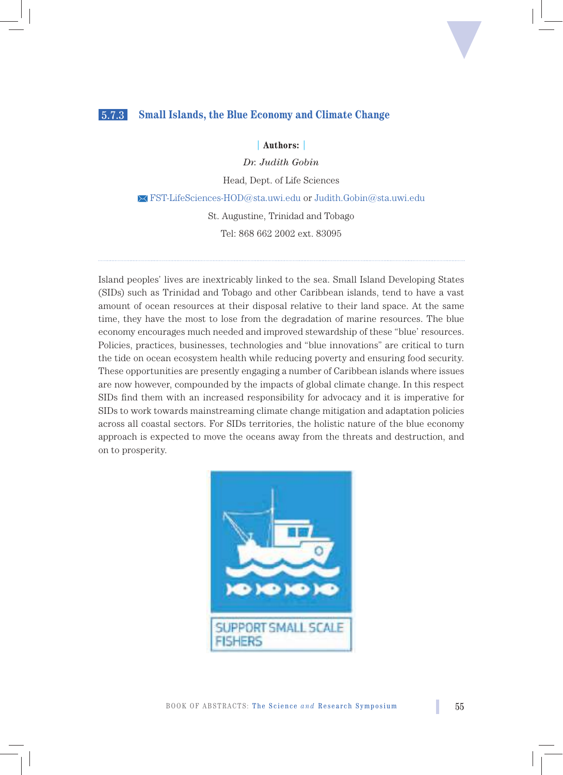### 5.7.3 **Small Islands, the Blue Economy and Climate Change**

| **Authors:** |

*Dr. Judith Gobin*

Head, Dept. of Life Sciences

FST-LifeSciences-HOD@sta.uwi.edu or Judith.Gobin@sta.uwi.edu

St. Augustine, Trinidad and Tobago Tel: 868 662 2002 ext. 83095

Island peoples' lives are inextricably linked to the sea. Small Island Developing States (SIDs) such as Trinidad and Tobago and other Caribbean islands, tend to have a vast amount of ocean resources at their disposal relative to their land space. At the same time, they have the most to lose from the degradation of marine resources. The blue economy encourages much needed and improved stewardship of these "blue' resources. Policies, practices, businesses, technologies and "blue innovations" are critical to turn the tide on ocean ecosystem health while reducing poverty and ensuring food security. These opportunities are presently engaging a number of Caribbean islands where issues are now however, compounded by the impacts of global climate change. In this respect SIDs find them with an increased responsibility for advocacy and it is imperative for SIDs to work towards mainstreaming climate change mitigation and adaptation policies across all coastal sectors. For SIDs territories, the holistic nature of the blue economy approach is expected to move the oceans away from the threats and destruction, and on to prosperity.

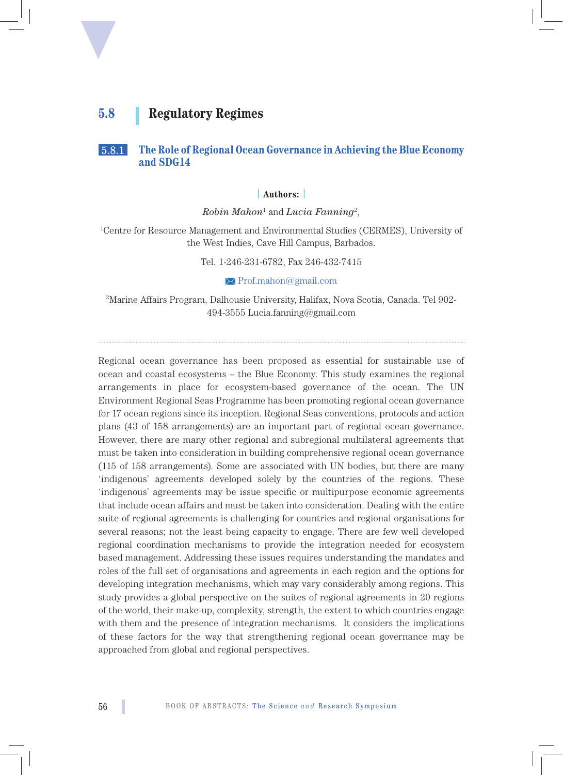# **5.8 Regulatory Regimes**

## 5.8.1 **The Role of Regional Ocean Governance in Achieving the Blue Economy and SDG14**

### | **Authors:** |

*Robin Mahon*<sup>1</sup> and *Lucia Fanning*<sup>2</sup> ,

1 Centre for Resource Management and Environmental Studies (CERMES), University of the West Indies, Cave Hill Campus, Barbados.

Tel. 1-246-231-6782, Fax 246-432-7415

 $\times$  Prof.mahon@gmail.com

2 Marine Affairs Program, Dalhousie University, Halifax, Nova Scotia, Canada. Tel 902- 494-3555 Lucia.fanning@gmail.com

Regional ocean governance has been proposed as essential for sustainable use of ocean and coastal ecosystems – the Blue Economy. This study examines the regional arrangements in place for ecosystem-based governance of the ocean. The UN Environment Regional Seas Programme has been promoting regional ocean governance for 17 ocean regions since its inception. Regional Seas conventions, protocols and action plans (43 of 158 arrangements) are an important part of regional ocean governance. However, there are many other regional and subregional multilateral agreements that must be taken into consideration in building comprehensive regional ocean governance (115 of 158 arrangements). Some are associated with UN bodies, but there are many 'indigenous' agreements developed solely by the countries of the regions. These 'indigenous' agreements may be issue specific or multipurpose economic agreements that include ocean affairs and must be taken into consideration. Dealing with the entire suite of regional agreements is challenging for countries and regional organisations for several reasons; not the least being capacity to engage. There are few well developed regional coordination mechanisms to provide the integration needed for ecosystem based management. Addressing these issues requires understanding the mandates and roles of the full set of organisations and agreements in each region and the options for developing integration mechanisms, which may vary considerably among regions. This study provides a global perspective on the suites of regional agreements in 20 regions of the world, their make-up, complexity, strength, the extent to which countries engage with them and the presence of integration mechanisms. It considers the implications of these factors for the way that strengthening regional ocean governance may be approached from global and regional perspectives.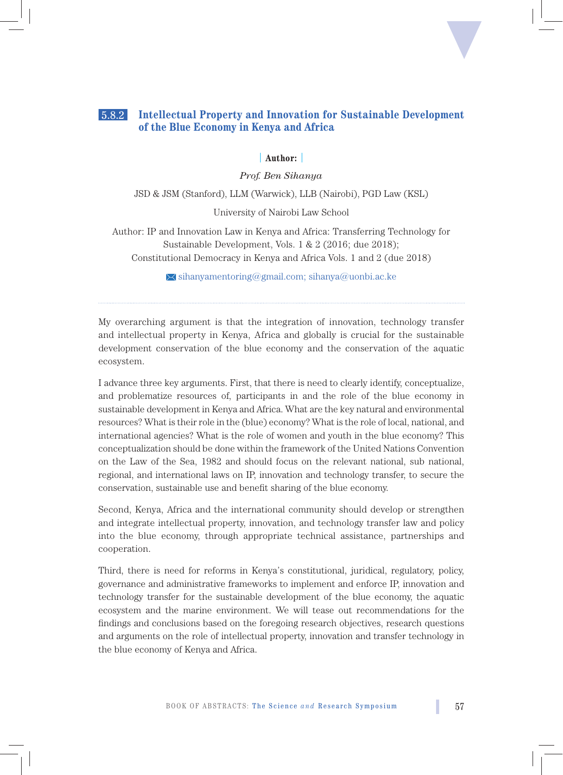## 5.8.2 **Intellectual Property and Innovation for Sustainable Development of the Blue Economy in Kenya and Africa**

### | **Author:** |

*Prof. Ben Sihanya*

JSD & JSM (Stanford), LLM (Warwick), LLB (Nairobi), PGD Law (KSL)

#### University of Nairobi Law School

Author: IP and Innovation Law in Kenya and Africa: Transferring Technology for Sustainable Development, Vols. 1 & 2 (2016; due 2018); Constitutional Democracy in Kenya and Africa Vols. 1 and 2 (due 2018)

 $\times$  sihanyamentoring@gmail.com; sihanya@uonbi.ac.ke

My overarching argument is that the integration of innovation, technology transfer and intellectual property in Kenya, Africa and globally is crucial for the sustainable development conservation of the blue economy and the conservation of the aquatic ecosystem.

I advance three key arguments. First, that there is need to clearly identify, conceptualize, and problematize resources of, participants in and the role of the blue economy in sustainable development in Kenya and Africa. What are the key natural and environmental resources? What is their role in the (blue) economy? What is the role of local, national, and international agencies? What is the role of women and youth in the blue economy? This conceptualization should be done within the framework of the United Nations Convention on the Law of the Sea, 1982 and should focus on the relevant national, sub national, regional, and international laws on IP, innovation and technology transfer, to secure the conservation, sustainable use and benefit sharing of the blue economy.

Second, Kenya, Africa and the international community should develop or strengthen and integrate intellectual property, innovation, and technology transfer law and policy into the blue economy, through appropriate technical assistance, partnerships and cooperation.

Third, there is need for reforms in Kenya's constitutional, juridical, regulatory, policy, governance and administrative frameworks to implement and enforce IP, innovation and technology transfer for the sustainable development of the blue economy, the aquatic ecosystem and the marine environment. We will tease out recommendations for the findings and conclusions based on the foregoing research objectives, research questions and arguments on the role of intellectual property, innovation and transfer technology in the blue economy of Kenya and Africa.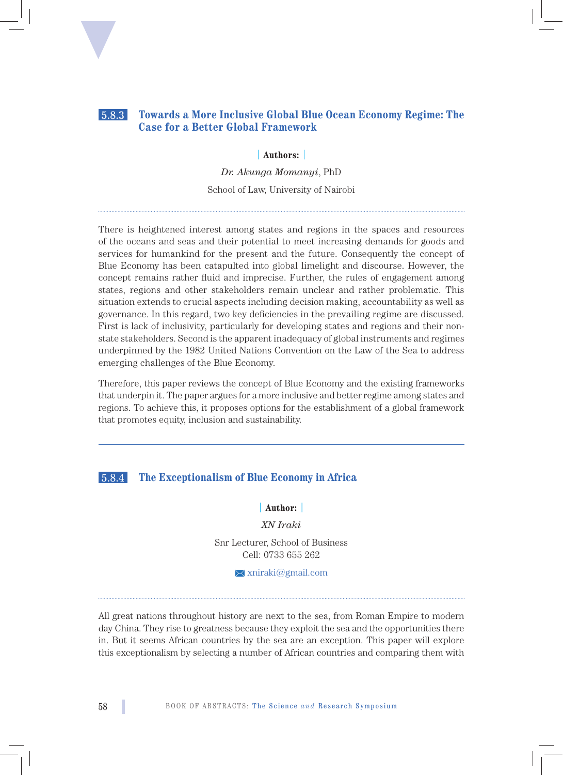## 5.8.3 **Towards a More Inclusive Global Blue Ocean Economy Regime: The Case for a Better Global Framework**

#### | **Authors:** |

*Dr. Akunga Momanyi*, PhD

School of Law, University of Nairobi

There is heightened interest among states and regions in the spaces and resources of the oceans and seas and their potential to meet increasing demands for goods and services for humankind for the present and the future. Consequently the concept of Blue Economy has been catapulted into global limelight and discourse. However, the concept remains rather fluid and imprecise. Further, the rules of engagement among states, regions and other stakeholders remain unclear and rather problematic. This situation extends to crucial aspects including decision making, accountability as well as governance. In this regard, two key deficiencies in the prevailing regime are discussed. First is lack of inclusivity, particularly for developing states and regions and their nonstate stakeholders. Second is the apparent inadequacy of global instruments and regimes underpinned by the 1982 United Nations Convention on the Law of the Sea to address emerging challenges of the Blue Economy.

Therefore, this paper reviews the concept of Blue Economy and the existing frameworks that underpin it. The paper argues for a more inclusive and better regime among states and regions. To achieve this, it proposes options for the establishment of a global framework that promotes equity, inclusion and sustainability.

#### 5.8.4 **The Exceptionalism of Blue Economy in Africa**

| **Author:** |

*XN Iraki*

Snr Lecturer, School of Business Cell: 0733 655 262

 $\times$ xniraki@gmail.com

All great nations throughout history are next to the sea, from Roman Empire to modern day China. They rise to greatness because they exploit the sea and the opportunities there in. But it seems African countries by the sea are an exception. This paper will explore this exceptionalism by selecting a number of African countries and comparing them with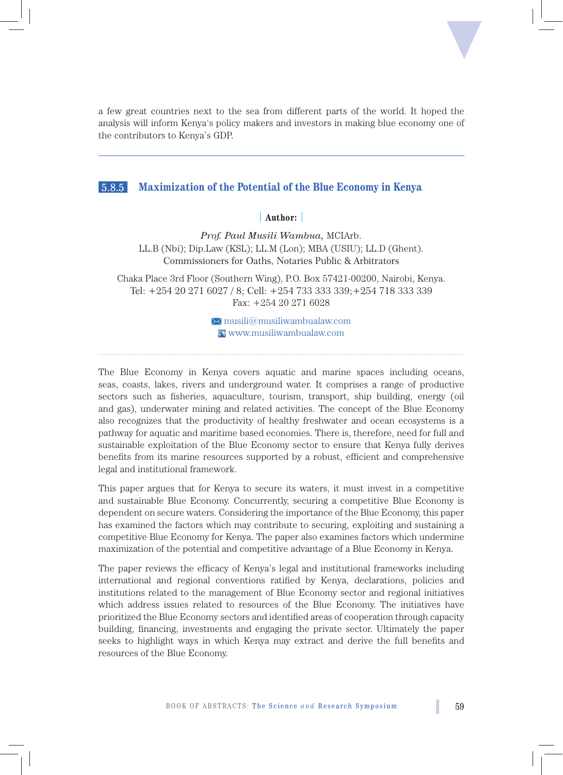a few great countries next to the sea from different parts of the world. It hoped the analysis will inform Kenya's policy makers and investors in making blue economy one of the contributors to Kenya's GDP.

### 5.8.5 **Maximization of the Potential of the Blue Economy in Kenya**

### | **Author:** |

*Prof. Paul Musili Wambua,* MCIArb. LL.B (Nbi); Dip.Law (KSL); LL.M (Lon); MBA (USIU); LL.D (Ghent). Commissioners for Oaths, Notaries Public & Arbitrators

Chaka Place 3rd Floor (Southern Wing), P.O. Box 57421-00200, Nairobi, Kenya. Tel: +254 20 271 6027 / 8; Cell: +254 733 333 339;+254 718 333 339 Fax: +254 20 271 6028

> $\times$  musili@musiliwambualaw.com www.musiliwambualaw.com

The Blue Economy in Kenya covers aquatic and marine spaces including oceans, seas, coasts, lakes, rivers and underground water. It comprises a range of productive sectors such as fisheries, aquaculture, tourism, transport, ship building, energy (oil and gas), underwater mining and related activities. The concept of the Blue Economy also recognizes that the productivity of healthy freshwater and ocean ecosystems is a pathway for aquatic and maritime based economies. There is, therefore, need for full and sustainable exploitation of the Blue Economy sector to ensure that Kenya fully derives benefits from its marine resources supported by a robust, efficient and comprehensive legal and institutional framework.

This paper argues that for Kenya to secure its waters, it must invest in a competitive and sustainable Blue Economy. Concurrently, securing a competitive Blue Economy is dependent on secure waters. Considering the importance of the Blue Economy, this paper has examined the factors which may contribute to securing, exploiting and sustaining a competitive Blue Economy for Kenya. The paper also examines factors which undermine maximization of the potential and competitive advantage of a Blue Economy in Kenya.

The paper reviews the efficacy of Kenya's legal and institutional frameworks including international and regional conventions ratified by Kenya, declarations, policies and institutions related to the management of Blue Economy sector and regional initiatives which address issues related to resources of the Blue Economy. The initiatives have prioritized the Blue Economy sectors and identified areas of cooperation through capacity building, financing, investments and engaging the private sector. Ultimately the paper seeks to highlight ways in which Kenya may extract and derive the full benefits and resources of the Blue Economy.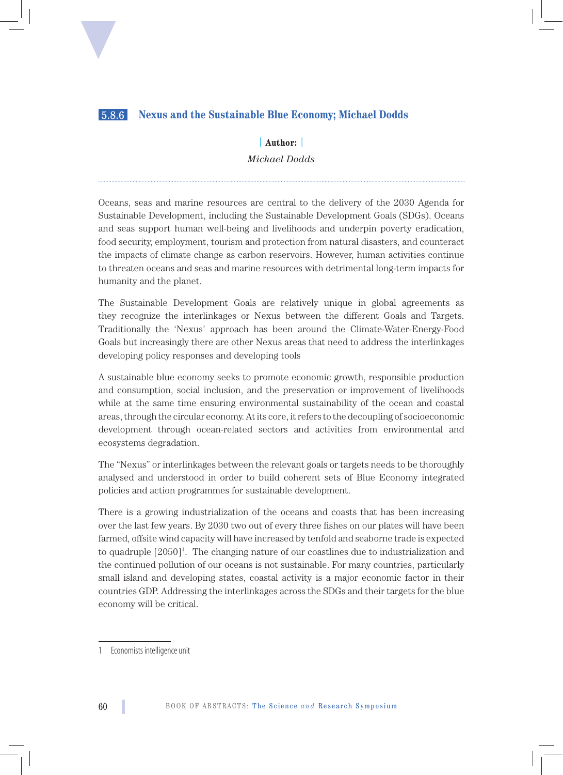## 5.8.6 **Nexus and the Sustainable Blue Economy; Michael Dodds**

#### | **Author:** |

*Michael Dodds*

Oceans, seas and marine resources are central to the delivery of the 2030 Agenda for Sustainable Development, including the Sustainable Development Goals (SDGs). Oceans and seas support human well-being and livelihoods and underpin poverty eradication, food security, employment, tourism and protection from natural disasters, and counteract the impacts of climate change as carbon reservoirs. However, human activities continue to threaten oceans and seas and marine resources with detrimental long-term impacts for humanity and the planet.

The Sustainable Development Goals are relatively unique in global agreements as they recognize the interlinkages or Nexus between the different Goals and Targets. Traditionally the 'Nexus' approach has been around the Climate-Water-Energy-Food Goals but increasingly there are other Nexus areas that need to address the interlinkages developing policy responses and developing tools

A sustainable blue economy seeks to promote economic growth, responsible production and consumption, social inclusion, and the preservation or improvement of livelihoods while at the same time ensuring environmental sustainability of the ocean and coastal areas, through the circular economy. At its core, it refers to the decoupling of socioeconomic development through ocean-related sectors and activities from environmental and ecosystems degradation.

The "Nexus" or interlinkages between the relevant goals or targets needs to be thoroughly analysed and understood in order to build coherent sets of Blue Economy integrated policies and action programmes for sustainable development.

There is a growing industrialization of the oceans and coasts that has been increasing over the last few years. By 2030 two out of every three fishes on our plates will have been farmed, offsite wind capacity will have increased by tenfold and seaborne trade is expected to quadruple  $[2050]$ <sup>1</sup>. The changing nature of our coastlines due to industrialization and the continued pollution of our oceans is not sustainable. For many countries, particularly small island and developing states, coastal activity is a major economic factor in their countries GDP. Addressing the interlinkages across the SDGs and their targets for the blue economy will be critical.

<sup>1</sup> Economists intelligence unit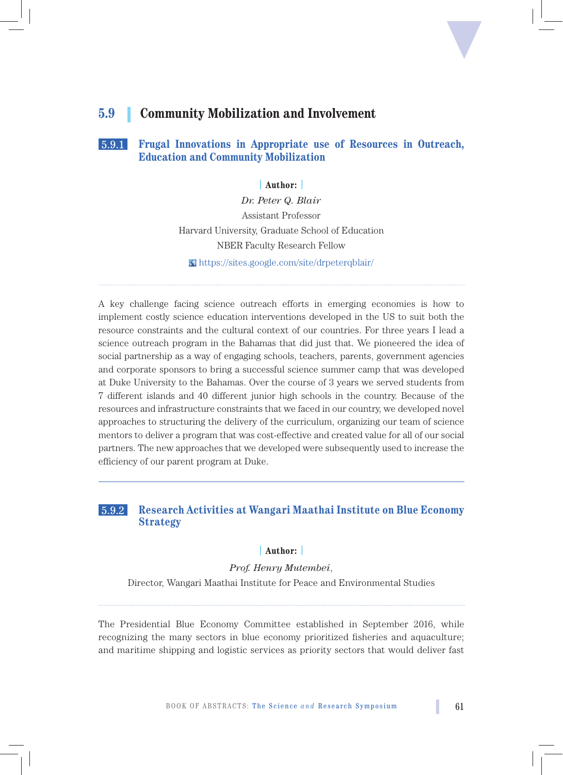## **5.9 Community Mobilization and Involvement**

### 5.9.1 **Frugal Innovations in Appropriate use of Resources in Outreach, Education and Community Mobilization**

### | **Author:** |

*Dr. Peter Q. Blair* Assistant Professor Harvard University, Graduate School of Education NBER Faculty Research Fellow https://sites.google.com/site/drpeterqblair/

A key challenge facing science outreach efforts in emerging economies is how to implement costly science education interventions developed in the US to suit both the resource constraints and the cultural context of our countries. For three years I lead a science outreach program in the Bahamas that did just that. We pioneered the idea of social partnership as a way of engaging schools, teachers, parents, government agencies and corporate sponsors to bring a successful science summer camp that was developed at Duke University to the Bahamas. Over the course of 3 years we served students from 7 different islands and 40 different junior high schools in the country. Because of the resources and infrastructure constraints that we faced in our country, we developed novel approaches to structuring the delivery of the curriculum, organizing our team of science mentors to deliver a program that was cost-effective and created value for all of our social partners. The new approaches that we developed were subsequently used to increase the efficiency of our parent program at Duke.

## 5.9.2 **Research Activities at Wangari Maathai Institute on Blue Economy Strategy**

## | **Author:** |

*Prof. Henry Mutembei*, Director, Wangari Maathai Institute for Peace and Environmental Studies

The Presidential Blue Economy Committee established in September 2016, while recognizing the many sectors in blue economy prioritized fisheries and aquaculture; and maritime shipping and logistic services as priority sectors that would deliver fast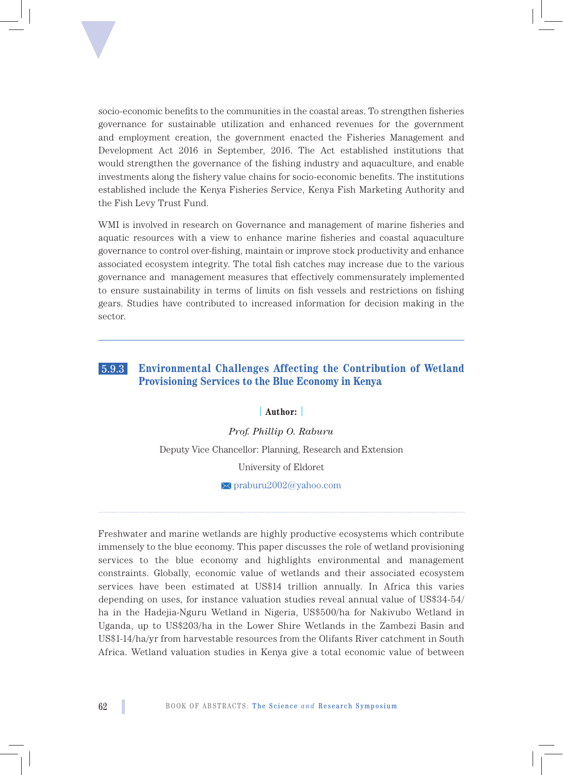

socio-economic benefits to the communities in the coastal areas. To strengthen fisheries governance for sustainable utilization and enhanced revenues for the government and employment creation, the government enacted the Fisheries Management and Development Act 2016 in September, 2016. The Act established institutions that would strengthen the governance of the fishing industry and aquaculture, and enable investments along the fishery value chains for socio-economic benefits. The institutions established include the Kenya Fisheries Service, Kenya Fish Marketing Authority and the Fish Levy Trust Fund.

WMI is involved in research on Governance and management of marine fisheries and aquatic resources with a view to enhance marine fisheries and coastal aquaculture governance to control over-fishing, maintain or improve stock productivity and enhance associated ecosystem integrity. The total fish catches may increase due to the various governance and management measures that effectively commensurately implemented to ensure sustainability in terms of limits on fish vessels and restrictions on fishing gears. Studies have contributed to increased information for decision making in the sector.

# 5.9.3 **Environmental Challenges Affecting the Contribution of Wetland Provisioning Services to the Blue Economy in Kenya**

| **Author:** |

*Prof. Phillip O. Raburu* Deputy Vice Chancellor: Planning, Research and Extension University of Eldoret  $\times$ praburu2002@yahoo.com

Freshwater and marine wetlands are highly productive ecosystems which contribute immensely to the blue economy. This paper discusses the role of wetland provisioning services to the blue economy and highlights environmental and management constraints. Globally, economic value of wetlands and their associated ecosystem services have been estimated at US\$14 trillion annually. In Africa this varies depending on uses, for instance valuation studies reveal annual value of US\$34-54/ ha in the Hadejia-Nguru Wetland in Nigeria, US\$500/ha for Nakivubo Wetland in Uganda, up to US\$203/ha in the Lower Shire Wetlands in the Zambezi Basin and US\$1-14/ha/yr from harvestable resources from the Olifants River catchment in South Africa. Wetland valuation studies in Kenya give a total economic value of between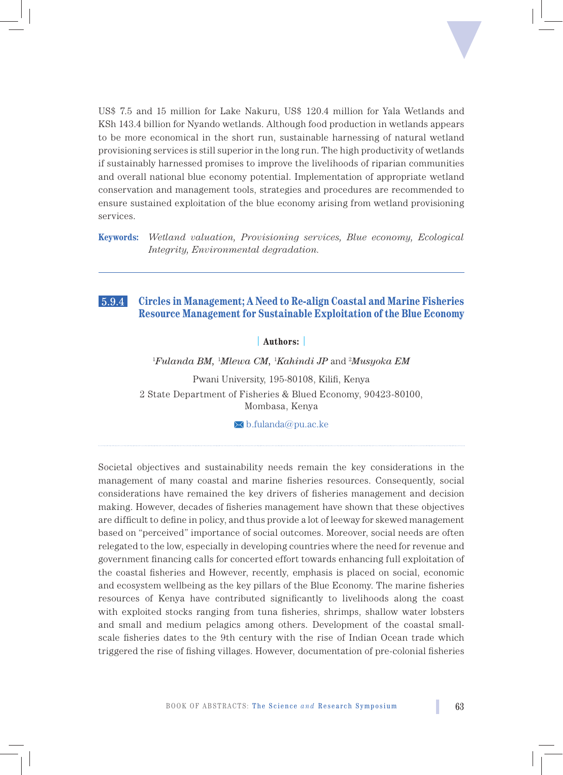US\$ 7.5 and 15 million for Lake Nakuru, US\$ 120.4 million for Yala Wetlands and KSh 143.4 billion for Nyando wetlands. Although food production in wetlands appears to be more economical in the short run, sustainable harnessing of natural wetland provisioning services is still superior in the long run. The high productivity of wetlands if sustainably harnessed promises to improve the livelihoods of riparian communities and overall national blue economy potential. Implementation of appropriate wetland conservation and management tools, strategies and procedures are recommended to ensure sustained exploitation of the blue economy arising from wetland provisioning services.

**Keywords:** *Wetland valuation, Provisioning services, Blue economy, Ecological Integrity, Environmental degradation.*

## 5.9.4 **Circles in Management; A Need to Re-align Coastal and Marine Fisheries Resource Management for Sustainable Exploitation of the Blue Economy**

## | **Authors:** |

1 *Fulanda BM,* <sup>1</sup> *Mlewa CM,* <sup>1</sup> *Kahindi JP* and 2 *Musyoka EM* Pwani University, 195-80108, Kilifi, Kenya 2 State Department of Fisheries & Blued Economy, 90423-80100, Mombasa, Kenya

 $\blacktriangleright$  b.fulanda@pu.ac.ke

Societal objectives and sustainability needs remain the key considerations in the management of many coastal and marine fisheries resources. Consequently, social considerations have remained the key drivers of fisheries management and decision making. However, decades of fisheries management have shown that these objectives are difficult to define in policy, and thus provide a lot of leeway for skewed management based on "perceived" importance of social outcomes. Moreover, social needs are often relegated to the low, especially in developing countries where the need for revenue and government financing calls for concerted effort towards enhancing full exploitation of the coastal fisheries and However, recently, emphasis is placed on social, economic and ecosystem wellbeing as the key pillars of the Blue Economy. The marine fisheries resources of Kenya have contributed significantly to livelihoods along the coast with exploited stocks ranging from tuna fisheries, shrimps, shallow water lobsters and small and medium pelagics among others. Development of the coastal smallscale fisheries dates to the 9th century with the rise of Indian Ocean trade which triggered the rise of fishing villages. However, documentation of pre-colonial fisheries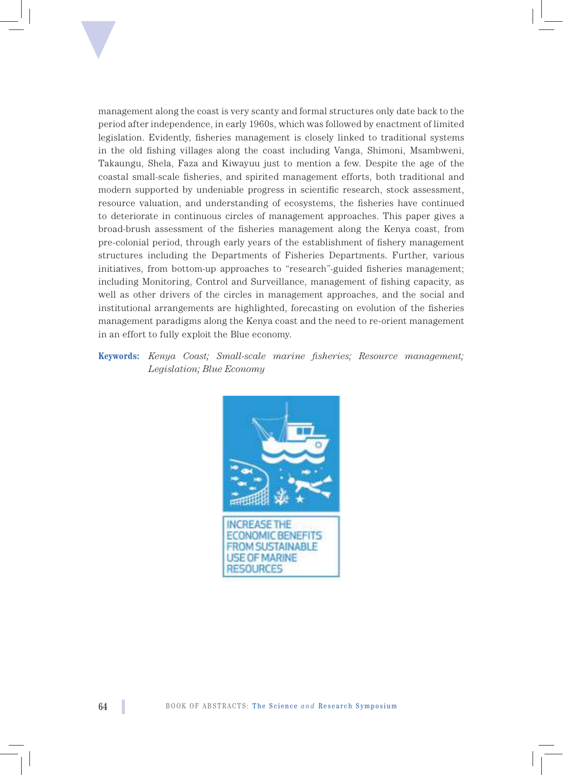

**Keywords:** *Kenya Coast; Small-scale marine fisheries; Resource management; Legislation; Blue Economy* 

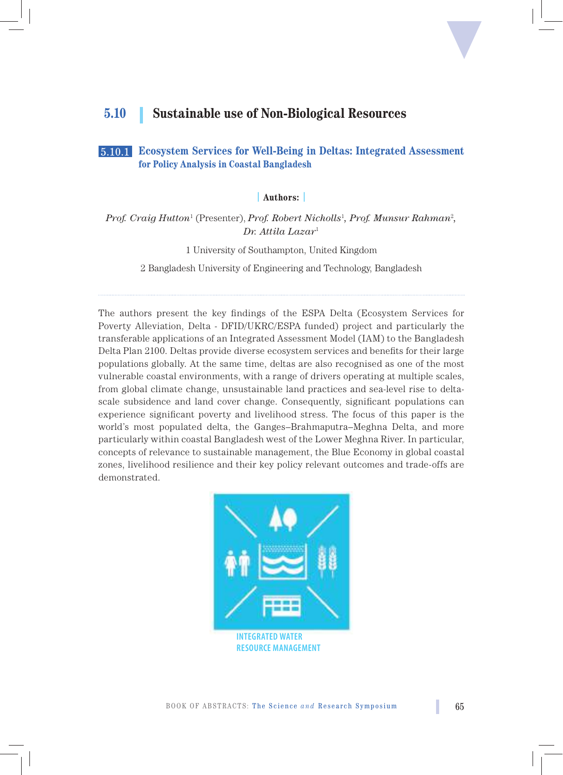# **5.10 Sustainable use of Non-Biological Resources**

## 5.10.1 **Ecosystem Services for Well-Being in Deltas: Integrated Assessment for Policy Analysis in Coastal Bangladesh**

## | **Authors:** |

## *Prof. Craig Hutton*<sup>1</sup> (Presenter), *Prof. Robert Nicholls*<sup>1</sup>, *Prof. Munsur Rahman*<sup>2</sup>, *Dr. Attila Lazar*<sup>1</sup>

1 University of Southampton, United Kingdom

2 Bangladesh University of Engineering and Technology, Bangladesh

The authors present the key findings of the ESPA Delta (Ecosystem Services for Poverty Alleviation, Delta - DFID/UKRC/ESPA funded) project and particularly the transferable applications of an Integrated Assessment Model (IAM) to the Bangladesh Delta Plan 2100. Deltas provide diverse ecosystem services and benefits for their large populations globally. At the same time, deltas are also recognised as one of the most vulnerable coastal environments, with a range of drivers operating at multiple scales, from global climate change, unsustainable land practices and sea-level rise to deltascale subsidence and land cover change. Consequently, significant populations can experience significant poverty and livelihood stress. The focus of this paper is the world's most populated delta, the Ganges–Brahmaputra–Meghna Delta, and more particularly within coastal Bangladesh west of the Lower Meghna River. In particular, concepts of relevance to sustainable management, the Blue Economy in global coastal zones, livelihood resilience and their key policy relevant outcomes and trade-offs are demonstrated.

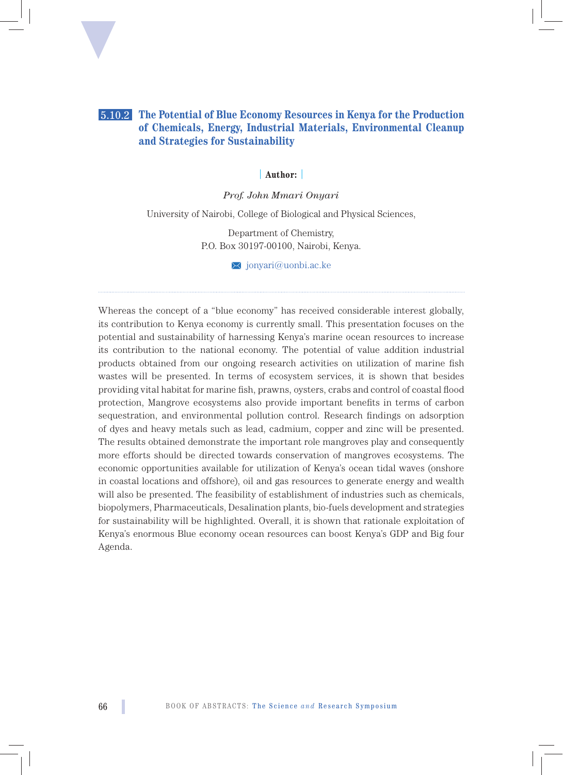# 5.10.2 **The Potential of Blue Economy Resources in Kenya for the Production of Chemicals, Energy, Industrial Materials, Environmental Cleanup and Strategies for Sustainability**

## | **Author:** |

## *Prof. John Mmari Onyari*

University of Nairobi, College of Biological and Physical Sciences,

Department of Chemistry, P.O. Box 30197-00100, Nairobi, Kenya.

 $\times$  jonyari@uonbi.ac.ke

Whereas the concept of a "blue economy" has received considerable interest globally, its contribution to Kenya economy is currently small. This presentation focuses on the potential and sustainability of harnessing Kenya's marine ocean resources to increase its contribution to the national economy. The potential of value addition industrial products obtained from our ongoing research activities on utilization of marine fish wastes will be presented. In terms of ecosystem services, it is shown that besides providing vital habitat for marine fish, prawns, oysters, crabs and control of coastal flood protection, Mangrove ecosystems also provide important benefits in terms of carbon sequestration, and environmental pollution control. Research findings on adsorption of dyes and heavy metals such as lead, cadmium, copper and zinc will be presented. The results obtained demonstrate the important role mangroves play and consequently more efforts should be directed towards conservation of mangroves ecosystems. The economic opportunities available for utilization of Kenya's ocean tidal waves (onshore in coastal locations and offshore), oil and gas resources to generate energy and wealth will also be presented. The feasibility of establishment of industries such as chemicals, biopolymers, Pharmaceuticals, Desalination plants, bio-fuels development and strategies for sustainability will be highlighted. Overall, it is shown that rationale exploitation of Kenya's enormous Blue economy ocean resources can boost Kenya's GDP and Big four Agenda.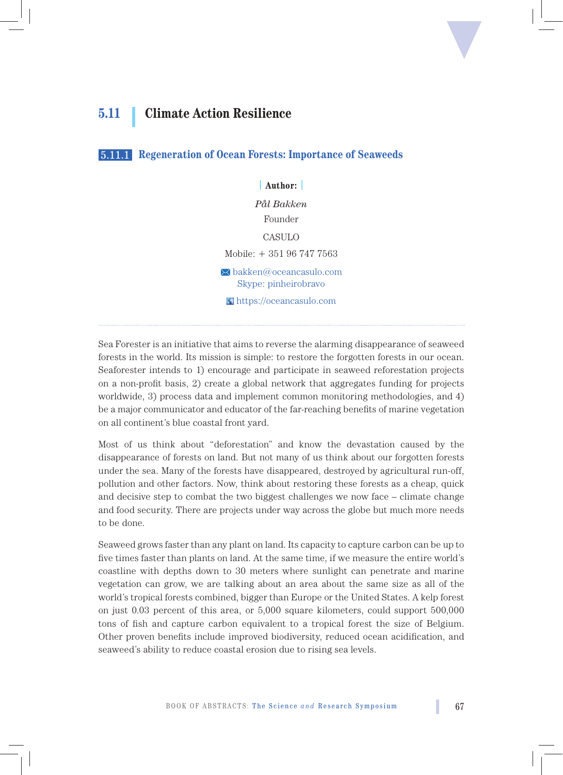# **5.11 Climate Action Resilience**

5.11.1 **Regeneration of Ocean Forests: Importance of Seaweeds**

| **Author:** | *Pål Bakken* Founder CASULO Mobile: + 351 96 747 7563  $\times$  bakken@oceancasulo.com Skype: pinheirobravo https://oceancasulo.com

Sea Forester is an initiative that aims to reverse the alarming disappearance of seaweed forests in the world. Its mission is simple: to restore the forgotten forests in our ocean. Seaforester intends to 1) encourage and participate in seaweed reforestation projects on a non-profit basis, 2) create a global network that aggregates funding for projects worldwide, 3) process data and implement common monitoring methodologies, and 4) be a major communicator and educator of the far-reaching benefits of marine vegetation on all continent's blue coastal front yard.

Most of us think about "deforestation" and know the devastation caused by the disappearance of forests on land. But not many of us think about our forgotten forests under the sea. Many of the forests have disappeared, destroyed by agricultural run-off, pollution and other factors. Now, think about restoring these forests as a cheap, quick and decisive step to combat the two biggest challenges we now face – climate change and food security. There are projects under way across the globe but much more needs to be done.

Seaweed grows faster than any plant on land. Its capacity to capture carbon can be up to five times faster than plants on land. At the same time, if we measure the entire world's coastline with depths down to 30 meters where sunlight can penetrate and marine vegetation can grow, we are talking about an area about the same size as all of the world's tropical forests combined, bigger than Europe or the United States. A kelp forest on just 0.03 percent of this area, or 5,000 square kilometers, could support 500,000 tons of fish and capture carbon equivalent to a tropical forest the size of Belgium. Other proven benefits include improved biodiversity, reduced ocean acidification, and seaweed's ability to reduce coastal erosion due to rising sea levels.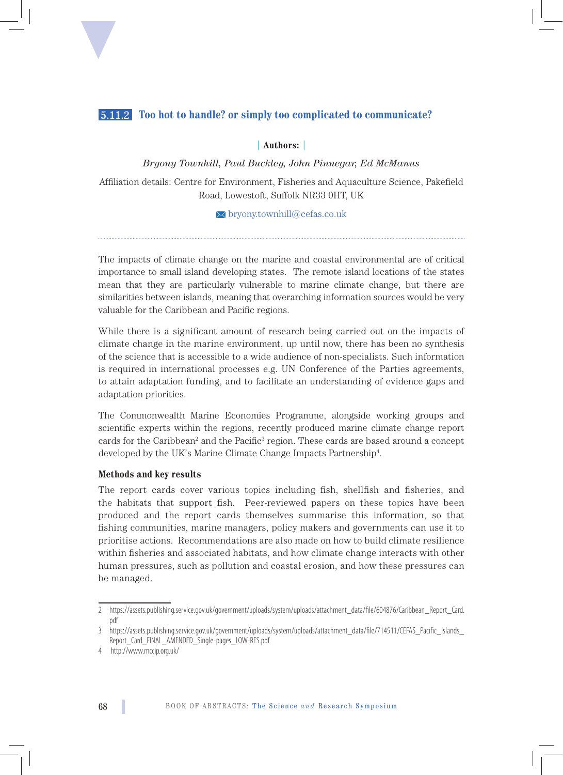# 5.11.2 **Too hot to handle? or simply too complicated to communicate?**

| **Authors:** |

*Bryony Townhill, Paul Buckley, John Pinnegar, Ed McManus*

Affiliation details: Centre for Environment, Fisheries and Aquaculture Science, Pakefield Road, Lowestoft, Suffolk NR33 0HT, UK

 $\times$  bryony.townhill@cefas.co.uk

The impacts of climate change on the marine and coastal environmental are of critical importance to small island developing states. The remote island locations of the states mean that they are particularly vulnerable to marine climate change, but there are similarities between islands, meaning that overarching information sources would be very valuable for the Caribbean and Pacific regions.

While there is a significant amount of research being carried out on the impacts of climate change in the marine environment, up until now, there has been no synthesis of the science that is accessible to a wide audience of non-specialists. Such information is required in international processes e.g. UN Conference of the Parties agreements, to attain adaptation funding, and to facilitate an understanding of evidence gaps and adaptation priorities.

The Commonwealth Marine Economies Programme, alongside working groups and scientific experts within the regions, recently produced marine climate change report cards for the Caribbean<sup>2</sup> and the Pacific<sup>3</sup> region. These cards are based around a concept developed by the UK's Marine Climate Change Impacts Partnership4 .

#### **Methods and key results**

The report cards cover various topics including fish, shellfish and fisheries, and the habitats that support fish. Peer-reviewed papers on these topics have been produced and the report cards themselves summarise this information, so that fishing communities, marine managers, policy makers and governments can use it to prioritise actions. Recommendations are also made on how to build climate resilience within fisheries and associated habitats, and how climate change interacts with other human pressures, such as pollution and coastal erosion, and how these pressures can be managed.

<sup>2</sup> https://assets.publishing.service.gov.uk/government/uploads/system/uploads/attachment\_data/file/604876/Caribbean\_Report\_Card. pdf

<sup>3</sup> https://assets.publishing.service.gov.uk/government/uploads/system/uploads/attachment\_data/file/714511/CEFAS\_Pacific\_Islands Report Card\_FINAL\_AMENDED\_Single-pages\_LOW-RES.pdf

<sup>4</sup> http://www.mccip.org.uk/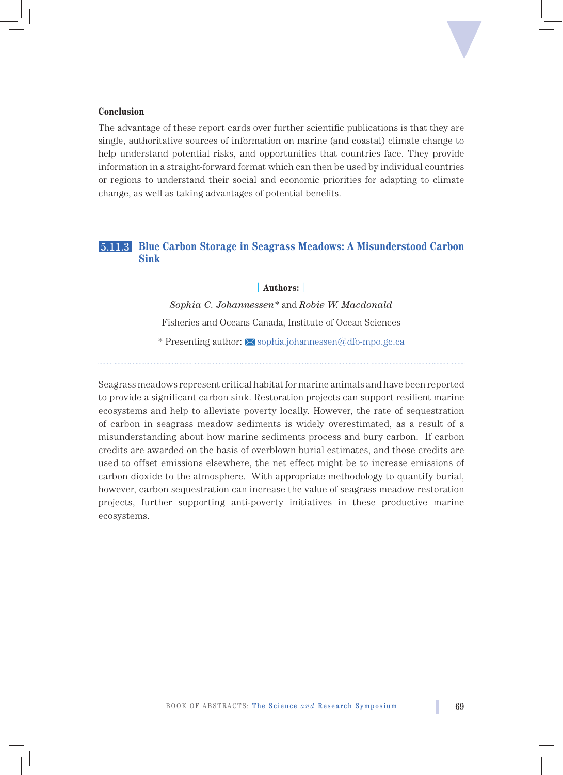## **Conclusion**

The advantage of these report cards over further scientific publications is that they are single, authoritative sources of information on marine (and coastal) climate change to help understand potential risks, and opportunities that countries face. They provide information in a straight-forward format which can then be used by individual countries or regions to understand their social and economic priorities for adapting to climate change, as well as taking advantages of potential benefits.

# 5.11.3 **Blue Carbon Storage in Seagrass Meadows: A Misunderstood Carbon Sink**

## | **Authors:** |

*Sophia C. Johannessen\** and *Robie W. Macdonald* Fisheries and Oceans Canada, Institute of Ocean Sciences \* Presenting author: Museuphia.johannessen@dfo-mpo.gc.ca

Seagrass meadows represent critical habitat for marine animals and have been reported to provide a significant carbon sink. Restoration projects can support resilient marine ecosystems and help to alleviate poverty locally. However, the rate of sequestration of carbon in seagrass meadow sediments is widely overestimated, as a result of a misunderstanding about how marine sediments process and bury carbon. If carbon credits are awarded on the basis of overblown burial estimates, and those credits are used to offset emissions elsewhere, the net effect might be to increase emissions of carbon dioxide to the atmosphere. With appropriate methodology to quantify burial, however, carbon sequestration can increase the value of seagrass meadow restoration projects, further supporting anti-poverty initiatives in these productive marine ecosystems.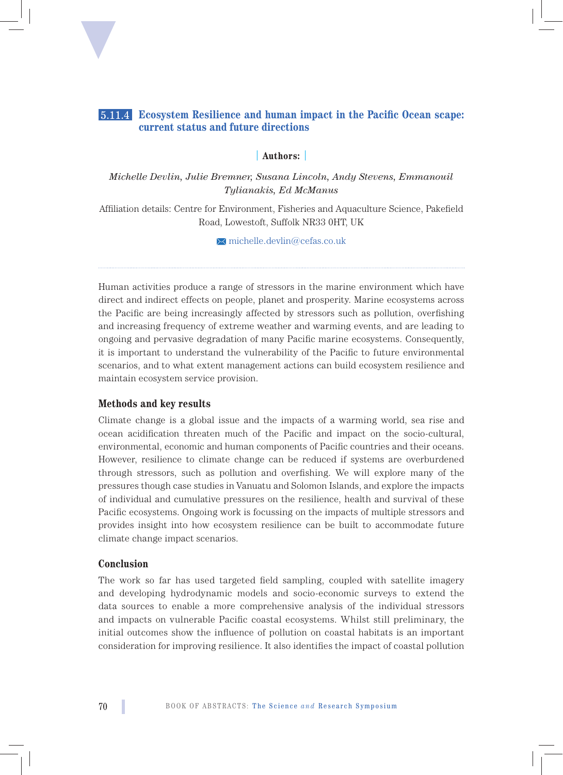# 5.11.4 **Ecosystem Resilience and human impact in the Pacific Ocean scape: current status and future directions**

# | **Authors:** |

# *Michelle Devlin, Julie Bremner, Susana Lincoln, Andy Stevens, Emmanouil Tylianakis, Ed McManus*

Affiliation details: Centre for Environment, Fisheries and Aquaculture Science, Pakefield Road, Lowestoft, Suffolk NR33 0HT, UK

 $\times$  michelle.devlin@cefas.co.uk

Human activities produce a range of stressors in the marine environment which have direct and indirect effects on people, planet and prosperity. Marine ecosystems across the Pacific are being increasingly affected by stressors such as pollution, overfishing and increasing frequency of extreme weather and warming events, and are leading to ongoing and pervasive degradation of many Pacific marine ecosystems. Consequently, it is important to understand the vulnerability of the Pacific to future environmental scenarios, and to what extent management actions can build ecosystem resilience and maintain ecosystem service provision.

#### **Methods and key results**

Climate change is a global issue and the impacts of a warming world, sea rise and ocean acidification threaten much of the Pacific and impact on the socio-cultural, environmental, economic and human components of Pacific countries and their oceans. However, resilience to climate change can be reduced if systems are overburdened through stressors, such as pollution and overfishing. We will explore many of the pressures though case studies in Vanuatu and Solomon Islands, and explore the impacts of individual and cumulative pressures on the resilience, health and survival of these Pacific ecosystems. Ongoing work is focussing on the impacts of multiple stressors and provides insight into how ecosystem resilience can be built to accommodate future climate change impact scenarios.

## **Conclusion**

The work so far has used targeted field sampling, coupled with satellite imagery and developing hydrodynamic models and socio-economic surveys to extend the data sources to enable a more comprehensive analysis of the individual stressors and impacts on vulnerable Pacific coastal ecosystems. Whilst still preliminary, the initial outcomes show the influence of pollution on coastal habitats is an important consideration for improving resilience. It also identifies the impact of coastal pollution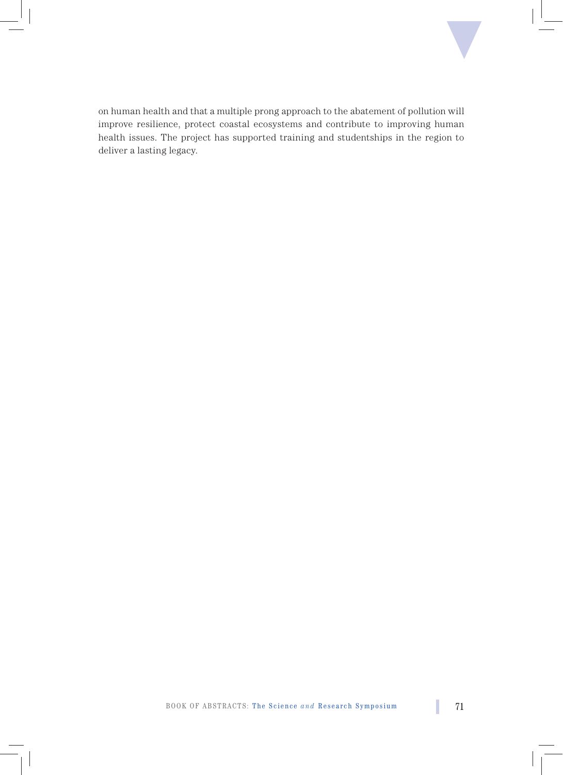on human health and that a multiple prong approach to the abatement of pollution will improve resilience, protect coastal ecosystems and contribute to improving human health issues. The project has supported training and studentships in the region to deliver a lasting legacy.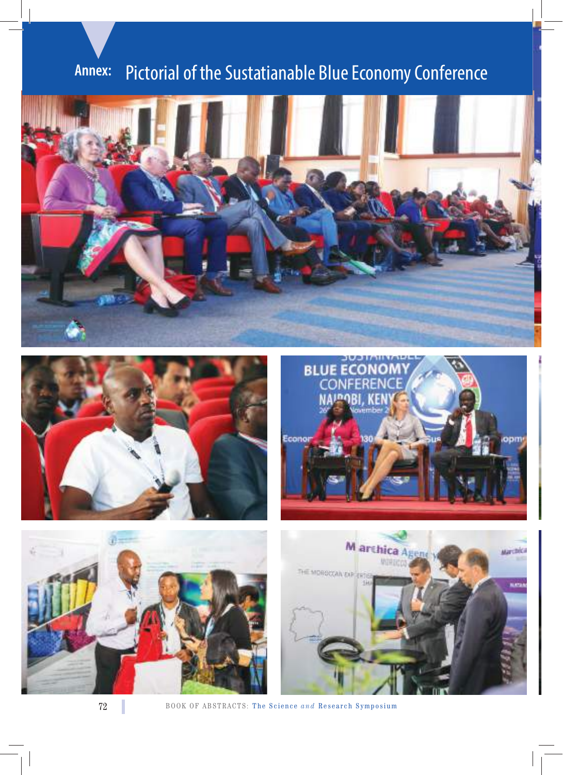# **Annex:** Pictorial of the Sustatianable Blue Economy Conference











72 BOOK OF ABSTRACTS: The Science *and* Research Symposium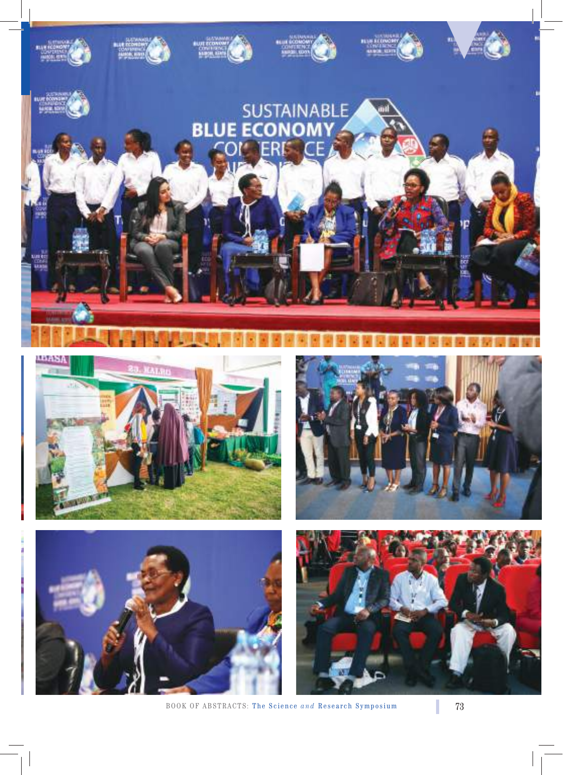









BOOK OF ABSTRACTS: The Science *and* Research Symposium 73